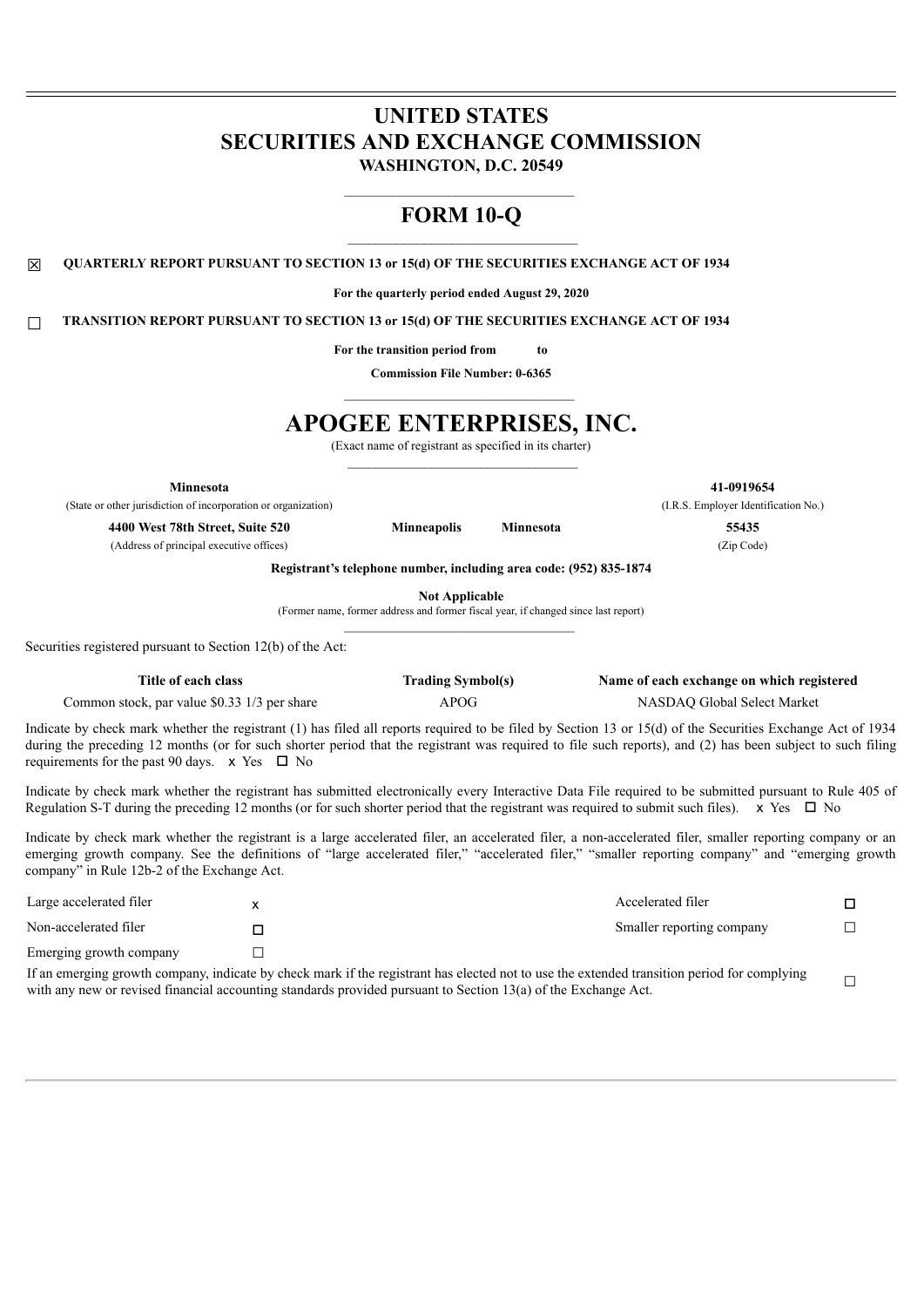# **UNITED STATES SECURITIES AND EXCHANGE COMMISSION WASHINGTON, D.C. 20549**

# **FORM 10-Q**  $\mathcal{L}_\text{max}$

☒ **QUARTERLY REPORT PURSUANT TO SECTION 13 or 15(d) OF THE SECURITIES EXCHANGE ACT OF 1934**

**For the quarterly period ended August 29, 2020**

☐ **TRANSITION REPORT PURSUANT TO SECTION 13 or 15(d) OF THE SECURITIES EXCHANGE ACT OF 1934**

**For the transition period from to** 

**Commission File Number: 0-6365**

# **APOGEE ENTERPRISES, INC.**

(Exact name of registrant as specified in its charter)  $\_$ 

**Minnesota 41-0919654**

(State or other jurisdiction of incorporation or organization) (I.R.S. Employer Identification No.)

**Registrant's telephone number, including area code: (952) 835-1874**

**Not Applicable**

(Former name, former address and former fiscal year, if changed since last report)

Securities registered pursuant to Section 12(b) of the Act:

**Title of each class Trading Symbol(s) Name of each exchange on which registered** Common stock, par value \$0.33 1/3 per share APOG NASDAQ Global Select Market

Indicate by check mark whether the registrant (1) has filed all reports required to be filed by Section 13 or 15(d) of the Securities Exchange Act of 1934 during the preceding 12 months (or for such shorter period that the registrant was required to file such reports), and (2) has been subject to such filing requirements for the past 90 days.  $\times$  Yes  $\Box$  No

Indicate by check mark whether the registrant has submitted electronically every Interactive Data File required to be submitted pursuant to Rule 405 of Regulation S-T during the preceding 12 months (or for such shorter period that the registrant was required to submit such files).  $\mathbf{\times}$  Yes  $\Box$  No

Indicate by check mark whether the registrant is a large accelerated filer, an accelerated filer, a non-accelerated filer, smaller reporting company or an emerging growth company. See the definitions of "large accelerated filer," "accelerated filer," "smaller reporting company" and "emerging growth company" in Rule 12b-2 of the Exchange Act.

| Large accelerated filer |                                                                                                                                            | Accelerated filer         |  |
|-------------------------|--------------------------------------------------------------------------------------------------------------------------------------------|---------------------------|--|
| Non-accelerated filer   |                                                                                                                                            | Smaller reporting company |  |
| Emerging growth company |                                                                                                                                            |                           |  |
|                         | If an emerging growth company indicate by check mark if the registrant has elected not to use the extended transition period for complying |                           |  |

If an emerging growth company, indicate by check mark if the registrant has elected not to use the extended transition period for complying If an emerging growth company, indicate by check mark if the registrant has elected not to use the extended transition period for complying  $\Box$  with any new or revised financial accounting standards provided pursuant to

(Address of principal executive offices) (Zip Code)

**4400 West 78th Street, Suite 520 Minneapolis Minnesota 55435**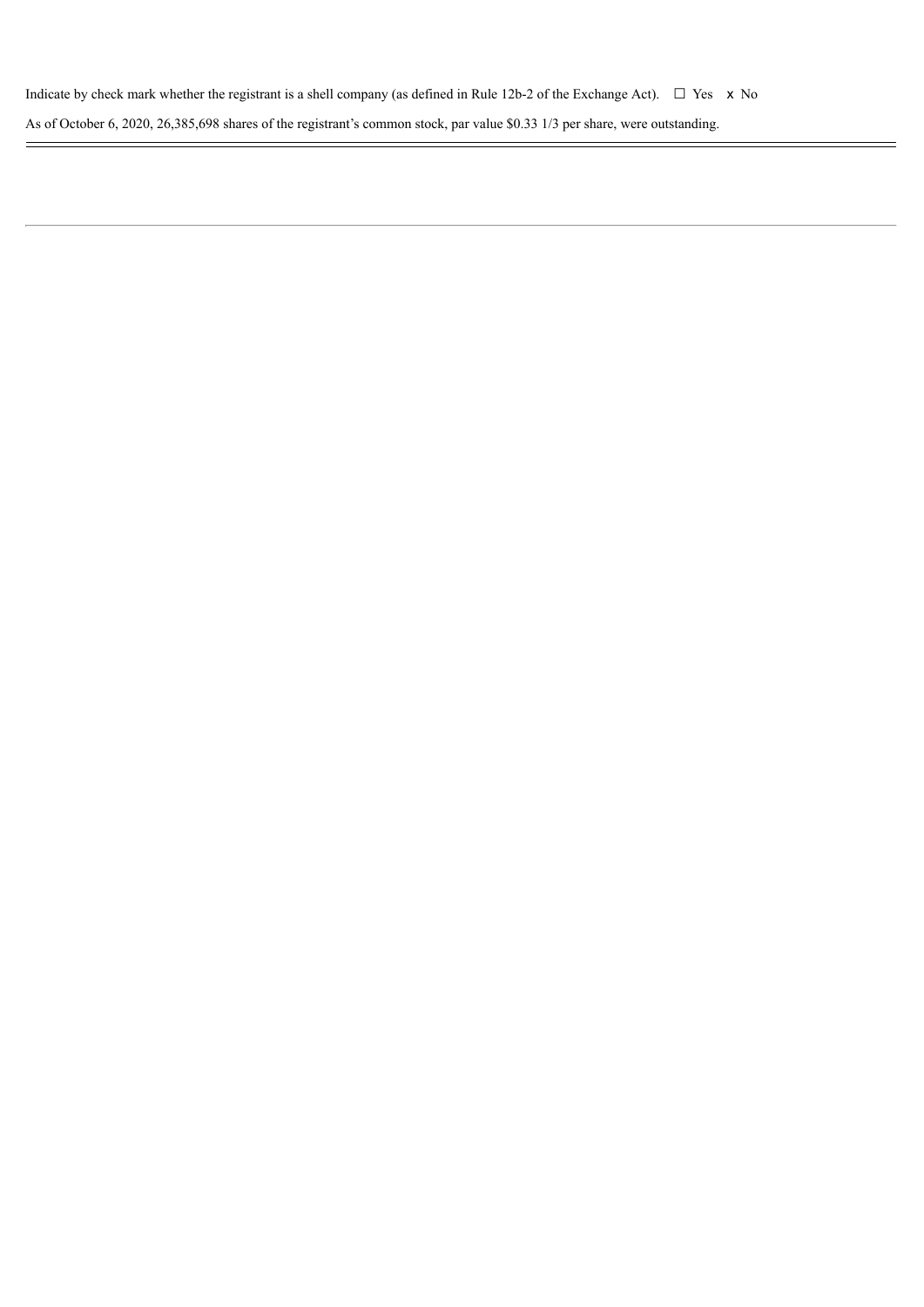<span id="page-1-0"></span>j.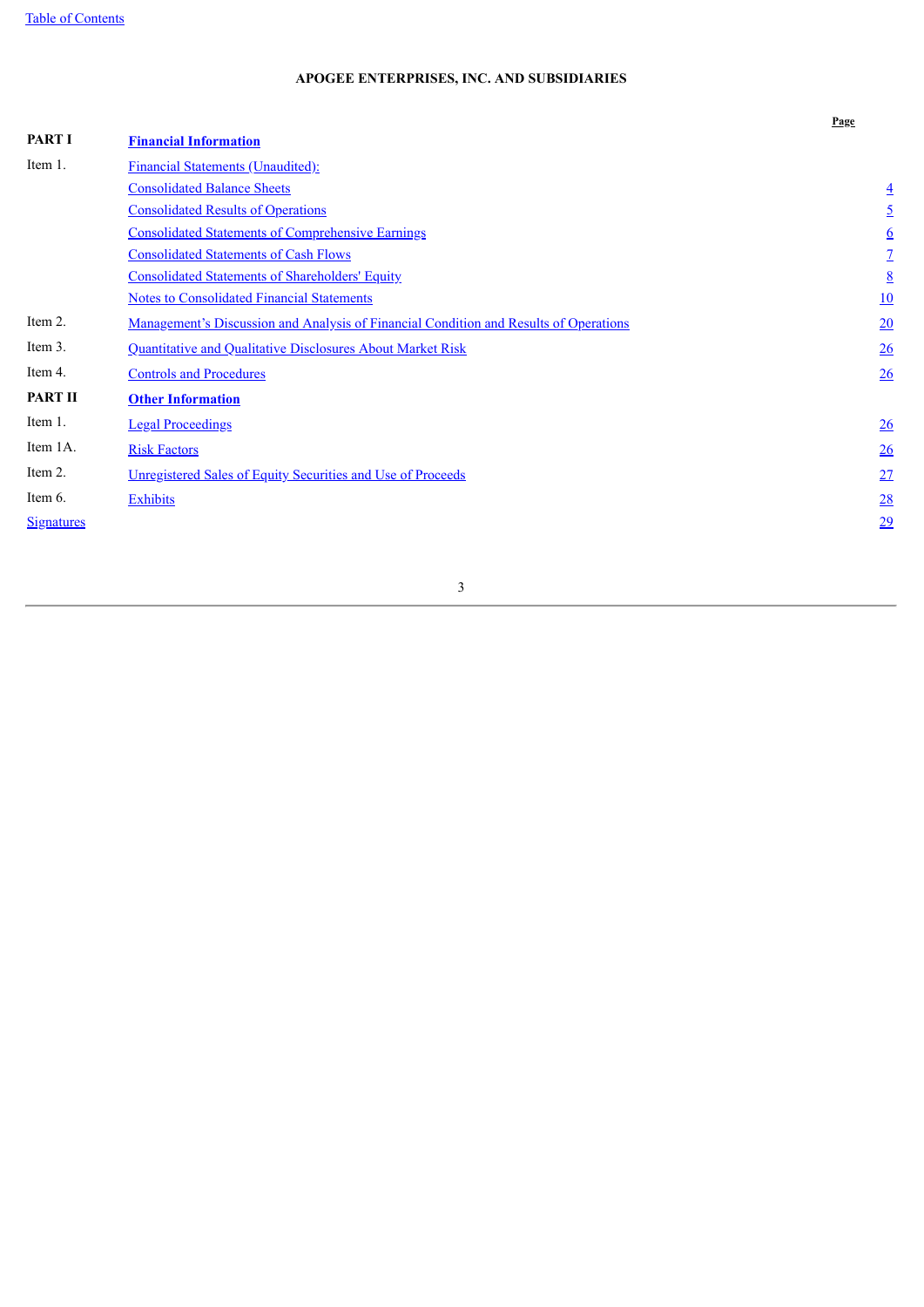# **APOGEE ENTERPRISES, INC. AND SUBSIDIARIES**

<span id="page-2-0"></span>

|                   |                                                                                              | Page           |
|-------------------|----------------------------------------------------------------------------------------------|----------------|
| <b>PART I</b>     | <b>Financial Information</b>                                                                 |                |
| Item 1.           | <b>Financial Statements (Unaudited):</b>                                                     |                |
|                   | <b>Consolidated Balance Sheets</b>                                                           | $\overline{4}$ |
|                   | <b>Consolidated Results of Operations</b>                                                    | $\overline{2}$ |
|                   | <b>Consolidated Statements of Comprehensive Earnings</b>                                     | <u>6</u>       |
|                   | <b>Consolidated Statements of Cash Flows</b>                                                 | $\overline{1}$ |
|                   | <b>Consolidated Statements of Shareholders' Equity</b>                                       | 8              |
|                   | <b>Notes to Consolidated Financial Statements</b>                                            | 10             |
| Item 2.           | <u>Management's Discussion and Analysis of Financial Condition and Results of Operations</u> | 20             |
| Item 3.           | Quantitative and Qualitative Disclosures About Market Risk                                   | 26             |
| Item 4.           | <b>Controls and Procedures</b>                                                               | 26             |
| <b>PART II</b>    | <b>Other Information</b>                                                                     |                |
| Item 1.           | <b>Legal Proceedings</b>                                                                     | 26             |
| Item 1A.          | <b>Risk Factors</b>                                                                          | 26             |
| Item 2.           | <b>Unregistered Sales of Equity Securities and Use of Proceeds</b>                           | 27             |
| Item 6.           | <b>Exhibits</b>                                                                              | 28             |
| <b>Signatures</b> |                                                                                              | 29             |
|                   |                                                                                              |                |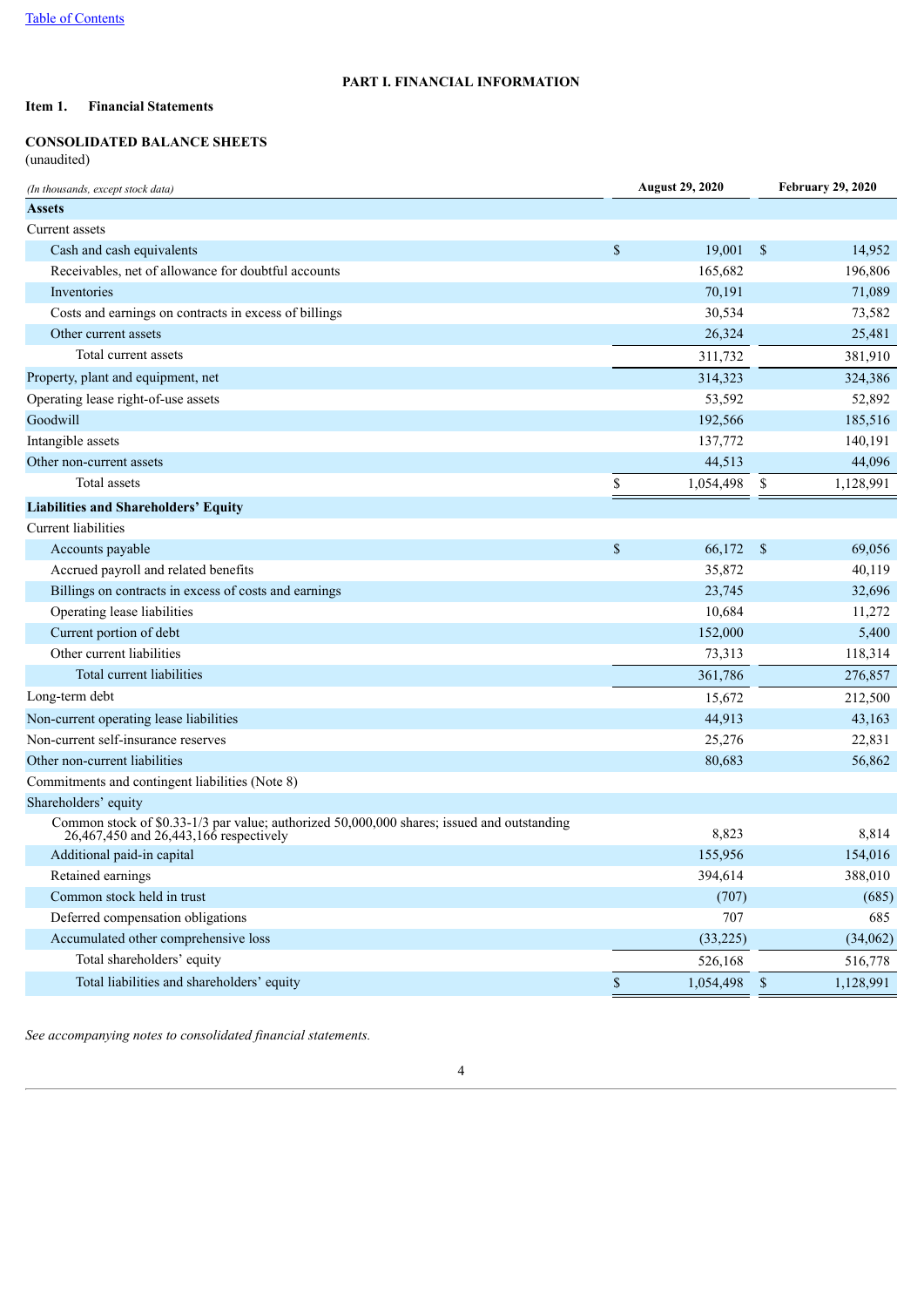# **PART I. FINANCIAL INFORMATION**

# <span id="page-3-0"></span>**Item 1. Financial Statements**

# <span id="page-3-1"></span>**CONSOLIDATED BALANCE SHEETS**

(unaudited)

| (In thousands, except stock data)                                                                                                    | <b>August 29, 2020</b> |              | <b>February 29, 2020</b> |
|--------------------------------------------------------------------------------------------------------------------------------------|------------------------|--------------|--------------------------|
| <b>Assets</b>                                                                                                                        |                        |              |                          |
| Current assets                                                                                                                       |                        |              |                          |
| Cash and cash equivalents                                                                                                            | \$<br>19,001           | \$           | 14,952                   |
| Receivables, net of allowance for doubtful accounts                                                                                  | 165,682                |              | 196,806                  |
| Inventories                                                                                                                          | 70,191                 |              | 71,089                   |
| Costs and earnings on contracts in excess of billings                                                                                | 30,534                 |              | 73,582                   |
| Other current assets                                                                                                                 | 26,324                 |              | 25,481                   |
| Total current assets                                                                                                                 | 311,732                |              | 381,910                  |
| Property, plant and equipment, net                                                                                                   | 314,323                |              | 324,386                  |
| Operating lease right-of-use assets                                                                                                  | 53,592                 |              | 52,892                   |
| Goodwill                                                                                                                             | 192,566                |              | 185,516                  |
| Intangible assets                                                                                                                    | 137,772                |              | 140,191                  |
| Other non-current assets                                                                                                             | 44,513                 |              | 44,096                   |
| Total assets                                                                                                                         | \$<br>1,054,498        | \$           | 1,128,991                |
| <b>Liabilities and Shareholders' Equity</b>                                                                                          |                        |              |                          |
| Current liabilities                                                                                                                  |                        |              |                          |
| Accounts payable                                                                                                                     | \$<br>66,172           | \$           | 69,056                   |
| Accrued payroll and related benefits                                                                                                 | 35,872                 |              | 40,119                   |
| Billings on contracts in excess of costs and earnings                                                                                | 23,745                 |              | 32,696                   |
| Operating lease liabilities                                                                                                          | 10,684                 |              | 11,272                   |
| Current portion of debt                                                                                                              | 152,000                |              | 5,400                    |
| Other current liabilities                                                                                                            | 73,313                 |              | 118,314                  |
| Total current liabilities                                                                                                            | 361,786                |              | 276,857                  |
| Long-term debt                                                                                                                       | 15,672                 |              | 212,500                  |
| Non-current operating lease liabilities                                                                                              | 44,913                 |              | 43,163                   |
| Non-current self-insurance reserves                                                                                                  | 25,276                 |              | 22,831                   |
| Other non-current liabilities                                                                                                        | 80,683                 |              | 56,862                   |
| Commitments and contingent liabilities (Note 8)                                                                                      |                        |              |                          |
| Shareholders' equity                                                                                                                 |                        |              |                          |
| Common stock of \$0.33-1/3 par value; authorized 50,000,000 shares; issued and outstanding<br>26,467,450 and 26,443,166 respectively | 8,823                  |              | 8,814                    |
| Additional paid-in capital                                                                                                           | 155,956                |              | 154,016                  |
| Retained earnings                                                                                                                    | 394,614                |              | 388,010                  |
| Common stock held in trust                                                                                                           | (707)                  |              | (685)                    |
| Deferred compensation obligations                                                                                                    | 707                    |              | 685                      |
| Accumulated other comprehensive loss                                                                                                 | (33, 225)              |              | (34,062)                 |
| Total shareholders' equity                                                                                                           | 526,168                |              | 516,778                  |
| Total liabilities and shareholders' equity                                                                                           | \$<br>1,054,498        | $\mathbb{S}$ | 1,128,991                |

<span id="page-3-2"></span>*See accompanying notes to consolidated financial statements.*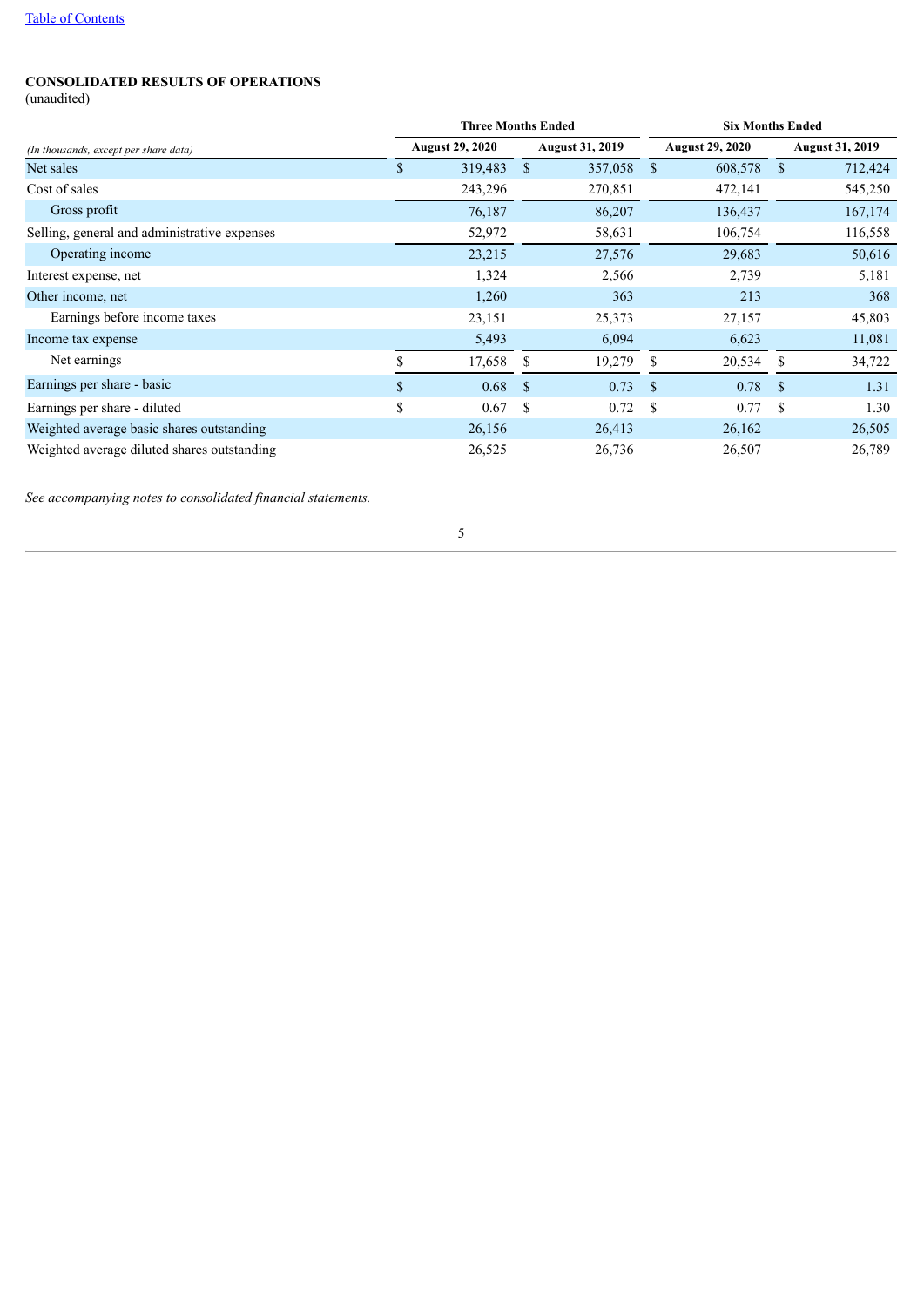# **CONSOLIDATED RESULTS OF OPERATIONS**

(unaudited)

|                                              |    | <b>Three Months Ended</b> |                        |         |              | <b>Six Months Ended</b> |              |                        |  |  |  |
|----------------------------------------------|----|---------------------------|------------------------|---------|--------------|-------------------------|--------------|------------------------|--|--|--|
| (In thousands, except per share data)        |    | <b>August 29, 2020</b>    | <b>August 31, 2019</b> |         |              | <b>August 29, 2020</b>  |              | <b>August 31, 2019</b> |  |  |  |
| Net sales                                    | \$ | 319,483                   | <sup>\$</sup>          | 357,058 | -\$          | 608,578                 | - \$         | 712,424                |  |  |  |
| Cost of sales                                |    | 243,296                   |                        | 270,851 |              | 472,141                 |              | 545,250                |  |  |  |
| Gross profit                                 |    | 76,187                    |                        | 86,207  |              | 136,437                 |              | 167,174                |  |  |  |
| Selling, general and administrative expenses |    | 52,972                    |                        | 58,631  |              | 106,754                 |              | 116,558                |  |  |  |
| Operating income                             |    | 23,215                    |                        | 27,576  |              | 29,683                  |              | 50,616                 |  |  |  |
| Interest expense, net                        |    | 1,324                     |                        | 2,566   |              | 2,739                   |              | 5,181                  |  |  |  |
| Other income, net                            |    | 1,260                     |                        | 363     |              | 213                     |              | 368                    |  |  |  |
| Earnings before income taxes                 |    | 23,151                    |                        | 25,373  |              | 27,157                  |              | 45,803                 |  |  |  |
| Income tax expense                           |    | 5,493                     |                        | 6,094   |              | 6,623                   |              | 11,081                 |  |  |  |
| Net earnings                                 |    | 17,658                    |                        | 19,279  | -S           | 20,534                  |              | 34,722                 |  |  |  |
| Earnings per share - basic                   | \$ | 0.68                      | \$                     | 0.73    | $\mathbf{s}$ | 0.78                    | <sup>S</sup> | 1.31                   |  |  |  |
| Earnings per share - diluted                 | \$ | 0.67                      | <sup>\$</sup>          | 0.72    | - \$         | 0.77                    | - \$         | 1.30                   |  |  |  |
| Weighted average basic shares outstanding    |    | 26,156                    |                        | 26,413  |              | 26,162                  |              | 26,505                 |  |  |  |
| Weighted average diluted shares outstanding  |    | 26,525                    |                        | 26,736  |              | 26,507                  |              | 26,789                 |  |  |  |

<span id="page-4-0"></span>*See accompanying notes to consolidated financial statements.*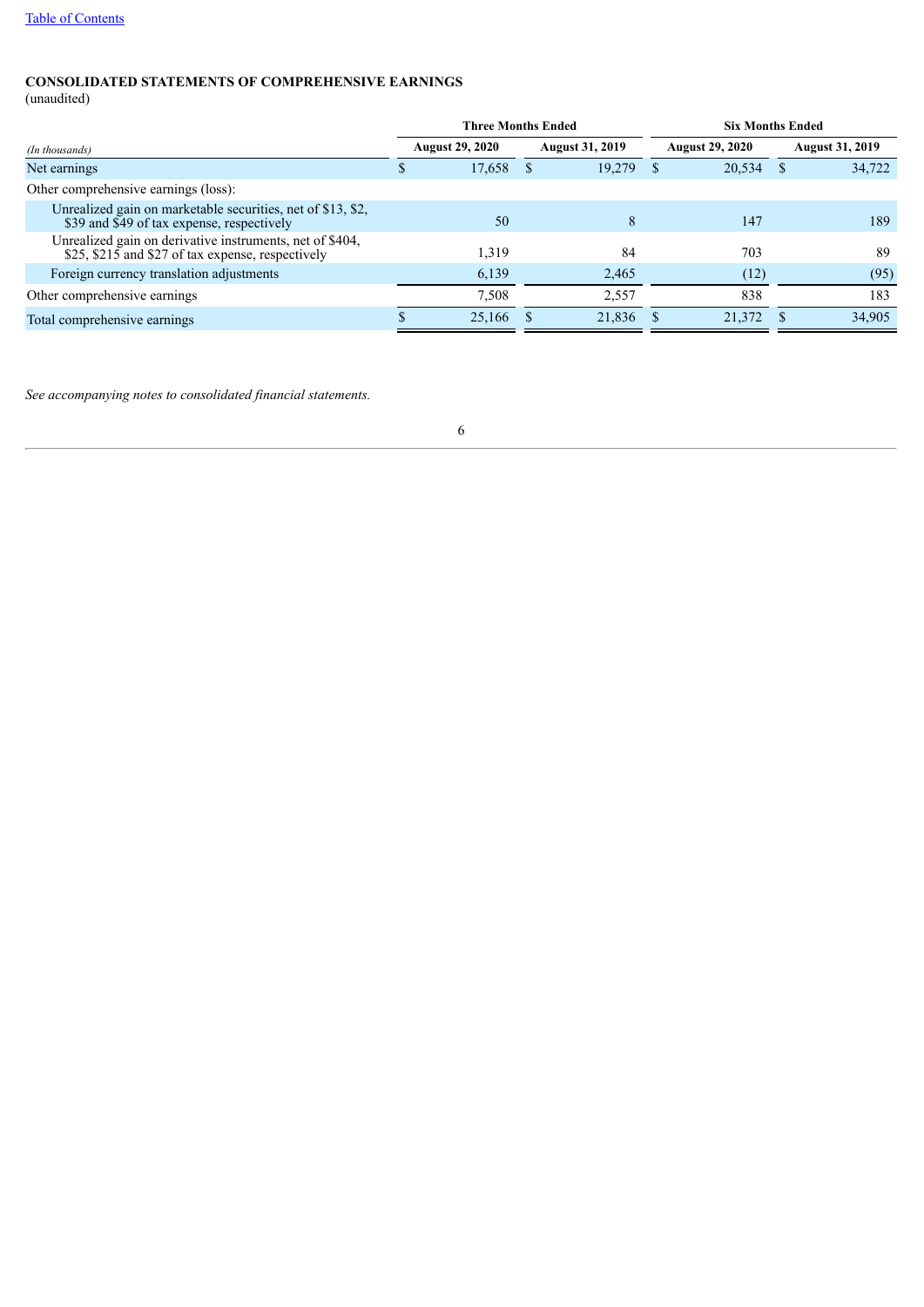# **CONSOLIDATED STATEMENTS OF COMPREHENSIVE EARNINGS**

(unaudited)

|                                                                                                               | <b>Three Months Ended</b> |                        |  |                        |  | <b>Six Months Ended</b> |  |                        |  |  |  |  |
|---------------------------------------------------------------------------------------------------------------|---------------------------|------------------------|--|------------------------|--|-------------------------|--|------------------------|--|--|--|--|
| (In thousands)                                                                                                |                           | <b>August 29, 2020</b> |  | <b>August 31, 2019</b> |  | <b>August 29, 2020</b>  |  | <b>August 31, 2019</b> |  |  |  |  |
| Net earnings                                                                                                  |                           | 17,658                 |  | 19,279                 |  | 20,534                  |  | 34,722                 |  |  |  |  |
| Other comprehensive earnings (loss):                                                                          |                           |                        |  |                        |  |                         |  |                        |  |  |  |  |
| Unrealized gain on marketable securities, net of \$13, \$2,<br>\$39 and \$49 of tax expense, respectively     |                           | 50                     |  | 8                      |  | 147                     |  | 189                    |  |  |  |  |
| Unrealized gain on derivative instruments, net of \$404,<br>\$25, \$215 and \$27 of tax expense, respectively |                           | 1,319                  |  | 84                     |  | 703                     |  | 89                     |  |  |  |  |
| Foreign currency translation adjustments                                                                      |                           | 6,139                  |  | 2,465                  |  | (12)                    |  | (95)                   |  |  |  |  |
| Other comprehensive earnings                                                                                  |                           | 7.508                  |  | 2,557                  |  | 838                     |  | 183                    |  |  |  |  |
| Total comprehensive earnings                                                                                  |                           | 25,166                 |  | 21,836                 |  | 21,372                  |  | 34,905                 |  |  |  |  |

<span id="page-5-0"></span>*See accompanying notes to consolidated financial statements.*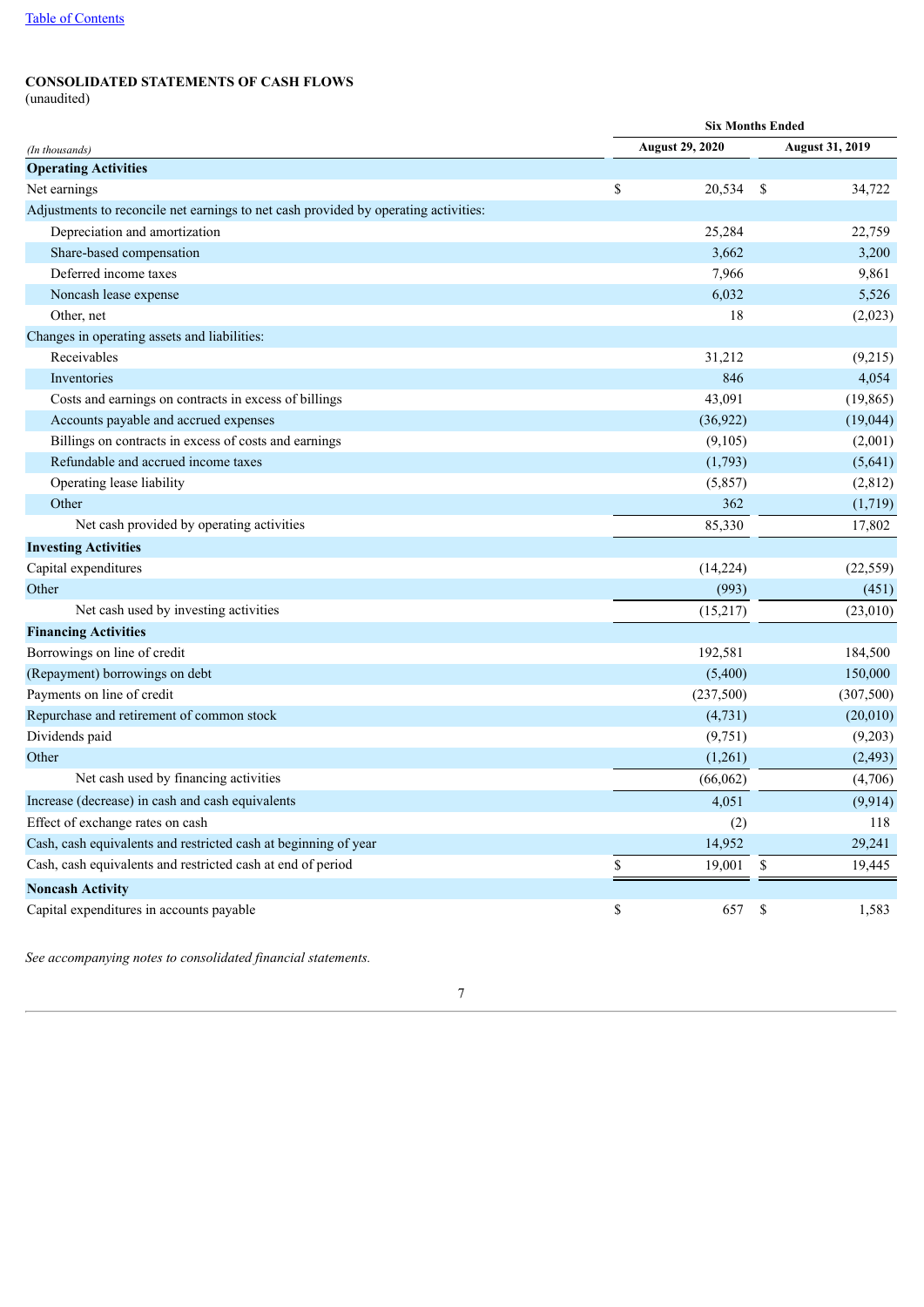# **CONSOLIDATED STATEMENTS OF CASH FLOWS**

(unaudited)

|                                                                                     | <b>Six Months Ended</b> |                        |    |                        |  |  |  |  |  |
|-------------------------------------------------------------------------------------|-------------------------|------------------------|----|------------------------|--|--|--|--|--|
| (In thousands)                                                                      |                         | <b>August 29, 2020</b> |    | <b>August 31, 2019</b> |  |  |  |  |  |
| <b>Operating Activities</b>                                                         |                         |                        |    |                        |  |  |  |  |  |
| Net earnings                                                                        | \$                      | 20,534                 | \$ | 34,722                 |  |  |  |  |  |
| Adjustments to reconcile net earnings to net cash provided by operating activities: |                         |                        |    |                        |  |  |  |  |  |
| Depreciation and amortization                                                       |                         | 25,284                 |    | 22,759                 |  |  |  |  |  |
| Share-based compensation                                                            |                         | 3,662                  |    | 3,200                  |  |  |  |  |  |
| Deferred income taxes                                                               |                         | 7,966                  |    | 9,861                  |  |  |  |  |  |
| Noncash lease expense                                                               |                         | 6,032                  |    | 5,526                  |  |  |  |  |  |
| Other, net                                                                          |                         | 18                     |    | (2,023)                |  |  |  |  |  |
| Changes in operating assets and liabilities:                                        |                         |                        |    |                        |  |  |  |  |  |
| Receivables                                                                         |                         | 31,212                 |    | (9,215)                |  |  |  |  |  |
| Inventories                                                                         |                         | 846                    |    | 4,054                  |  |  |  |  |  |
| Costs and earnings on contracts in excess of billings                               |                         | 43,091                 |    | (19, 865)              |  |  |  |  |  |
| Accounts payable and accrued expenses                                               |                         | (36, 922)              |    | (19,044)               |  |  |  |  |  |
| Billings on contracts in excess of costs and earnings                               |                         | (9,105)                |    | (2,001)                |  |  |  |  |  |
| Refundable and accrued income taxes                                                 |                         | (1,793)                |    | (5,641)                |  |  |  |  |  |
| Operating lease liability                                                           |                         | (5,857)                |    | (2, 812)               |  |  |  |  |  |
| Other                                                                               |                         | 362                    |    | (1,719)                |  |  |  |  |  |
| Net cash provided by operating activities                                           |                         | 85,330                 |    | 17,802                 |  |  |  |  |  |
| <b>Investing Activities</b>                                                         |                         |                        |    |                        |  |  |  |  |  |
| Capital expenditures                                                                |                         | (14, 224)              |    | (22, 559)              |  |  |  |  |  |
| Other                                                                               |                         | (993)                  |    | (451)                  |  |  |  |  |  |
| Net cash used by investing activities                                               |                         | (15,217)               |    | (23,010)               |  |  |  |  |  |
| <b>Financing Activities</b>                                                         |                         |                        |    |                        |  |  |  |  |  |
| Borrowings on line of credit                                                        |                         | 192,581                |    | 184,500                |  |  |  |  |  |
| (Repayment) borrowings on debt                                                      |                         | (5,400)                |    | 150,000                |  |  |  |  |  |
| Payments on line of credit                                                          |                         | (237,500)              |    | (307, 500)             |  |  |  |  |  |
| Repurchase and retirement of common stock                                           |                         | (4,731)                |    | (20,010)               |  |  |  |  |  |
| Dividends paid                                                                      |                         | (9,751)                |    | (9,203)                |  |  |  |  |  |
| Other                                                                               |                         | (1,261)                |    | (2, 493)               |  |  |  |  |  |
| Net cash used by financing activities                                               |                         | (66,062)               |    | (4,706)                |  |  |  |  |  |
| Increase (decrease) in cash and cash equivalents                                    |                         | 4,051                  |    | (9,914)                |  |  |  |  |  |
| Effect of exchange rates on cash                                                    |                         | (2)                    |    | 118                    |  |  |  |  |  |
| Cash, cash equivalents and restricted cash at beginning of year                     |                         | 14,952                 |    | 29,241                 |  |  |  |  |  |
| Cash, cash equivalents and restricted cash at end of period                         | \$                      | 19,001                 | \$ | 19,445                 |  |  |  |  |  |
| <b>Noncash Activity</b>                                                             |                         |                        |    |                        |  |  |  |  |  |
| Capital expenditures in accounts payable                                            | \$                      | 657                    | \$ | 1,583                  |  |  |  |  |  |

<span id="page-6-0"></span>*See accompanying notes to consolidated financial statements.*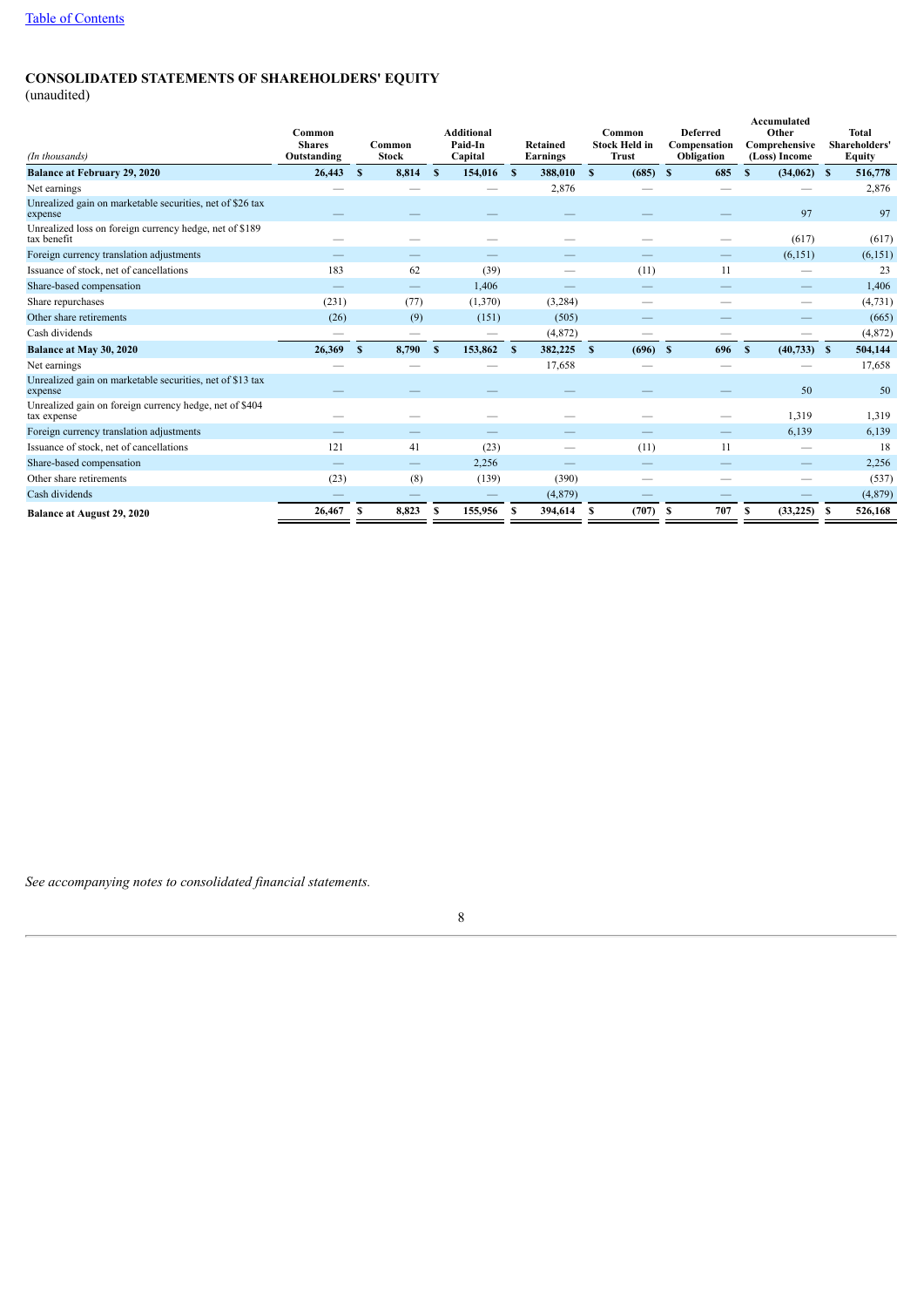# **CONSOLIDATED STATEMENTS OF SHAREHOLDERS' EQUITY**

(unaudited)

| (In thousands)                                                         | Common<br><b>Shares</b><br>Outstanding |      | Common<br><b>Stock</b>          |              | <b>Additional</b><br>Paid-In<br>Capital |      | Retained<br>Earnings |               | Common<br><b>Stock Held in</b><br>Trust |   | <b>Deferred</b><br>Compensation<br>Obligation |   | Other             |    | <b>Accumulated</b><br>Comprehensive<br>(Loss) Income |  |  |  |  |  | <b>Total</b><br>Shareholders'<br>Equity |
|------------------------------------------------------------------------|----------------------------------------|------|---------------------------------|--------------|-----------------------------------------|------|----------------------|---------------|-----------------------------------------|---|-----------------------------------------------|---|-------------------|----|------------------------------------------------------|--|--|--|--|--|-----------------------------------------|
| <b>Balance at February 29, 2020</b>                                    | 26,443                                 | -S   | 8,814                           | $\mathbf{s}$ | 154,016 \$                              |      | 388,010              | <sup>\$</sup> | $(685)$ \$                              |   | 685                                           | S | $(34,062)$ \$     |    | 516,778                                              |  |  |  |  |  |                                         |
| Net earnings                                                           |                                        |      |                                 |              |                                         |      | 2,876                |               |                                         |   |                                               |   |                   |    | 2,876                                                |  |  |  |  |  |                                         |
| Unrealized gain on marketable securities, net of \$26 tax<br>expense   |                                        |      |                                 |              |                                         |      |                      |               |                                         |   |                                               |   | 97                |    | 97                                                   |  |  |  |  |  |                                         |
| Unrealized loss on foreign currency hedge, net of \$189<br>tax benefit |                                        |      |                                 |              |                                         |      |                      |               |                                         |   |                                               |   | (617)             |    | (617)                                                |  |  |  |  |  |                                         |
| Foreign currency translation adjustments                               |                                        |      |                                 |              |                                         |      |                      |               |                                         |   |                                               |   | (6, 151)          |    | (6, 151)                                             |  |  |  |  |  |                                         |
| Issuance of stock, net of cancellations                                | 183                                    |      | 62                              |              | (39)                                    |      |                      |               | (11)                                    |   | 11                                            |   |                   |    | 23                                                   |  |  |  |  |  |                                         |
| Share-based compensation                                               |                                        |      | $\hspace{0.1mm}-\hspace{0.1mm}$ |              | 1,406                                   |      | --                   |               |                                         |   | --                                            |   | $\hspace{0.05cm}$ |    | 1,406                                                |  |  |  |  |  |                                         |
| Share repurchases                                                      | (231)                                  |      | (77)                            |              | (1,370)                                 |      | (3,284)              |               |                                         |   |                                               |   |                   |    | (4, 731)                                             |  |  |  |  |  |                                         |
| Other share retirements                                                | (26)                                   |      | (9)                             |              | (151)                                   |      | (505)                |               |                                         |   |                                               |   |                   |    | (665)                                                |  |  |  |  |  |                                         |
| Cash dividends                                                         |                                        |      | —                               |              |                                         |      | (4,872)              |               |                                         |   |                                               |   |                   |    | (4,872)                                              |  |  |  |  |  |                                         |
| Balance at May 30, 2020                                                | 26,369                                 | - \$ | 8,790                           | $\mathbf{s}$ | 153,862                                 | - \$ | 382,225              | - \$          | $(696)$ \$                              |   | 696                                           | S | $(40,733)$ \$     |    | 504,144                                              |  |  |  |  |  |                                         |
| Net earnings                                                           |                                        |      |                                 |              |                                         |      | 17,658               |               |                                         |   |                                               |   |                   |    | 17,658                                               |  |  |  |  |  |                                         |
| Unrealized gain on marketable securities, net of \$13 tax<br>expense   |                                        |      |                                 |              |                                         |      |                      |               |                                         |   |                                               |   | 50                |    | 50                                                   |  |  |  |  |  |                                         |
| Unrealized gain on foreign currency hedge, net of \$404<br>tax expense |                                        |      |                                 |              |                                         |      |                      |               |                                         |   |                                               |   | 1,319             |    | 1,319                                                |  |  |  |  |  |                                         |
| Foreign currency translation adjustments                               |                                        |      |                                 |              |                                         |      |                      |               |                                         |   |                                               |   | 6,139             |    | 6,139                                                |  |  |  |  |  |                                         |
| Issuance of stock, net of cancellations                                | 121                                    |      | 41                              |              | (23)                                    |      |                      |               | (11)                                    |   | 11                                            |   |                   |    | 18                                                   |  |  |  |  |  |                                         |
| Share-based compensation                                               |                                        |      | —                               |              | 2,256                                   |      |                      |               |                                         |   |                                               |   |                   |    | 2,256                                                |  |  |  |  |  |                                         |
| Other share retirements                                                | (23)                                   |      | (8)                             |              | (139)                                   |      | (390)                |               |                                         |   |                                               |   |                   |    | (537)                                                |  |  |  |  |  |                                         |
| Cash dividends                                                         |                                        |      |                                 |              |                                         |      | (4,879)              |               |                                         |   |                                               |   |                   |    | (4, 879)                                             |  |  |  |  |  |                                         |
| Balance at August 29, 2020                                             | 26,467                                 | S    | 8,823                           | S            | 155,956                                 |      | 394,614              | -S            | (707)                                   | S | 707                                           | s | (33, 225)         | -S | 526,168                                              |  |  |  |  |  |                                         |

*See accompanying notes to consolidated financial statements.*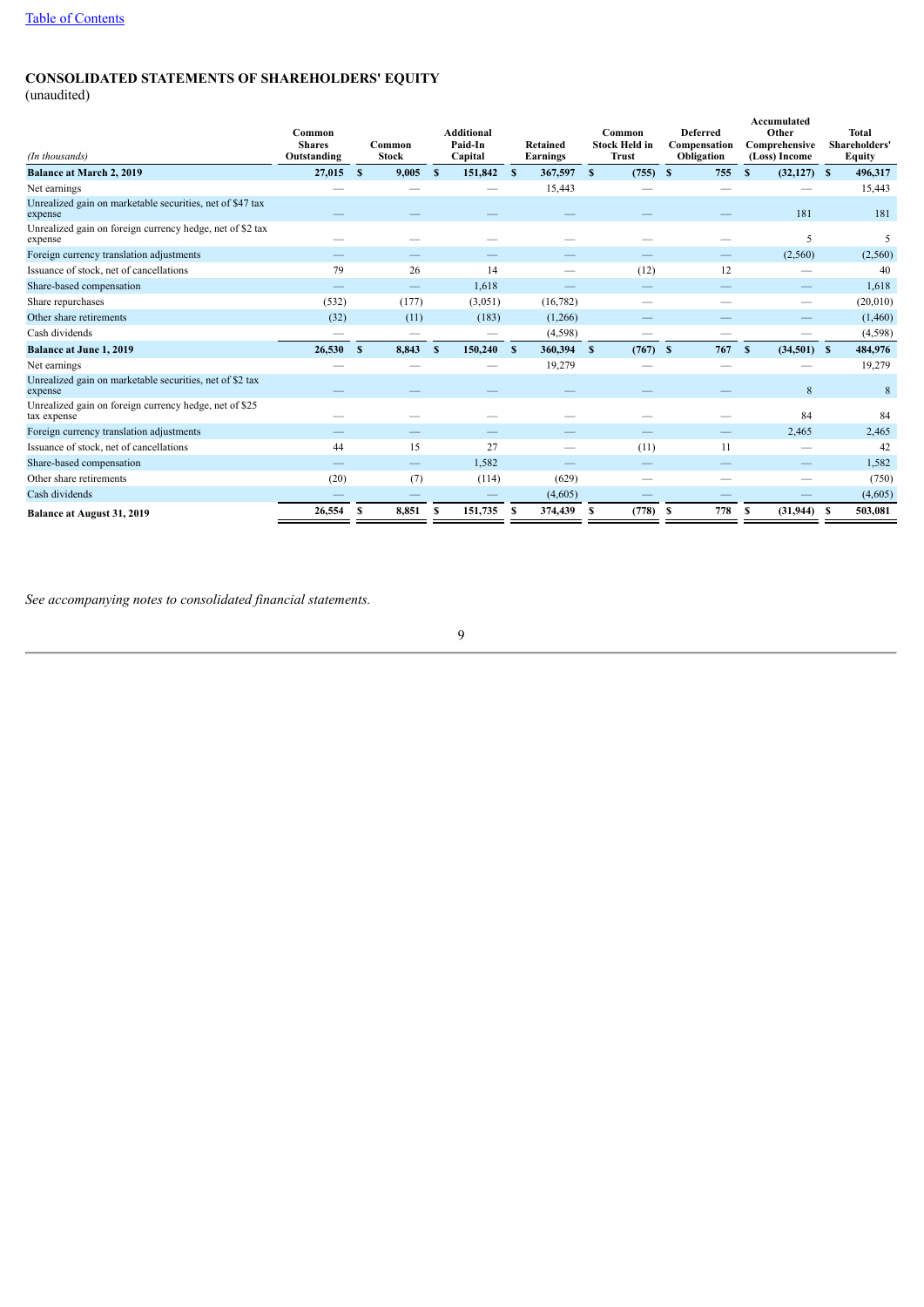# **CONSOLIDATED STATEMENTS OF SHAREHOLDERS' EQUITY**

(unaudited)

| (In thousands)                                                        | Common<br><b>Shares</b><br>Outstanding |               | Common<br><b>Stock</b>         |              | <b>Additional</b><br>Paid-In<br>Capital |   | Retained<br>Earnings | Common<br><b>Stock Held in</b><br><b>Trust</b> |                                |          | <b>Deferred</b><br>Compensation<br>Obligation |   |                                |              | Accumulated<br>Other<br>Comprehensive<br>(Loss) Income |  | <b>Total</b><br>Shareholders'<br><b>Equity</b> |
|-----------------------------------------------------------------------|----------------------------------------|---------------|--------------------------------|--------------|-----------------------------------------|---|----------------------|------------------------------------------------|--------------------------------|----------|-----------------------------------------------|---|--------------------------------|--------------|--------------------------------------------------------|--|------------------------------------------------|
| <b>Balance at March 2, 2019</b>                                       | 27,015                                 | - \$          | 9,005                          | S            | 151,842 \$                              |   | 367,597              | -S                                             | $(755)$ \$                     |          | 755                                           | S | $(32,127)$ \$                  |              | 496,317                                                |  |                                                |
| Net earnings                                                          |                                        |               |                                |              |                                         |   | 15,443               |                                                |                                |          |                                               |   |                                |              | 15,443                                                 |  |                                                |
| Unrealized gain on marketable securities, net of \$47 tax<br>expense  |                                        |               |                                |              |                                         |   |                      |                                                |                                |          |                                               |   | 181                            |              | 181                                                    |  |                                                |
| Unrealized gain on foreign currency hedge, net of \$2 tax<br>expense  |                                        |               |                                |              |                                         |   |                      |                                                |                                |          |                                               |   | 5                              |              | 5                                                      |  |                                                |
| Foreign currency translation adjustments                              |                                        |               |                                |              |                                         |   |                      |                                                |                                |          | $\overline{\phantom{0}}$                      |   | (2,560)                        |              | (2,560)                                                |  |                                                |
| Issuance of stock, net of cancellations                               | 79                                     |               | 26                             |              | 14                                      |   |                      |                                                | (12)                           |          | 12                                            |   |                                |              | 40                                                     |  |                                                |
| Share-based compensation                                              |                                        |               |                                |              | 1,618                                   |   |                      |                                                |                                |          |                                               |   | $\overline{\phantom{0}}$       |              | 1,618                                                  |  |                                                |
| Share repurchases                                                     | (532)                                  |               | (177)                          |              | (3,051)                                 |   | (16, 782)            |                                                | $\qquad \qquad$                |          |                                               |   | —                              |              | (20,010)                                               |  |                                                |
| Other share retirements                                               | (32)                                   |               | (11)                           |              | (183)                                   |   | (1,266)              |                                                |                                |          |                                               |   |                                |              | (1,460)                                                |  |                                                |
| Cash dividends                                                        |                                        |               |                                |              | --                                      |   | (4,598)              |                                                | --                             |          | --                                            |   |                                |              | (4, 598)                                               |  |                                                |
| <b>Balance at June 1, 2019</b>                                        | 26,530                                 | <sup>\$</sup> | 8,843                          | $\mathbf{s}$ | 150,240                                 | S | 360,394              | - \$                                           | (767)                          | <b>S</b> | 767                                           | S | (34,501)                       | $\mathbf{s}$ | 484,976                                                |  |                                                |
| Net earnings                                                          |                                        |               |                                |              |                                         |   | 19,279               |                                                |                                |          |                                               |   |                                |              | 19,279                                                 |  |                                                |
| Unrealized gain on marketable securities, net of \$2 tax<br>expense   |                                        |               |                                |              |                                         |   |                      |                                                |                                |          |                                               |   | $\,$ 8 $\,$                    |              | 8                                                      |  |                                                |
| Unrealized gain on foreign currency hedge, net of \$25<br>tax expense |                                        |               |                                |              |                                         |   |                      |                                                |                                |          |                                               |   | 84                             |              | 84                                                     |  |                                                |
| Foreign currency translation adjustments                              |                                        |               | -                              |              |                                         |   |                      |                                                | $\qquad \qquad \longleftarrow$ |          |                                               |   | 2,465                          |              | 2,465                                                  |  |                                                |
| Issuance of stock, net of cancellations                               | 44                                     |               | 15                             |              | 27                                      |   | --                   |                                                | (11)                           |          | 11                                            |   | $\qquad \qquad \longleftarrow$ |              | 42                                                     |  |                                                |
| Share-based compensation                                              |                                        |               | $\qquad \qquad \longleftarrow$ |              | 1,582                                   |   |                      |                                                | $\overline{\phantom{0}}$       |          |                                               |   |                                |              | 1,582                                                  |  |                                                |
| Other share retirements                                               | (20)                                   |               | (7)                            |              | (114)                                   |   | (629)                |                                                |                                |          |                                               |   |                                |              | (750)                                                  |  |                                                |
| Cash dividends                                                        |                                        |               |                                |              |                                         |   | (4,605)              |                                                |                                |          |                                               |   |                                |              | (4,605)                                                |  |                                                |
| Balance at August 31, 2019                                            | 26,554                                 | \$            | 8,851                          | s            | 151,735                                 | S | 374,439              | - \$                                           | (778)                          | S        | 778                                           | s | (31, 944)                      | -S           | 503,081                                                |  |                                                |

<span id="page-8-0"></span>*See accompanying notes to consolidated financial statements.*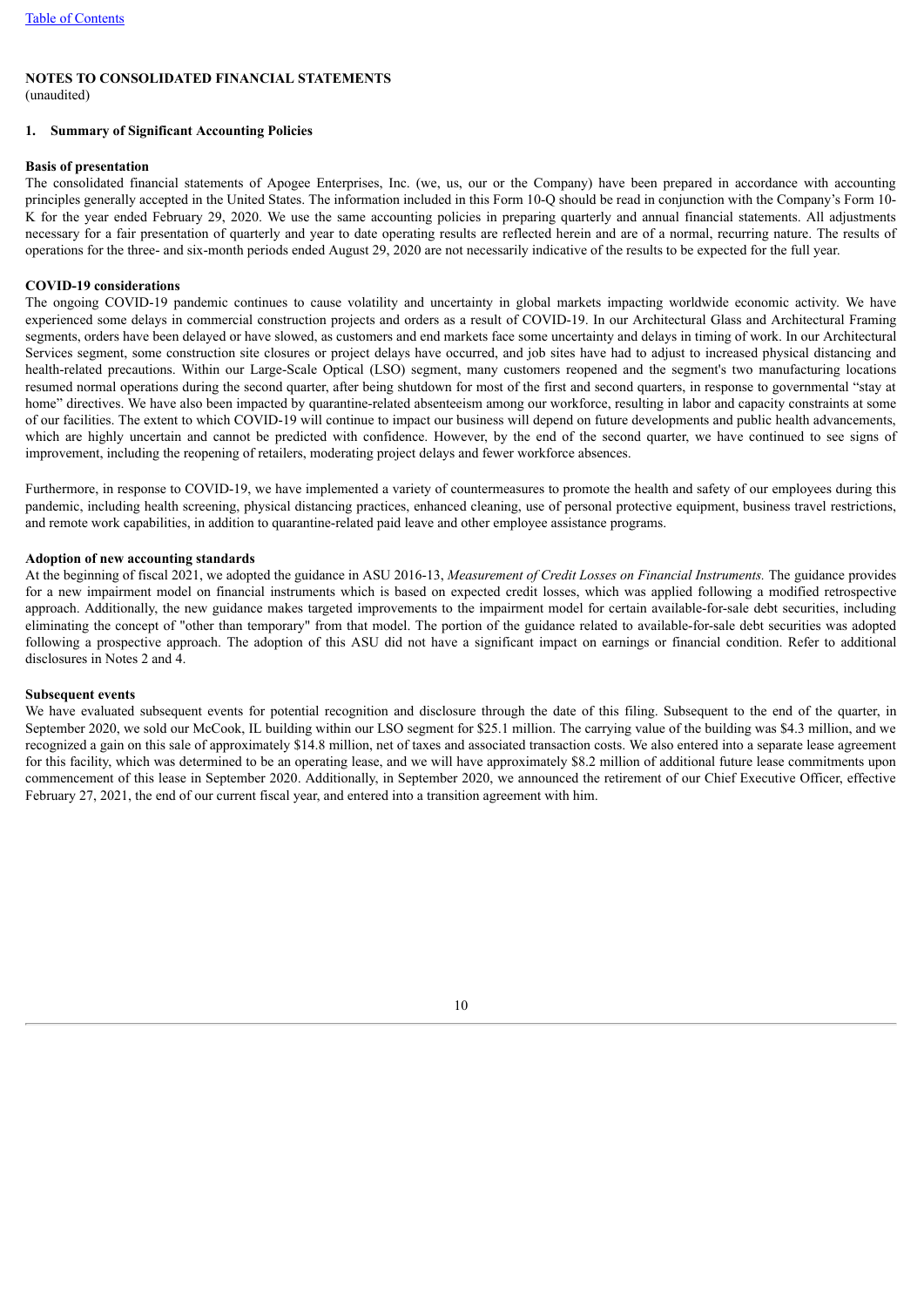# **NOTES TO CONSOLIDATED FINANCIAL STATEMENTS**

(unaudited)

#### **1. Summary of Significant Accounting Policies**

### **Basis of presentation**

The consolidated financial statements of Apogee Enterprises, Inc. (we, us, our or the Company) have been prepared in accordance with accounting principles generally accepted in the United States. The information included in this Form 10-Q should be read in conjunction with the Company's Form 10- K for the year ended February 29, 2020. We use the same accounting policies in preparing quarterly and annual financial statements. All adjustments necessary for a fair presentation of quarterly and year to date operating results are reflected herein and are of a normal, recurring nature. The results of operations for the three- and six-month periods ended August 29, 2020 are not necessarily indicative of the results to be expected for the full year.

### **COVID-19 considerations**

The ongoing COVID-19 pandemic continues to cause volatility and uncertainty in global markets impacting worldwide economic activity. We have experienced some delays in commercial construction projects and orders as a result of COVID-19. In our Architectural Glass and Architectural Framing segments, orders have been delayed or have slowed, as customers and end markets face some uncertainty and delays in timing of work. In our Architectural Services segment, some construction site closures or project delays have occurred, and job sites have had to adjust to increased physical distancing and health-related precautions. Within our Large-Scale Optical (LSO) segment, many customers reopened and the segment's two manufacturing locations resumed normal operations during the second quarter, after being shutdown for most of the first and second quarters, in response to governmental "stay at home" directives. We have also been impacted by quarantine-related absenteeism among our workforce, resulting in labor and capacity constraints at some of our facilities. The extent to which COVID-19 will continue to impact our business will depend on future developments and public health advancements, which are highly uncertain and cannot be predicted with confidence. However, by the end of the second quarter, we have continued to see signs of improvement, including the reopening of retailers, moderating project delays and fewer workforce absences.

Furthermore, in response to COVID-19, we have implemented a variety of countermeasures to promote the health and safety of our employees during this pandemic, including health screening, physical distancing practices, enhanced cleaning, use of personal protective equipment, business travel restrictions, and remote work capabilities, in addition to quarantine-related paid leave and other employee assistance programs.

### **Adoption of new accounting standards**

At the beginning of fiscal 2021, we adopted the guidance in ASU 2016-13, *Measurement of Credit Losses on Financial Instruments.* The guidance provides for a new impairment model on financial instruments which is based on expected credit losses, which was applied following a modified retrospective approach. Additionally, the new guidance makes targeted improvements to the impairment model for certain available-for-sale debt securities, including eliminating the concept of "other than temporary" from that model. The portion of the guidance related to available-for-sale debt securities was adopted following a prospective approach. The adoption of this ASU did not have a significant impact on earnings or financial condition. Refer to additional disclosures in Notes 2 and 4.

#### **Subsequent events**

We have evaluated subsequent events for potential recognition and disclosure through the date of this filing. Subsequent to the end of the quarter, in September 2020, we sold our McCook, IL building within our LSO segment for \$25.1 million. The carrying value of the building was \$4.3 million, and we recognized a gain on this sale of approximately \$14.8 million, net of taxes and associated transaction costs. We also entered into a separate lease agreement for this facility, which was determined to be an operating lease, and we will have approximately \$8.2 million of additional future lease commitments upon commencement of this lease in September 2020. Additionally, in September 2020, we announced the retirement of our Chief Executive Officer, effective February 27, 2021, the end of our current fiscal year, and entered into a transition agreement with him.

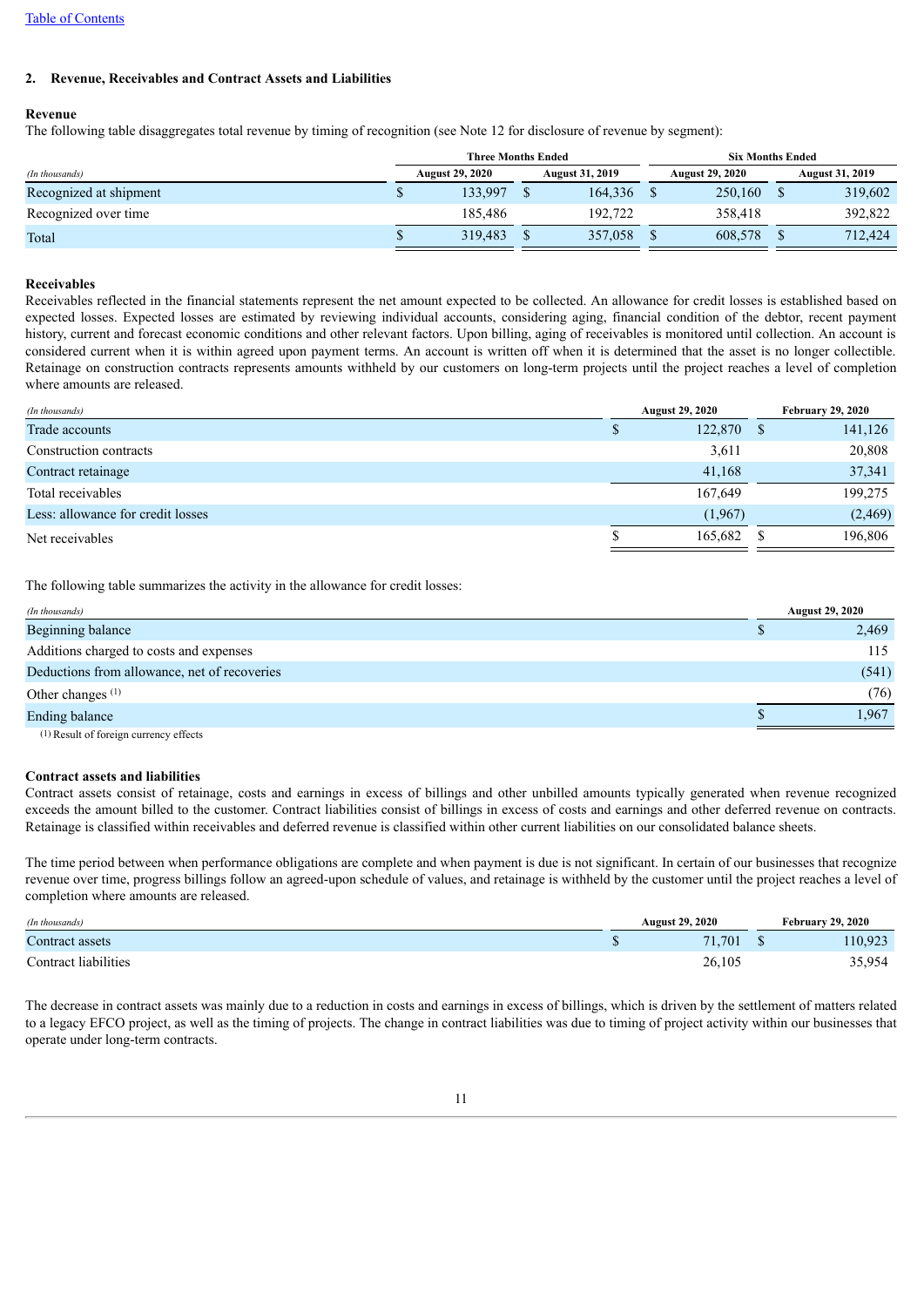# **2. Revenue, Receivables and Contract Assets and Liabilities**

### **Revenue**

The following table disaggregates total revenue by timing of recognition (see Note 12 for disclosure of revenue by segment):

|                        | <b>Three Months Ended</b> |                        |  |                        |  |                        |  | <b>Six Months Ended</b> |  |  |  |  |
|------------------------|---------------------------|------------------------|--|------------------------|--|------------------------|--|-------------------------|--|--|--|--|
| (In thousands)         |                           | <b>August 29, 2020</b> |  | <b>August 31, 2019</b> |  | <b>August 29, 2020</b> |  | <b>August 31, 2019</b>  |  |  |  |  |
| Recognized at shipment |                           | 133.997                |  | 164.336                |  | 250,160                |  | 319,602                 |  |  |  |  |
| Recognized over time   |                           | 185.486                |  | 192.722                |  | 358.418                |  | 392,822                 |  |  |  |  |
| Total                  |                           | 319.483                |  | 357,058                |  | 608,578                |  | 712,424                 |  |  |  |  |

#### **Receivables**

Receivables reflected in the financial statements represent the net amount expected to be collected. An allowance for credit losses is established based on expected losses. Expected losses are estimated by reviewing individual accounts, considering aging, financial condition of the debtor, recent payment history, current and forecast economic conditions and other relevant factors. Upon billing, aging of receivables is monitored until collection. An account is considered current when it is within agreed upon payment terms. An account is written off when it is determined that the asset is no longer collectible. Retainage on construction contracts represents amounts withheld by our customers on long-term projects until the project reaches a level of completion where amounts are released.

| (In thousands)                    | <b>August 29, 2020</b> | <b>February 29, 2020</b> |
|-----------------------------------|------------------------|--------------------------|
| Trade accounts                    | 122,870                | 141,126                  |
| Construction contracts            | 3,611                  | 20,808                   |
| Contract retainage                | 41,168                 | 37,341                   |
| Total receivables                 | 167,649                | 199,275                  |
| Less: allowance for credit losses | (1,967)                | (2, 469)                 |
| Net receivables                   | 165,682                | 196,806                  |

The following table summarizes the activity in the allowance for credit losses:

| (In thousands)                                      | <b>August 29, 2020</b> |
|-----------------------------------------------------|------------------------|
| Beginning balance                                   | 2,469                  |
| Additions charged to costs and expenses             | 115                    |
| Deductions from allowance, net of recoveries        | (541)                  |
| Other changes $(1)$                                 | (76)                   |
| Ending balance                                      | 1.967                  |
| $\sim$ $\sim$ $\sim$ $\sim$ $\sim$ $\sim$<br>$\sim$ |                        |

(1) Result of foreign currency effects

# **Contract assets and liabilities**

Contract assets consist of retainage, costs and earnings in excess of billings and other unbilled amounts typically generated when revenue recognized exceeds the amount billed to the customer. Contract liabilities consist of billings in excess of costs and earnings and other deferred revenue on contracts. Retainage is classified within receivables and deferred revenue is classified within other current liabilities on our consolidated balance sheets.

The time period between when performance obligations are complete and when payment is due is not significant. In certain of our businesses that recognize revenue over time, progress billings follow an agreed-upon schedule of values, and retainage is withheld by the customer until the project reaches a level of completion where amounts are released.

| (In thousands)       | <b>August 29, 2020</b> | <b>February 29, 2020</b> |
|----------------------|------------------------|--------------------------|
| Contract assets      | 71.701                 | 110,923                  |
| Contract liabilities | 26,105                 | 35,954                   |

The decrease in contract assets was mainly due to a reduction in costs and earnings in excess of billings, which is driven by the settlement of matters related to a legacy EFCO project, as well as the timing of projects. The change in contract liabilities was due to timing of project activity within our businesses that operate under long-term contracts.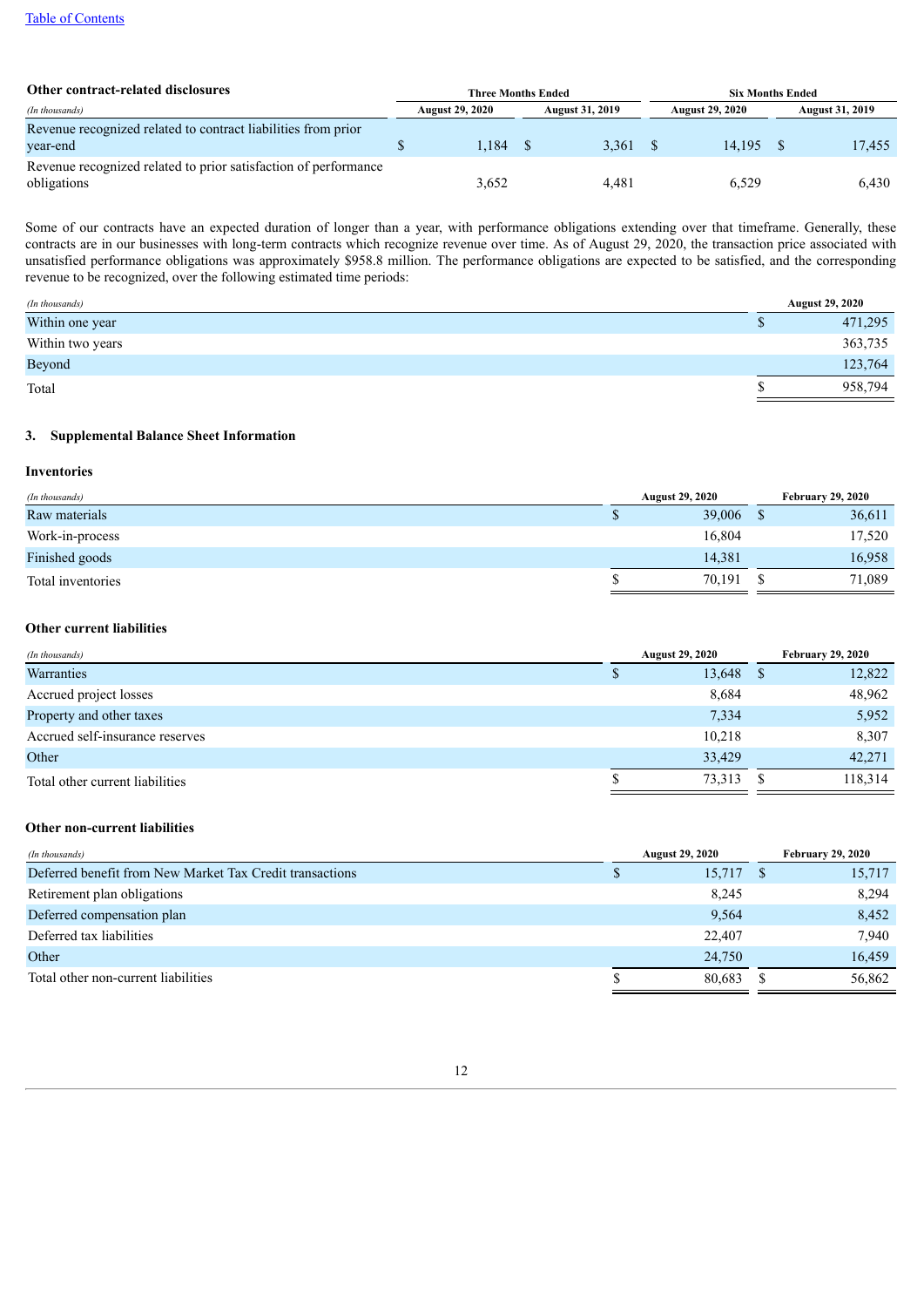| Other contract-related disclosures                                             | <b>Three Months Ended</b> |                        |                        | <b>Six Months Ended</b> |  |                        |  |  |
|--------------------------------------------------------------------------------|---------------------------|------------------------|------------------------|-------------------------|--|------------------------|--|--|
| (In thousands)                                                                 | <b>August 29, 2020</b>    | <b>August 31, 2019</b> | <b>August 29, 2020</b> |                         |  | <b>August 31, 2019</b> |  |  |
| Revenue recognized related to contract liabilities from prior<br>year-end      | 1.184                     | 3.361 S                |                        | 14.195                  |  | 17.455                 |  |  |
| Revenue recognized related to prior satisfaction of performance<br>obligations | 3.652                     | 4.481                  |                        | 6.529                   |  | 6.430                  |  |  |

Some of our contracts have an expected duration of longer than a year, with performance obligations extending over that timeframe. Generally, these contracts are in our businesses with long-term contracts which recognize revenue over time. As of August 29, 2020, the transaction price associated with unsatisfied performance obligations was approximately \$958.8 million. The performance obligations are expected to be satisfied, and the corresponding revenue to be recognized, over the following estimated time periods:

| (In thousands)   | <b>August 29, 2020</b> |         |
|------------------|------------------------|---------|
| Within one year  |                        | 471,295 |
| Within two years |                        | 363,735 |
| Beyond           |                        | 123,764 |
| Total            |                        | 958,794 |

# **3. Supplemental Balance Sheet Information**

# **Inventories**

| (In thousands)    | <b>August 29, 2020</b> |        |   | <b>February 29, 2020</b> |
|-------------------|------------------------|--------|---|--------------------------|
| Raw materials     | N.D                    | 39,006 | c | 36,611                   |
| Work-in-process   |                        | 16,804 |   | 17,520                   |
| Finished goods    |                        | 14,381 |   | 16,958                   |
| Total inventories |                        | 70.191 |   | 71,089                   |

## **Other current liabilities**

| (In thousands)                  | <b>August 29, 2020</b> |        |  | <b>February 29, 2020</b> |
|---------------------------------|------------------------|--------|--|--------------------------|
| Warranties                      |                        | 13,648 |  | 12,822                   |
| Accrued project losses          |                        | 8,684  |  | 48,962                   |
| Property and other taxes        |                        | 7,334  |  | 5,952                    |
| Accrued self-insurance reserves |                        | 10,218 |  | 8,307                    |
| Other                           |                        | 33,429 |  | 42,271                   |
| Total other current liabilities |                        | 73,313 |  | 118,314                  |

# **Other non-current liabilities**

| <b>August 29, 2020</b> |        |  | <b>February 29, 2020</b> |
|------------------------|--------|--|--------------------------|
|                        | 15,717 |  | 15,717                   |
|                        | 8,245  |  | 8,294                    |
|                        | 9,564  |  | 8,452                    |
|                        | 22,407 |  | 7.940                    |
|                        | 24,750 |  | 16,459                   |
|                        | 80,683 |  | 56,862                   |
|                        |        |  |                          |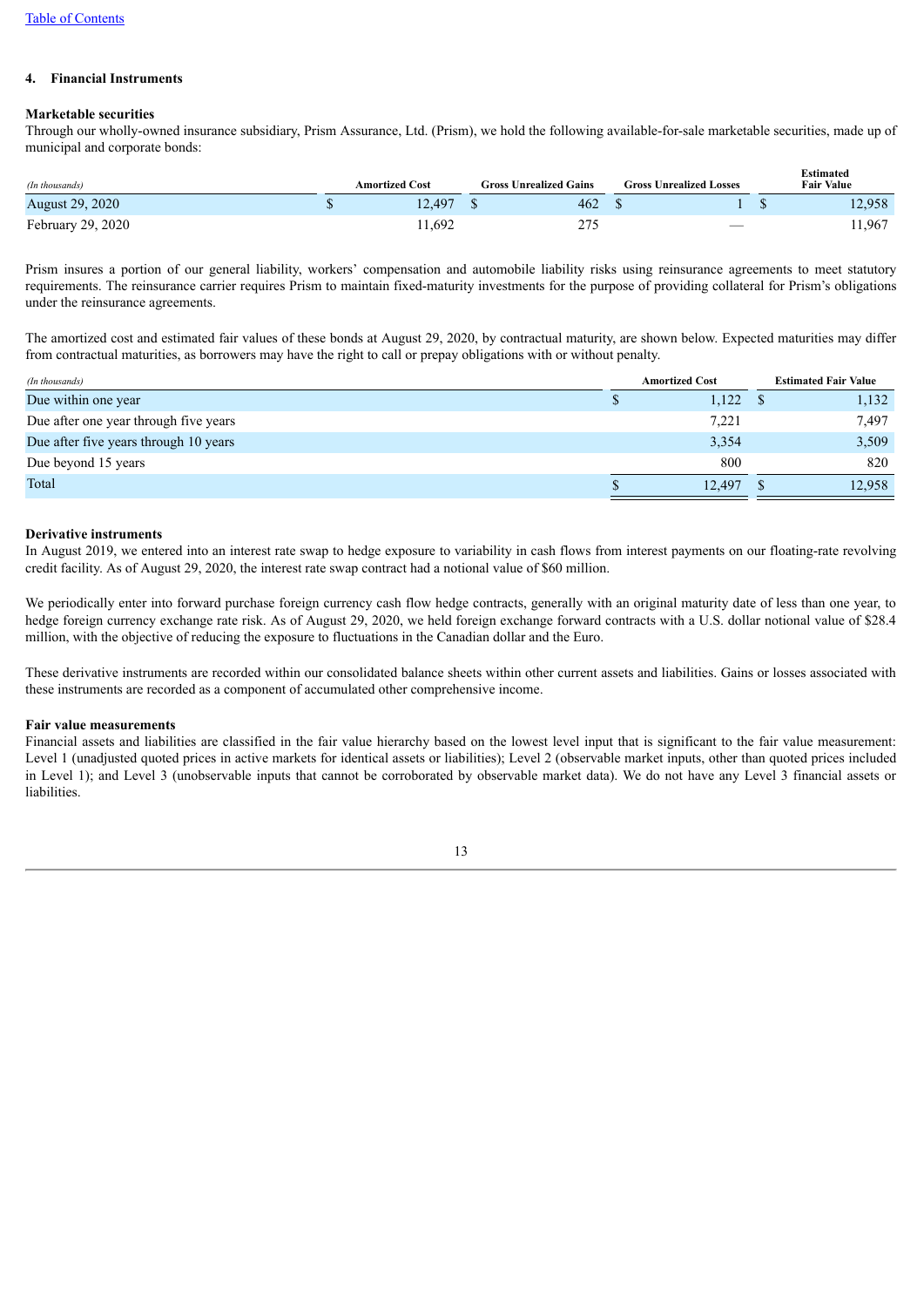# **4. Financial Instruments**

# **Marketable securities**

Through our wholly-owned insurance subsidiary, Prism Assurance, Ltd. (Prism), we hold the following available-for-sale marketable securities, made up of municipal and corporate bonds:

| (In thousands)         | <b>Amortized Cost</b> |        |  | <b>Gross Unrealized Gains</b> | <b>Gross Unrealized Losses</b> | Estimated<br><b>Fair Value</b> |  |  |
|------------------------|-----------------------|--------|--|-------------------------------|--------------------------------|--------------------------------|--|--|
| <b>August 29, 2020</b> |                       | 12.497 |  | 462                           |                                | 12.958                         |  |  |
| February 29, 2020      |                       | 11,692 |  | 275                           |                                | .1,967                         |  |  |

Prism insures a portion of our general liability, workers' compensation and automobile liability risks using reinsurance agreements to meet statutory requirements. The reinsurance carrier requires Prism to maintain fixed-maturity investments for the purpose of providing collateral for Prism's obligations under the reinsurance agreements.

The amortized cost and estimated fair values of these bonds at August 29, 2020, by contractual maturity, are shown below. Expected maturities may differ from contractual maturities, as borrowers may have the right to call or prepay obligations with or without penalty.

| (In thousands)                        | <b>Amortized Cost</b> | <b>Estimated Fair Value</b> |
|---------------------------------------|-----------------------|-----------------------------|
| Due within one year                   | 1,122                 | 1,132                       |
| Due after one year through five years | 7,221                 | 7,497                       |
| Due after five years through 10 years | 3,354                 | 3,509                       |
| Due beyond 15 years                   | 800                   | 820                         |
| Total                                 | 12,497                | 12,958                      |

### **Derivative instruments**

In August 2019, we entered into an interest rate swap to hedge exposure to variability in cash flows from interest payments on our floating-rate revolving credit facility. As of August 29, 2020, the interest rate swap contract had a notional value of \$60 million.

We periodically enter into forward purchase foreign currency cash flow hedge contracts, generally with an original maturity date of less than one year, to hedge foreign currency exchange rate risk. As of August 29, 2020, we held foreign exchange forward contracts with a U.S. dollar notional value of \$28.4 million, with the objective of reducing the exposure to fluctuations in the Canadian dollar and the Euro.

These derivative instruments are recorded within our consolidated balance sheets within other current assets and liabilities. Gains or losses associated with these instruments are recorded as a component of accumulated other comprehensive income.

### **Fair value measurements**

Financial assets and liabilities are classified in the fair value hierarchy based on the lowest level input that is significant to the fair value measurement: Level 1 (unadjusted quoted prices in active markets for identical assets or liabilities); Level 2 (observable market inputs, other than quoted prices included in Level 1); and Level 3 (unobservable inputs that cannot be corroborated by observable market data). We do not have any Level 3 financial assets or liabilities.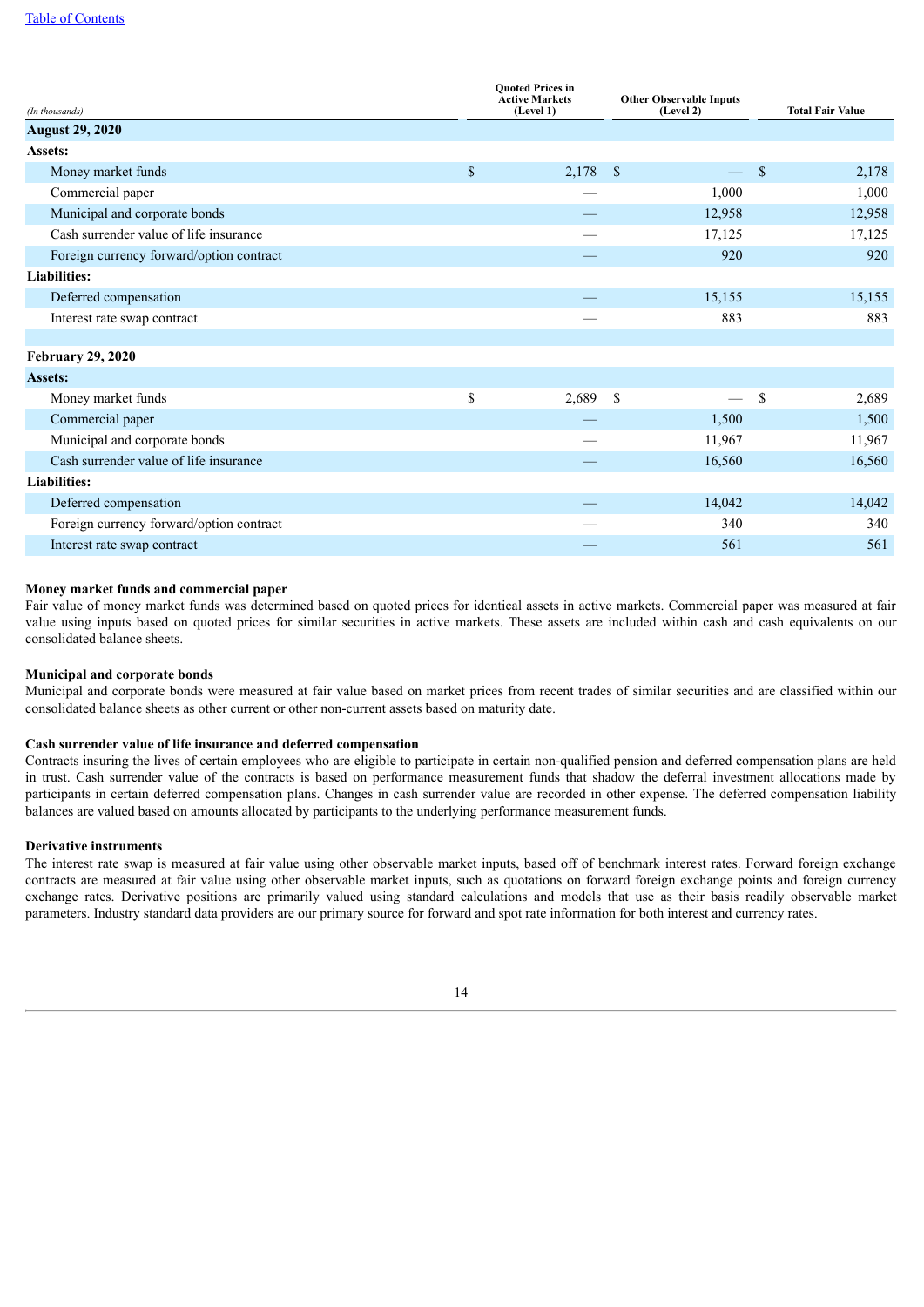| (In thousands)                           |      | <b>Ouoted Prices in</b><br><b>Active Markets</b><br>(Level 1) | <b>Other Observable Inputs</b><br>(Level 2) | <b>Total Fair Value</b> |
|------------------------------------------|------|---------------------------------------------------------------|---------------------------------------------|-------------------------|
| <b>August 29, 2020</b>                   |      |                                                               |                                             |                         |
| Assets:                                  |      |                                                               |                                             |                         |
| Money market funds                       | $\$$ | 2,178                                                         | -S                                          | $\mathbb{S}$<br>2,178   |
| Commercial paper                         |      |                                                               | 1,000                                       | 1,000                   |
| Municipal and corporate bonds            |      |                                                               | 12,958                                      | 12,958                  |
| Cash surrender value of life insurance   |      |                                                               | 17,125                                      | 17,125                  |
| Foreign currency forward/option contract |      |                                                               | 920                                         | 920                     |
| <b>Liabilities:</b>                      |      |                                                               |                                             |                         |
| Deferred compensation                    |      |                                                               | 15,155                                      | 15,155                  |
| Interest rate swap contract              |      |                                                               | 883                                         | 883                     |
|                                          |      |                                                               |                                             |                         |
| <b>February 29, 2020</b>                 |      |                                                               |                                             |                         |
| Assets:                                  |      |                                                               |                                             |                         |
| Money market funds                       | \$   | 2,689                                                         | - \$                                        | $\mathcal{S}$<br>2,689  |
| Commercial paper                         |      |                                                               | 1,500                                       | 1,500                   |
| Municipal and corporate bonds            |      |                                                               | 11,967                                      | 11,967                  |
| Cash surrender value of life insurance   |      |                                                               | 16,560                                      | 16,560                  |
| <b>Liabilities:</b>                      |      |                                                               |                                             |                         |
| Deferred compensation                    |      |                                                               | 14,042                                      | 14,042                  |

#### **Money market funds and commercial paper**

Fair value of money market funds was determined based on quoted prices for identical assets in active markets. Commercial paper was measured at fair value using inputs based on quoted prices for similar securities in active markets. These assets are included within cash and cash equivalents on our consolidated balance sheets.

Foreign currency forward/option contract — 340 340 Interest rate swap contract — 561 561

#### **Municipal and corporate bonds**

Municipal and corporate bonds were measured at fair value based on market prices from recent trades of similar securities and are classified within our consolidated balance sheets as other current or other non-current assets based on maturity date.

#### **Cash surrender value of life insurance and deferred compensation**

Contracts insuring the lives of certain employees who are eligible to participate in certain non-qualified pension and deferred compensation plans are held in trust. Cash surrender value of the contracts is based on performance measurement funds that shadow the deferral investment allocations made by participants in certain deferred compensation plans. Changes in cash surrender value are recorded in other expense. The deferred compensation liability balances are valued based on amounts allocated by participants to the underlying performance measurement funds.

#### **Derivative instruments**

The interest rate swap is measured at fair value using other observable market inputs, based off of benchmark interest rates. Forward foreign exchange contracts are measured at fair value using other observable market inputs, such as quotations on forward foreign exchange points and foreign currency exchange rates. Derivative positions are primarily valued using standard calculations and models that use as their basis readily observable market parameters. Industry standard data providers are our primary source for forward and spot rate information for both interest and currency rates.

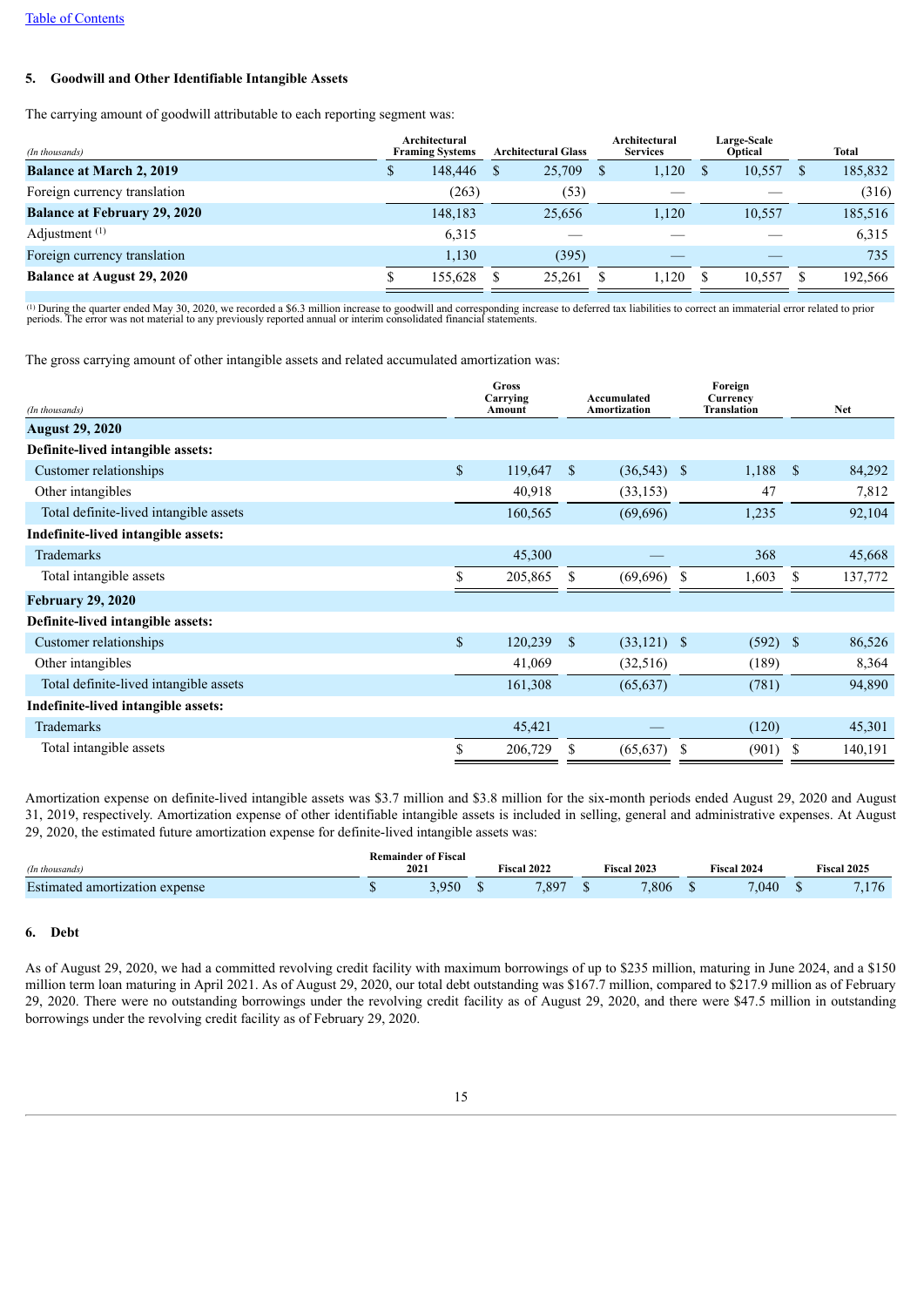# **5. Goodwill and Other Identifiable Intangible Assets**

The carrying amount of goodwill attributable to each reporting segment was:

| (In thousands)                      | Architectural<br><b>Framing Systems</b> | <b>Architectural Glass</b> | Architectural<br><b>Services</b> | <b>Large-Scale</b><br>Optical |        | Total   |
|-------------------------------------|-----------------------------------------|----------------------------|----------------------------------|-------------------------------|--------|---------|
| <b>Balance at March 2, 2019</b>     | 148.446                                 | 25,709                     | 1,120                            |                               | 10,557 | 185,832 |
| Foreign currency translation        | (263)                                   | (53)                       |                                  |                               |        | (316)   |
| <b>Balance at February 29, 2020</b> | 148,183                                 | 25,656                     | 1,120                            |                               | 10,557 | 185,516 |
| Adjustment $(1)$                    | 6,315                                   |                            |                                  |                               |        | 6,315   |
| Foreign currency translation        | 1,130                                   | (395)                      |                                  |                               |        | 735     |
| <b>Balance at August 29, 2020</b>   | 155.628                                 | 25.261                     | 1.120                            |                               | 10.557 | 192.566 |

<sup>(1)</sup> During the quarter ended May 30, 2020, we recorded a \$6.3 million increase to goodwill and corresponding increase to deferred tax liabilities to correct an immaterial error related to prior<br>periods. The error was not

The gross carrying amount of other intangible assets and related accumulated amortization was:

| (In thousands)                         |    | <b>Gross</b><br>Carrying<br>Amount |               | Accumulated<br><b>Amortization</b> | Foreign<br>Currency<br><b>Translation</b> |               | Net     |
|----------------------------------------|----|------------------------------------|---------------|------------------------------------|-------------------------------------------|---------------|---------|
| <b>August 29, 2020</b>                 |    |                                    |               |                                    |                                           |               |         |
| Definite-lived intangible assets:      |    |                                    |               |                                    |                                           |               |         |
| Customer relationships                 | \$ | 119,647                            | <sup>\$</sup> | $(36,543)$ \$                      | 1,188                                     | $\mathbb{S}$  | 84,292  |
| Other intangibles                      |    | 40,918                             |               | (33, 153)                          | 47                                        |               | 7,812   |
| Total definite-lived intangible assets |    | 160,565                            |               | (69,696)                           | 1,235                                     |               | 92,104  |
| Indefinite-lived intangible assets:    |    |                                    |               |                                    |                                           |               |         |
| Trademarks                             |    | 45,300                             |               |                                    | 368                                       |               | 45,668  |
| Total intangible assets                | S  | 205,865                            | \$.           | $(69, 696)$ \$                     | 1,603                                     | <sup>\$</sup> | 137,772 |
| <b>February 29, 2020</b>               |    |                                    |               |                                    |                                           |               |         |
| Definite-lived intangible assets:      |    |                                    |               |                                    |                                           |               |         |
| Customer relationships                 | \$ | 120,239                            | <sup>\$</sup> | $(33,121)$ \$                      | $(592)$ \$                                |               | 86,526  |
| Other intangibles                      |    | 41,069                             |               | (32,516)                           | (189)                                     |               | 8,364   |
| Total definite-lived intangible assets |    | 161,308                            |               | (65, 637)                          | (781)                                     |               | 94,890  |
| Indefinite-lived intangible assets:    |    |                                    |               |                                    |                                           |               |         |
| Trademarks                             |    | 45,421                             |               |                                    | (120)                                     |               | 45,301  |
| Total intangible assets                | S  | 206,729                            |               | (65, 637)                          | (901)                                     |               | 140,191 |

Amortization expense on definite-lived intangible assets was \$3.7 million and \$3.8 million for the six-month periods ended August 29, 2020 and August 31, 2019, respectively. Amortization expense of other identifiable intangible assets is included in selling, general and administrative expenses. At August 29, 2020, the estimated future amortization expense for definite-lived intangible assets was:

| (In thousands)                 | <b>Remainder of Fiscal</b><br>2021 | Fiscal 2022 | Fiscal 2023 | Fiscal 2024 | Fiscal 2025 |       |  |
|--------------------------------|------------------------------------|-------------|-------------|-------------|-------------|-------|--|
| Estimated amortization expense | 3.950                              | 7.897       | 7,806       | 7.040       |             | 7,176 |  |

# **6. Debt**

As of August 29, 2020, we had a committed revolving credit facility with maximum borrowings of up to \$235 million, maturing in June 2024, and a \$150 million term loan maturing in April 2021. As of August 29, 2020, our total debt outstanding was \$167.7 million, compared to \$217.9 million as of February 29, 2020. There were no outstanding borrowings under the revolving credit facility as of August 29, 2020, and there were \$47.5 million in outstanding borrowings under the revolving credit facility as of February 29, 2020.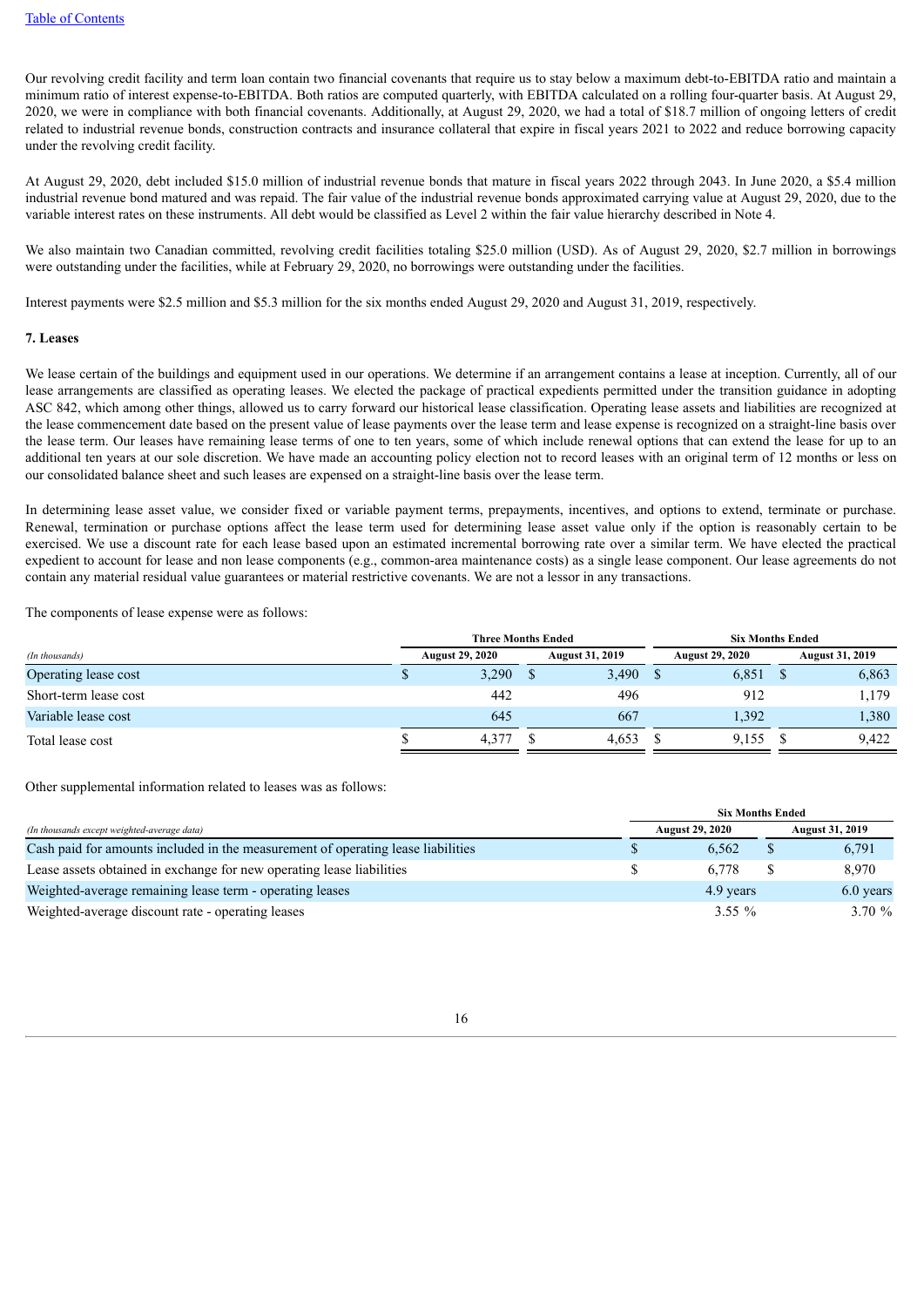Our revolving credit facility and term loan contain two financial covenants that require us to stay below a maximum debt-to-EBITDA ratio and maintain a minimum ratio of interest expense-to-EBITDA. Both ratios are computed quarterly, with EBITDA calculated on a rolling four-quarter basis. At August 29, 2020, we were in compliance with both financial covenants. Additionally, at August 29, 2020, we had a total of \$18.7 million of ongoing letters of credit related to industrial revenue bonds, construction contracts and insurance collateral that expire in fiscal years 2021 to 2022 and reduce borrowing capacity under the revolving credit facility.

At August 29, 2020, debt included \$15.0 million of industrial revenue bonds that mature in fiscal years 2022 through 2043. In June 2020, a \$5.4 million industrial revenue bond matured and was repaid. The fair value of the industrial revenue bonds approximated carrying value at August 29, 2020, due to the variable interest rates on these instruments. All debt would be classified as Level 2 within the fair value hierarchy described in Note 4.

We also maintain two Canadian committed, revolving credit facilities totaling \$25.0 million (USD). As of August 29, 2020, \$2.7 million in borrowings were outstanding under the facilities, while at February 29, 2020, no borrowings were outstanding under the facilities.

Interest payments were \$2.5 million and \$5.3 million for the six months ended August 29, 2020 and August 31, 2019, respectively.

#### **7. Leases**

We lease certain of the buildings and equipment used in our operations. We determine if an arrangement contains a lease at inception. Currently, all of our lease arrangements are classified as operating leases. We elected the package of practical expedients permitted under the transition guidance in adopting ASC 842, which among other things, allowed us to carry forward our historical lease classification. Operating lease assets and liabilities are recognized at the lease commencement date based on the present value of lease payments over the lease term and lease expense is recognized on a straight-line basis over the lease term. Our leases have remaining lease terms of one to ten years, some of which include renewal options that can extend the lease for up to an additional ten years at our sole discretion. We have made an accounting policy election not to record leases with an original term of 12 months or less on our consolidated balance sheet and such leases are expensed on a straight-line basis over the lease term.

In determining lease asset value, we consider fixed or variable payment terms, prepayments, incentives, and options to extend, terminate or purchase. Renewal, termination or purchase options affect the lease term used for determining lease asset value only if the option is reasonably certain to be exercised. We use a discount rate for each lease based upon an estimated incremental borrowing rate over a similar term. We have elected the practical expedient to account for lease and non lease components (e.g., common-area maintenance costs) as a single lease component. Our lease agreements do not contain any material residual value guarantees or material restrictive covenants. We are not a lessor in any transactions.

The components of lease expense were as follows:

|                       | <b>Three Months Ended</b> |                        |                        | <b>Six Months Ended</b> |  |                        |  |  |
|-----------------------|---------------------------|------------------------|------------------------|-------------------------|--|------------------------|--|--|
| (In thousands)        | <b>August 29, 2020</b>    | <b>August 31, 2019</b> | <b>August 29, 2020</b> |                         |  | <b>August 31, 2019</b> |  |  |
| Operating lease cost  | 3,290                     | 3,490                  |                        | 6,851                   |  | 6,863                  |  |  |
| Short-term lease cost | 442                       | 496                    |                        | 912                     |  | 1,179                  |  |  |
| Variable lease cost   | 645                       | 667                    |                        | 1.392                   |  | 1,380                  |  |  |
| Total lease cost      | 4,377                     | 4.653                  |                        | 9.155                   |  | 9.422                  |  |  |

Other supplemental information related to leases was as follows:

|                                                                                  | <b>Six Months Ended</b> |  |                        |  |  |  |  |  |  |
|----------------------------------------------------------------------------------|-------------------------|--|------------------------|--|--|--|--|--|--|
| (In thousands except weighted-average data)                                      | <b>August 29, 2020</b>  |  | <b>August 31, 2019</b> |  |  |  |  |  |  |
| Cash paid for amounts included in the measurement of operating lease liabilities | 6.562                   |  | 6,791                  |  |  |  |  |  |  |
| Lease assets obtained in exchange for new operating lease liabilities            | 6.778                   |  | 8.970                  |  |  |  |  |  |  |
| Weighted-average remaining lease term - operating leases                         | 4.9 years               |  | 6.0 years              |  |  |  |  |  |  |
| Weighted-average discount rate - operating leases                                | $3.55\%$                |  | $3.70 \%$              |  |  |  |  |  |  |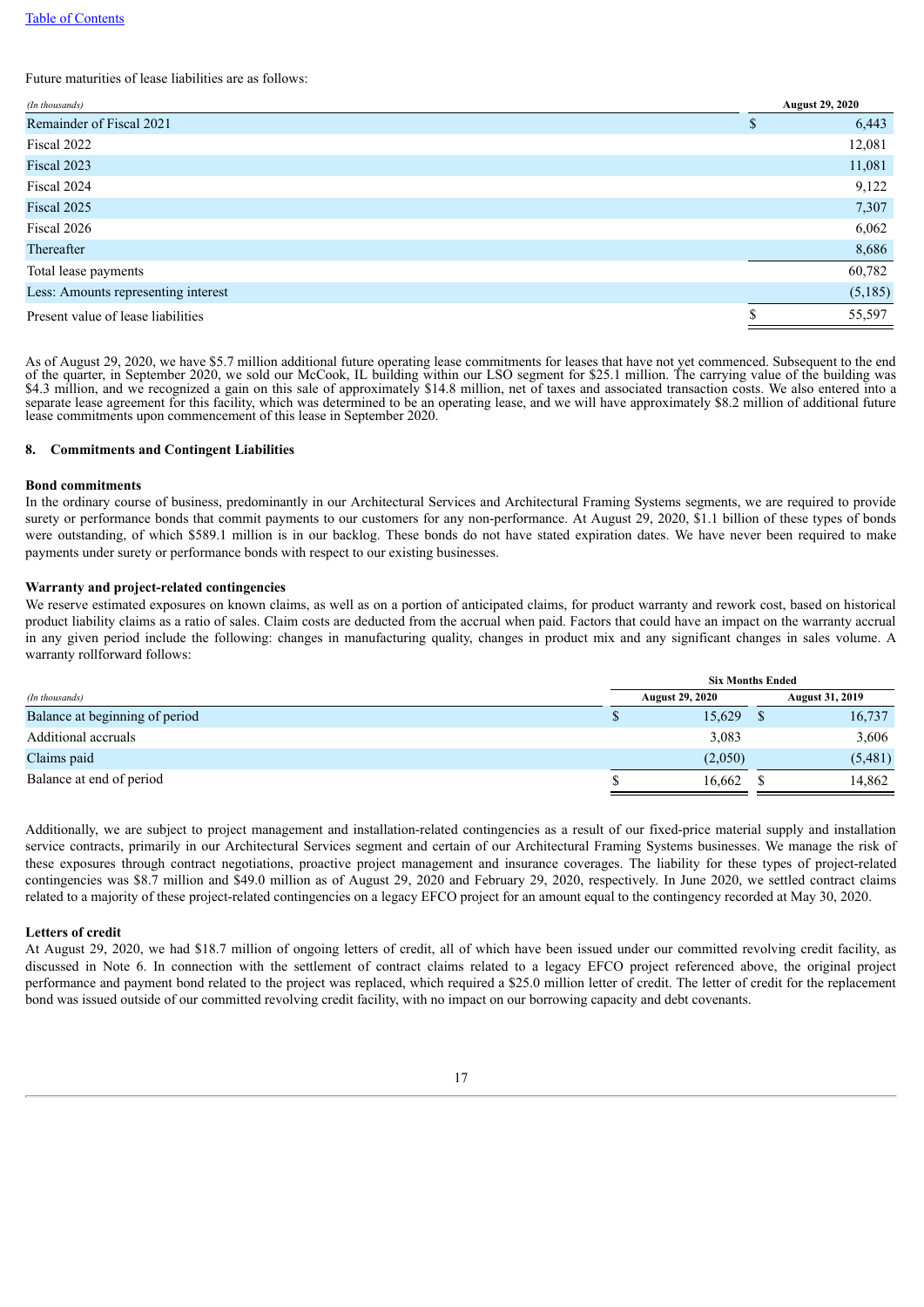Future maturities of lease liabilities are as follows:

| (In thousands)                      |   | <b>August 29, 2020</b> |
|-------------------------------------|---|------------------------|
| Remainder of Fiscal 2021            | Φ | 6,443                  |
| Fiscal 2022                         |   | 12,081                 |
| Fiscal 2023                         |   | 11,081                 |
| Fiscal 2024                         |   | 9,122                  |
| Fiscal 2025                         |   | 7,307                  |
| Fiscal 2026                         |   | 6,062                  |
| Thereafter                          |   | 8,686                  |
| Total lease payments                |   | 60,782                 |
| Less: Amounts representing interest |   | (5,185)                |
| Present value of lease liabilities  |   | 55,597                 |

As of August 29, 2020, we have \$5.7 million additional future operating lease commitments for leases that have not yet commenced. Subsequent to the end of the quarter, in September 2020, we sold our McCook, IL building within our LSO segment for \$25.1 million. The carrying value of the building was \$4.3 million, and we recognized a gain on this sale of approximately \$14.8 million, net of taxes and associated transaction costs. We also entered into a separate lease agreement for this facility, which was determined to be an operating lease, and we will have approximately \$8.2 million of additional future lease commitments upon commencement of this lease in September 2020.

#### **8. Commitments and Contingent Liabilities**

#### **Bond commitments**

In the ordinary course of business, predominantly in our Architectural Services and Architectural Framing Systems segments, we are required to provide surety or performance bonds that commit payments to our customers for any non-performance. At August 29, 2020, \$1.1 billion of these types of bonds were outstanding, of which \$589.1 million is in our backlog. These bonds do not have stated expiration dates. We have never been required to make payments under surety or performance bonds with respect to our existing businesses.

#### **Warranty and project-related contingencies**

We reserve estimated exposures on known claims, as well as on a portion of anticipated claims, for product warranty and rework cost, based on historical product liability claims as a ratio of sales. Claim costs are deducted from the accrual when paid. Factors that could have an impact on the warranty accrual in any given period include the following: changes in manufacturing quality, changes in product mix and any significant changes in sales volume. A warranty rollforward follows:

|                                | <b>Six Months Ended</b> |  |                        |  |                        |  |  |  |  |  |
|--------------------------------|-------------------------|--|------------------------|--|------------------------|--|--|--|--|--|
| (In thousands)                 |                         |  | <b>August 29, 2020</b> |  | <b>August 31, 2019</b> |  |  |  |  |  |
| Balance at beginning of period | кD                      |  | 15,629                 |  | 16,737                 |  |  |  |  |  |
| Additional accruals            |                         |  | 3,083                  |  | 3,606                  |  |  |  |  |  |
| Claims paid                    |                         |  | (2,050)                |  | (5,481)                |  |  |  |  |  |
| Balance at end of period       |                         |  | 16.662                 |  | 14,862                 |  |  |  |  |  |

Additionally, we are subject to project management and installation-related contingencies as a result of our fixed-price material supply and installation service contracts, primarily in our Architectural Services segment and certain of our Architectural Framing Systems businesses. We manage the risk of these exposures through contract negotiations, proactive project management and insurance coverages. The liability for these types of project-related contingencies was \$8.7 million and \$49.0 million as of August 29, 2020 and February 29, 2020, respectively. In June 2020, we settled contract claims related to a majority of these project-related contingencies on a legacy EFCO project for an amount equal to the contingency recorded at May 30, 2020.

#### **Letters of credit**

At August 29, 2020, we had \$18.7 million of ongoing letters of credit, all of which have been issued under our committed revolving credit facility, as discussed in Note 6. In connection with the settlement of contract claims related to a legacy EFCO project referenced above, the original project performance and payment bond related to the project was replaced, which required a \$25.0 million letter of credit. The letter of credit for the replacement bond was issued outside of our committed revolving credit facility, with no impact on our borrowing capacity and debt covenants.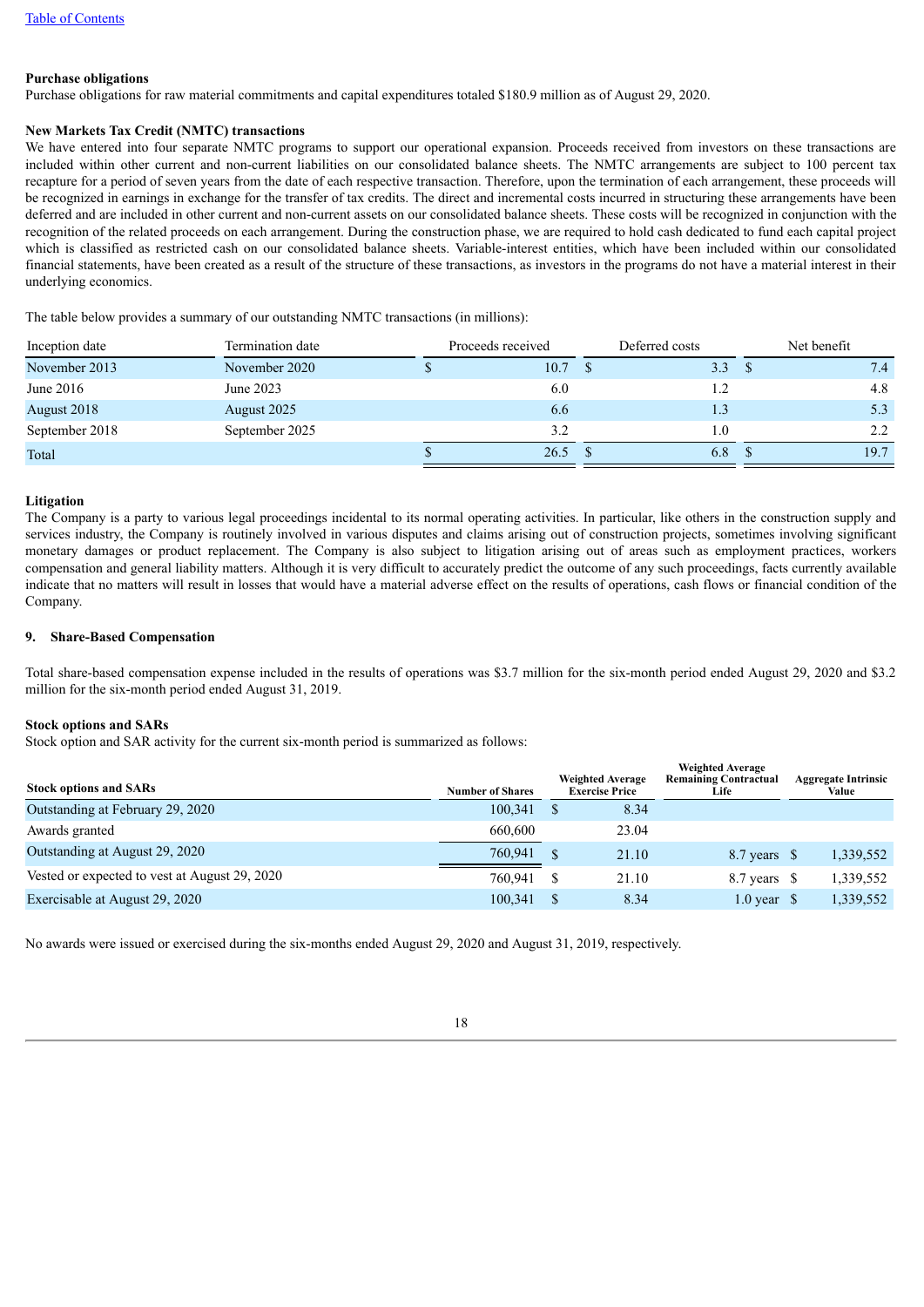# **Purchase obligations**

Purchase obligations for raw material commitments and capital expenditures totaled \$180.9 million as of August 29, 2020.

### **New Markets Tax Credit (NMTC) transactions**

We have entered into four separate NMTC programs to support our operational expansion. Proceeds received from investors on these transactions are included within other current and non-current liabilities on our consolidated balance sheets. The NMTC arrangements are subject to 100 percent tax recapture for a period of seven years from the date of each respective transaction. Therefore, upon the termination of each arrangement, these proceeds will be recognized in earnings in exchange for the transfer of tax credits. The direct and incremental costs incurred in structuring these arrangements have been deferred and are included in other current and non-current assets on our consolidated balance sheets. These costs will be recognized in conjunction with the recognition of the related proceeds on each arrangement. During the construction phase, we are required to hold cash dedicated to fund each capital project which is classified as restricted cash on our consolidated balance sheets. Variable-interest entities, which have been included within our consolidated financial statements, have been created as a result of the structure of these transactions, as investors in the programs do not have a material interest in their underlying economics.

The table below provides a summary of our outstanding NMTC transactions (in millions):

| Inception date | Termination date |  | Proceeds received | Deferred costs | Net benefit |      |  |
|----------------|------------------|--|-------------------|----------------|-------------|------|--|
| November 2013  | November 2020    |  | 10.7              | 3.3            |             | 7.4  |  |
| June $2016$    | June 2023        |  | 6.0               |                |             | 4.8  |  |
| August 2018    | August 2025      |  | 6.6               |                |             | 5.3  |  |
| September 2018 | September 2025   |  | 3.2               | 0.1            |             | 2.2  |  |
| Total          |                  |  | 26.5              | 6.8            |             | 19.7 |  |

#### **Litigation**

The Company is a party to various legal proceedings incidental to its normal operating activities. In particular, like others in the construction supply and services industry, the Company is routinely involved in various disputes and claims arising out of construction projects, sometimes involving significant monetary damages or product replacement. The Company is also subject to litigation arising out of areas such as employment practices, workers compensation and general liability matters. Although it is very difficult to accurately predict the outcome of any such proceedings, facts currently available indicate that no matters will result in losses that would have a material adverse effect on the results of operations, cash flows or financial condition of the Company.

#### **9. Share-Based Compensation**

Total share-based compensation expense included in the results of operations was \$3.7 million for the six-month period ended August 29, 2020 and \$3.2 million for the six-month period ended August 31, 2019.

#### **Stock options and SARs**

Stock option and SAR activity for the current six-month period is summarized as follows:

| <b>Stock options and SARs</b>                 | <b>Number of Shares</b> | <b>Weighted Average</b><br><b>Exercise Price</b> | <b>Weighted Average</b><br><b>Remaining Contractual</b><br>Life | <b>Aggregate Intrinsic</b><br>Value |
|-----------------------------------------------|-------------------------|--------------------------------------------------|-----------------------------------------------------------------|-------------------------------------|
| Outstanding at February 29, 2020              | 100.341                 | 8.34                                             |                                                                 |                                     |
| Awards granted                                | 660.600                 | 23.04                                            |                                                                 |                                     |
| Outstanding at August 29, 2020                | 760.941                 | 21.10                                            | 8.7 years \$                                                    | 1,339,552                           |
| Vested or expected to vest at August 29, 2020 | 760.941                 | 21.10                                            | 8.7 years \$                                                    | 1,339,552                           |
| Exercisable at August 29, 2020                | 100,341                 | 8.34                                             | $1.0$ year $\delta$                                             | 1,339,552                           |

No awards were issued or exercised during the six-months ended August 29, 2020 and August 31, 2019, respectively.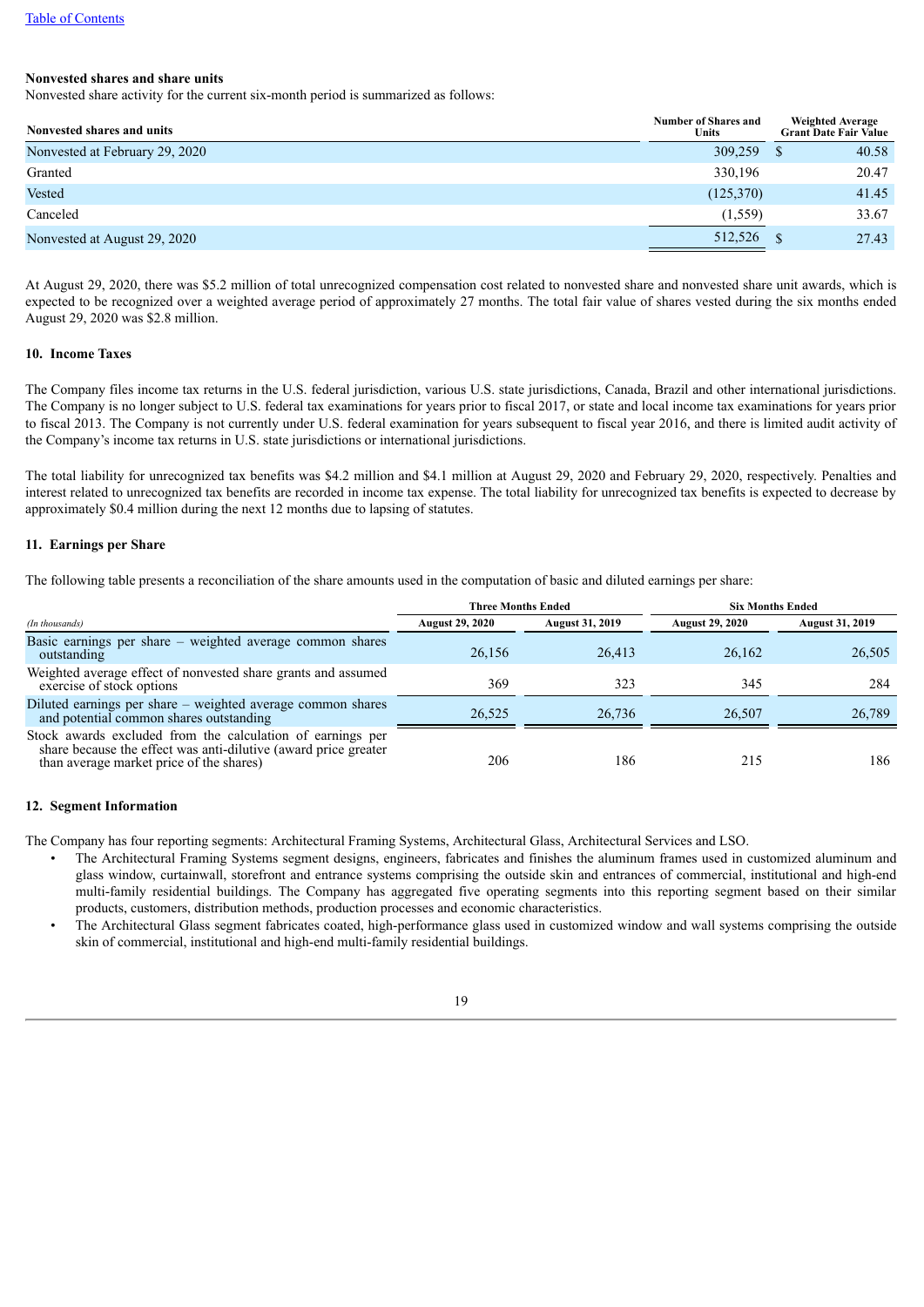### **Nonvested shares and share units**

Nonvested share activity for the current six-month period is summarized as follows:

| Nonvested shares and units     | <b>Number of Shares and</b><br>Units | <b>Weighted Average</b><br><b>Grant Date Fair Value</b> |
|--------------------------------|--------------------------------------|---------------------------------------------------------|
| Nonvested at February 29, 2020 | 309,259                              | 40.58                                                   |
| Granted                        | 330,196                              | 20.47                                                   |
| Vested                         | (125,370)                            | 41.45                                                   |
| Canceled                       | (1,559)                              | 33.67                                                   |
| Nonvested at August 29, 2020   | 512,526                              | 27.43                                                   |

At August 29, 2020, there was \$5.2 million of total unrecognized compensation cost related to nonvested share and nonvested share unit awards, which is expected to be recognized over a weighted average period of approximately 27 months. The total fair value of shares vested during the six months ended August 29, 2020 was \$2.8 million.

#### **10. Income Taxes**

The Company files income tax returns in the U.S. federal jurisdiction, various U.S. state jurisdictions, Canada, Brazil and other international jurisdictions. The Company is no longer subject to U.S. federal tax examinations for years prior to fiscal 2017, or state and local income tax examinations for years prior to fiscal 2013. The Company is not currently under U.S. federal examination for years subsequent to fiscal year 2016, and there is limited audit activity of the Company's income tax returns in U.S. state jurisdictions or international jurisdictions.

The total liability for unrecognized tax benefits was \$4.2 million and \$4.1 million at August 29, 2020 and February 29, 2020, respectively. Penalties and interest related to unrecognized tax benefits are recorded in income tax expense. The total liability for unrecognized tax benefits is expected to decrease by approximately \$0.4 million during the next 12 months due to lapsing of statutes.

#### **11. Earnings per Share**

The following table presents a reconciliation of the share amounts used in the computation of basic and diluted earnings per share:

|                                                                                                                                                                           | <b>Three Months Ended</b> |                        | <b>Six Months Ended</b> |                        |  |  |
|---------------------------------------------------------------------------------------------------------------------------------------------------------------------------|---------------------------|------------------------|-------------------------|------------------------|--|--|
| (In thousands)                                                                                                                                                            | <b>August 29, 2020</b>    | <b>August 31, 2019</b> | <b>August 29, 2020</b>  | <b>August 31, 2019</b> |  |  |
| Basic earnings per share – weighted average common shares<br>outstanding                                                                                                  | 26,156                    | 26.413                 | 26.162                  | 26,505                 |  |  |
| Weighted average effect of nonvested share grants and assumed<br>exercise of stock options                                                                                | 369                       | 323                    | 345                     | 284                    |  |  |
| Diluted earnings per share - weighted average common shares<br>and potential common shares outstanding                                                                    | 26.525                    | 26.736                 | 26.507                  | 26,789                 |  |  |
| Stock awards excluded from the calculation of earnings per<br>share because the effect was anti-dilutive (award price greater<br>than average market price of the shares) | 206                       | 186                    | 215                     | 186                    |  |  |

#### **12. Segment Information**

The Company has four reporting segments: Architectural Framing Systems, Architectural Glass, Architectural Services and LSO.

- The Architectural Framing Systems segment designs, engineers, fabricates and finishes the aluminum frames used in customized aluminum and glass window, curtainwall, storefront and entrance systems comprising the outside skin and entrances of commercial, institutional and high-end multi-family residential buildings. The Company has aggregated five operating segments into this reporting segment based on their similar products, customers, distribution methods, production processes and economic characteristics.
- The Architectural Glass segment fabricates coated, high-performance glass used in customized window and wall systems comprising the outside skin of commercial, institutional and high-end multi-family residential buildings.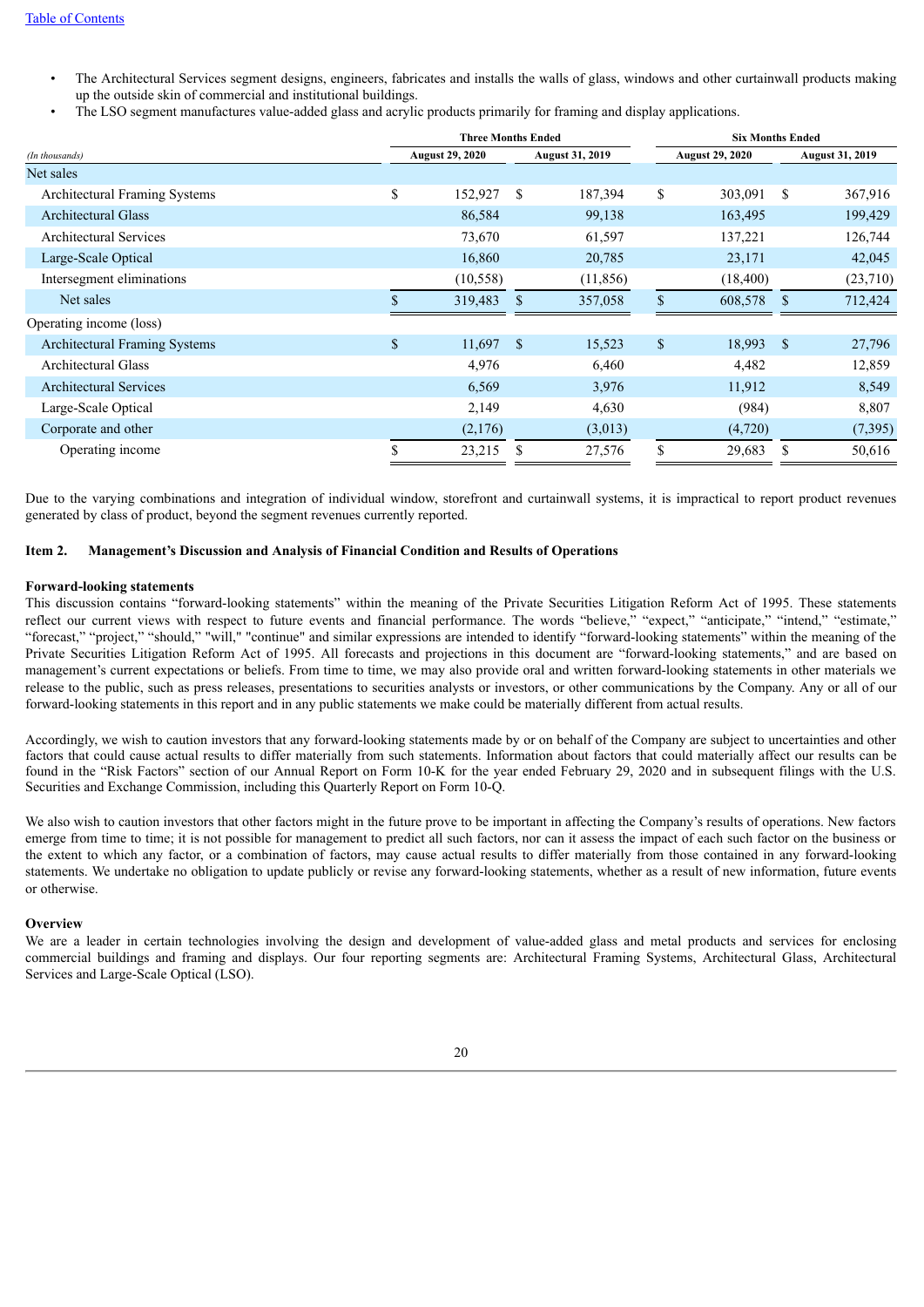- The Architectural Services segment designs, engineers, fabricates and installs the walls of glass, windows and other curtainwall products making up the outside skin of commercial and institutional buildings.
- The LSO segment manufactures value-added glass and acrylic products primarily for framing and display applications.

|                                      |                        | <b>Three Months Ended</b> |               |                        | <b>Six Months Ended</b> |          |               |                        |
|--------------------------------------|------------------------|---------------------------|---------------|------------------------|-------------------------|----------|---------------|------------------------|
| (In thousands)                       | <b>August 29, 2020</b> |                           |               | <b>August 31, 2019</b> | <b>August 29, 2020</b>  |          |               | <b>August 31, 2019</b> |
| Net sales                            |                        |                           |               |                        |                         |          |               |                        |
| Architectural Framing Systems        | \$                     | 152,927                   | <sup>\$</sup> | 187,394                | \$                      | 303,091  | \$            | 367,916                |
| <b>Architectural Glass</b>           |                        | 86,584                    |               | 99,138                 |                         | 163,495  |               | 199,429                |
| <b>Architectural Services</b>        |                        | 73,670                    |               | 61,597                 |                         | 137,221  |               | 126,744                |
| Large-Scale Optical                  |                        | 16,860                    |               | 20,785                 |                         | 23,171   |               | 42,045                 |
| Intersegment eliminations            |                        | (10, 558)                 |               | (11, 856)              |                         | (18,400) |               | (23,710)               |
| Net sales                            |                        | 319,483                   | <sup>S</sup>  | 357,058                | $\mathbf S$             | 608,578  | \$.           | 712,424                |
| Operating income (loss)              |                        |                           |               |                        |                         |          |               |                        |
| <b>Architectural Framing Systems</b> | $\mathbb{S}$           | 11,697                    | <sup>S</sup>  | 15,523                 | $\mathcal{S}$           | 18,993   | <sup>\$</sup> | 27,796                 |
| Architectural Glass                  |                        | 4,976                     |               | 6,460                  |                         | 4,482    |               | 12,859                 |
| <b>Architectural Services</b>        |                        | 6,569                     |               | 3,976                  |                         | 11,912   |               | 8,549                  |
| Large-Scale Optical                  |                        | 2,149                     |               | 4,630                  |                         | (984)    |               | 8,807                  |
| Corporate and other                  |                        | (2,176)                   |               | (3,013)                |                         | (4,720)  |               | (7,395)                |
| Operating income                     |                        | 23,215                    |               | 27,576                 | \$                      | 29,683   | \$            | 50,616                 |

Due to the varying combinations and integration of individual window, storefront and curtainwall systems, it is impractical to report product revenues generated by class of product, beyond the segment revenues currently reported.

#### <span id="page-19-0"></span>**Item 2. Management's Discussion and Analysis of Financial Condition and Results of Operations**

#### **Forward-looking statements**

This discussion contains "forward-looking statements" within the meaning of the Private Securities Litigation Reform Act of 1995. These statements reflect our current views with respect to future events and financial performance. The words "believe," "expect," "anticipate," "intend," "estimate," "forecast," "project," "should," "will," "continue" and similar expressions are intended to identify "forward-looking statements" within the meaning of the Private Securities Litigation Reform Act of 1995. All forecasts and projections in this document are "forward-looking statements," and are based on management's current expectations or beliefs. From time to time, we may also provide oral and written forward-looking statements in other materials we release to the public, such as press releases, presentations to securities analysts or investors, or other communications by the Company. Any or all of our forward-looking statements in this report and in any public statements we make could be materially different from actual results.

Accordingly, we wish to caution investors that any forward-looking statements made by or on behalf of the Company are subject to uncertainties and other factors that could cause actual results to differ materially from such statements. Information about factors that could materially affect our results can be found in the "Risk Factors" section of our Annual Report on Form 10-K for the year ended February 29, 2020 and in subsequent filings with the U.S. Securities and Exchange Commission, including this Quarterly Report on Form 10-Q.

We also wish to caution investors that other factors might in the future prove to be important in affecting the Company's results of operations. New factors emerge from time to time; it is not possible for management to predict all such factors, nor can it assess the impact of each such factor on the business or the extent to which any factor, or a combination of factors, may cause actual results to differ materially from those contained in any forward-looking statements. We undertake no obligation to update publicly or revise any forward-looking statements, whether as a result of new information, future events or otherwise.

#### **Overview**

We are a leader in certain technologies involving the design and development of value-added glass and metal products and services for enclosing commercial buildings and framing and displays. Our four reporting segments are: Architectural Framing Systems, Architectural Glass, Architectural Services and Large-Scale Optical (LSO).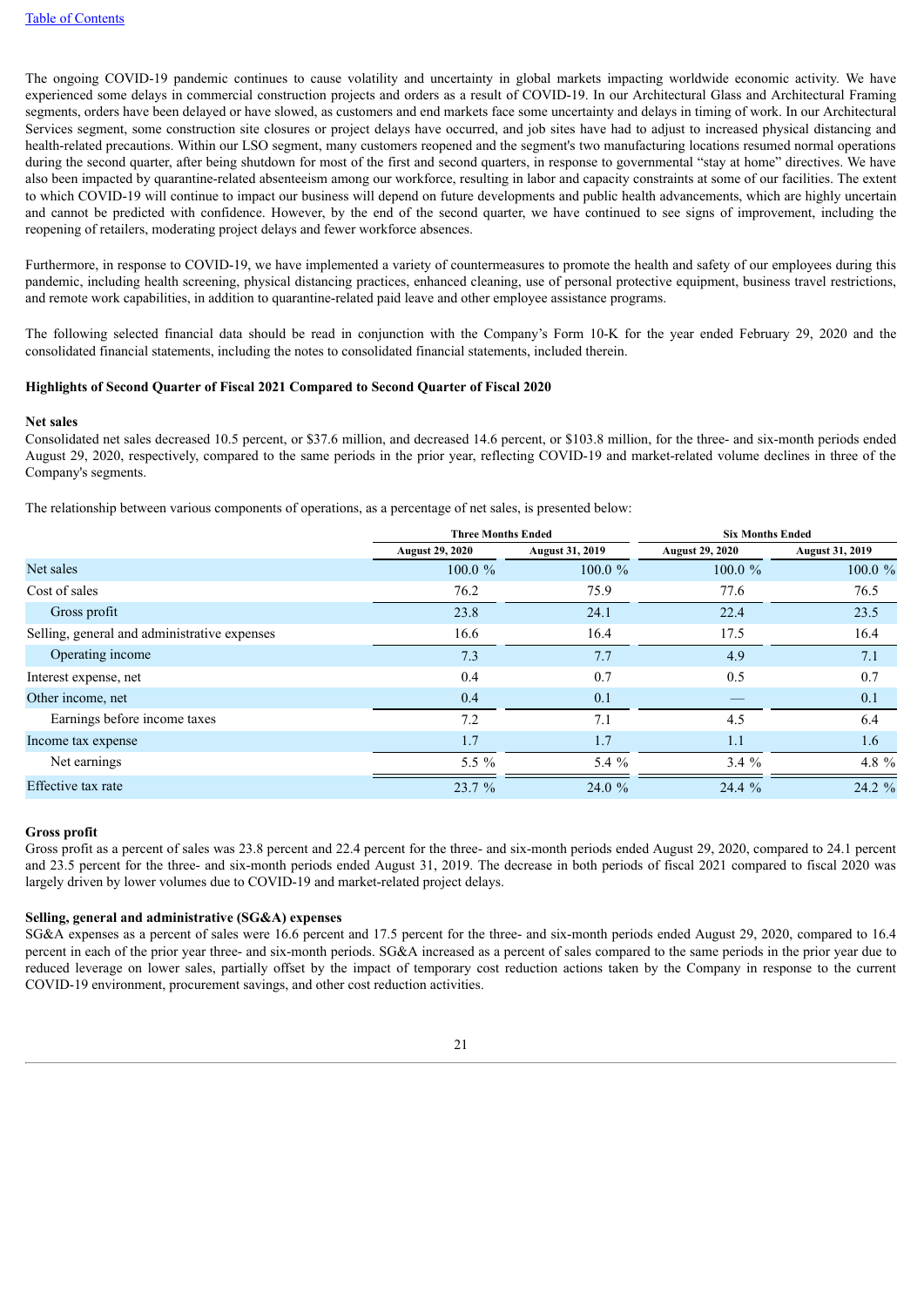The ongoing COVID-19 pandemic continues to cause volatility and uncertainty in global markets impacting worldwide economic activity. We have experienced some delays in commercial construction projects and orders as a result of COVID-19. In our Architectural Glass and Architectural Framing segments, orders have been delayed or have slowed, as customers and end markets face some uncertainty and delays in timing of work. In our Architectural Services segment, some construction site closures or project delays have occurred, and job sites have had to adjust to increased physical distancing and health-related precautions. Within our LSO segment, many customers reopened and the segment's two manufacturing locations resumed normal operations during the second quarter, after being shutdown for most of the first and second quarters, in response to governmental "stay at home" directives. We have also been impacted by quarantine-related absenteeism among our workforce, resulting in labor and capacity constraints at some of our facilities. The extent to which COVID-19 will continue to impact our business will depend on future developments and public health advancements, which are highly uncertain and cannot be predicted with confidence. However, by the end of the second quarter, we have continued to see signs of improvement, including the reopening of retailers, moderating project delays and fewer workforce absences.

Furthermore, in response to COVID-19, we have implemented a variety of countermeasures to promote the health and safety of our employees during this pandemic, including health screening, physical distancing practices, enhanced cleaning, use of personal protective equipment, business travel restrictions, and remote work capabilities, in addition to quarantine-related paid leave and other employee assistance programs.

The following selected financial data should be read in conjunction with the Company's Form 10-K for the year ended February 29, 2020 and the consolidated financial statements, including the notes to consolidated financial statements, included therein.

#### **Highlights of Second Quarter of Fiscal 2021 Compared to Second Quarter of Fiscal 2020**

#### **Net sales**

Consolidated net sales decreased 10.5 percent, or \$37.6 million, and decreased 14.6 percent, or \$103.8 million, for the three- and six-month periods ended August 29, 2020, respectively, compared to the same periods in the prior year, reflecting COVID-19 and market-related volume declines in three of the Company's segments.

The relationship between various components of operations, as a percentage of net sales, is presented below:

|                                              | <b>Three Months Ended</b> |                        | <b>Six Months Ended</b> |                        |  |  |
|----------------------------------------------|---------------------------|------------------------|-------------------------|------------------------|--|--|
|                                              | <b>August 29, 2020</b>    | <b>August 31, 2019</b> | <b>August 29, 2020</b>  | <b>August 31, 2019</b> |  |  |
| Net sales                                    | $100.0 \%$                | $100.0 \%$             | $100.0 \%$              | $100.0 \%$             |  |  |
| Cost of sales                                | 76.2                      | 75.9                   | 77.6                    | 76.5                   |  |  |
| Gross profit                                 | 23.8                      | 24.1                   | 22.4                    | 23.5                   |  |  |
| Selling, general and administrative expenses | 16.6                      | 16.4                   | 17.5                    | 16.4                   |  |  |
| Operating income                             | 7.3                       | 7.7                    | 4.9                     | 7.1                    |  |  |
| Interest expense, net                        | 0.4                       | 0.7                    | 0.5                     | 0.7                    |  |  |
| Other income, net                            | 0.4                       | 0.1                    |                         | 0.1                    |  |  |
| Earnings before income taxes                 | 7.2                       | 7.1                    | 4.5                     | 6.4                    |  |  |
| Income tax expense                           | 1.7                       | 1.7                    | 1.1                     | 1.6                    |  |  |
| Net earnings                                 | 5.5 $%$                   | 5.4 $%$                | $3.4 \%$                | 4.8 $%$                |  |  |
| Effective tax rate                           | 23.7%                     | 24.0%                  | 24.4%                   | $24.2 \%$              |  |  |

#### **Gross profit**

Gross profit as a percent of sales was 23.8 percent and 22.4 percent for the three- and six-month periods ended August 29, 2020, compared to 24.1 percent and 23.5 percent for the three- and six-month periods ended August 31, 2019. The decrease in both periods of fiscal 2021 compared to fiscal 2020 was largely driven by lower volumes due to COVID-19 and market-related project delays.

#### **Selling, general and administrative (SG&A) expenses**

SG&A expenses as a percent of sales were 16.6 percent and 17.5 percent for the three- and six-month periods ended August 29, 2020, compared to 16.4 percent in each of the prior year three- and six-month periods. SG&A increased as a percent of sales compared to the same periods in the prior year due to reduced leverage on lower sales, partially offset by the impact of temporary cost reduction actions taken by the Company in response to the current COVID-19 environment, procurement savings, and other cost reduction activities.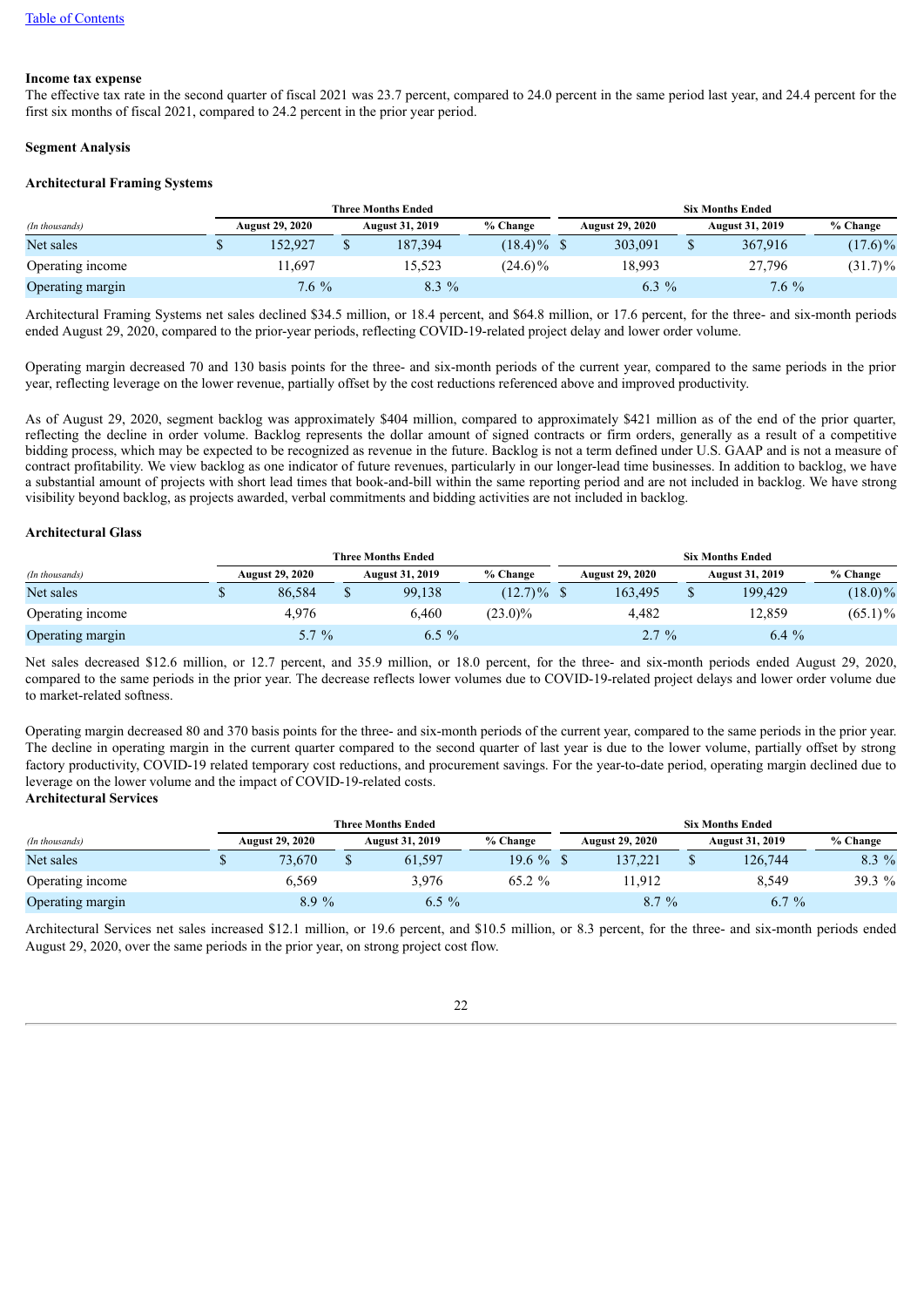### **Income tax expense**

The effective tax rate in the second quarter of fiscal 2021 was 23.7 percent, compared to 24.0 percent in the same period last year, and 24.4 percent for the first six months of fiscal 2021, compared to 24.2 percent in the prior year period.

### **Segment Analysis**

#### **Architectural Framing Systems**

|                  |                        | Three Months Ended<br><b>Six Months Ended</b> |                        |            |  |                        |  |                        |            |
|------------------|------------------------|-----------------------------------------------|------------------------|------------|--|------------------------|--|------------------------|------------|
| (In thousands)   | <b>August 29, 2020</b> |                                               | <b>August 31, 2019</b> | % Change   |  | <b>August 29, 2020</b> |  | <b>August 31, 2019</b> | % Change   |
| Net sales        | 152.927                |                                               | 187,394                | $(18.4)\%$ |  | 303.091                |  | 367.916                | $(17.6)\%$ |
| Operating income | 1.697                  |                                               | 5.523                  | $(24.6)\%$ |  | 18.993                 |  | 27,796                 | $(31.7)\%$ |
| Operating margin | $7.6 \%$               |                                               | $8.3\%$                |            |  | $6.3 \%$               |  | $7.6\%$                |            |

Architectural Framing Systems net sales declined \$34.5 million, or 18.4 percent, and \$64.8 million, or 17.6 percent, for the three- and six-month periods ended August 29, 2020, compared to the prior-year periods, reflecting COVID-19-related project delay and lower order volume.

Operating margin decreased 70 and 130 basis points for the three- and six-month periods of the current year, compared to the same periods in the prior year, reflecting leverage on the lower revenue, partially offset by the cost reductions referenced above and improved productivity.

As of August 29, 2020, segment backlog was approximately \$404 million, compared to approximately \$421 million as of the end of the prior quarter, reflecting the decline in order volume. Backlog represents the dollar amount of signed contracts or firm orders, generally as a result of a competitive bidding process, which may be expected to be recognized as revenue in the future. Backlog is not a term defined under U.S. GAAP and is not a measure of contract profitability. We view backlog as one indicator of future revenues, particularly in our longer-lead time businesses. In addition to backlog, we have a substantial amount of projects with short lead times that book-and-bill within the same reporting period and are not included in backlog. We have strong visibility beyond backlog, as projects awarded, verbal commitments and bidding activities are not included in backlog.

#### **Architectural Glass**

|                  | <b>Three Months Ended</b><br><b>Six Months Ended</b> |  |                        |               |  |                        |                        |            |
|------------------|------------------------------------------------------|--|------------------------|---------------|--|------------------------|------------------------|------------|
| (In thousands)   | <b>August 29, 2020</b>                               |  | <b>August 31, 2019</b> | % Change      |  | <b>August 29, 2020</b> | <b>August 31, 2019</b> | % Change   |
| Net sales        | 86.584                                               |  | 99.138                 | $(12.7)\%$ \$ |  | 163.495                | 199.429                | $(18.0)\%$ |
| Operating income | 4.976                                                |  | 6.460                  | $(23.0)\%$    |  | 4.482                  | 12,859                 | $(65.1)\%$ |
| Operating margin | 5.7 $%$                                              |  | $6.5 \%$               |               |  | $2.7\%$                | $6.4\%$                |            |

Net sales decreased \$12.6 million, or 12.7 percent, and 35.9 million, or 18.0 percent, for the three- and six-month periods ended August 29, 2020, compared to the same periods in the prior year. The decrease reflects lower volumes due to COVID-19-related project delays and lower order volume due to market-related softness.

Operating margin decreased 80 and 370 basis points for the three- and six-month periods of the current year, compared to the same periods in the prior year. The decline in operating margin in the current quarter compared to the second quarter of last year is due to the lower volume, partially offset by strong factory productivity, COVID-19 related temporary cost reductions, and procurement savings. For the year-to-date period, operating margin declined due to leverage on the lower volume and the impact of COVID-19-related costs. **Architectural Services**

|                  |                 | <b>Three Months Ended</b> |                        | <b>Six Months Ended</b> |  |                        |  |                        |          |
|------------------|-----------------|---------------------------|------------------------|-------------------------|--|------------------------|--|------------------------|----------|
| (In thousands)   | August 29, 2020 |                           | <b>August 31, 2019</b> | % Change                |  | <b>August 29, 2020</b> |  | <b>August 31, 2019</b> | % Change |
| Net sales        | 73.670          |                           | 61,597                 | 19.6 %                  |  | 137.221                |  | 126.744                | $8.3\%$  |
| Operating income | 6.569           |                           | 3.976                  | 65.2 %                  |  | 11.912                 |  | 8.549                  | $39.3\%$ |
| Operating margin | $8.9\%$         |                           | $6.5\%$                |                         |  | $8.7\%$                |  | $6.7 \%$               |          |

Architectural Services net sales increased \$12.1 million, or 19.6 percent, and \$10.5 million, or 8.3 percent, for the three- and six-month periods ended August 29, 2020, over the same periods in the prior year, on strong project cost flow.

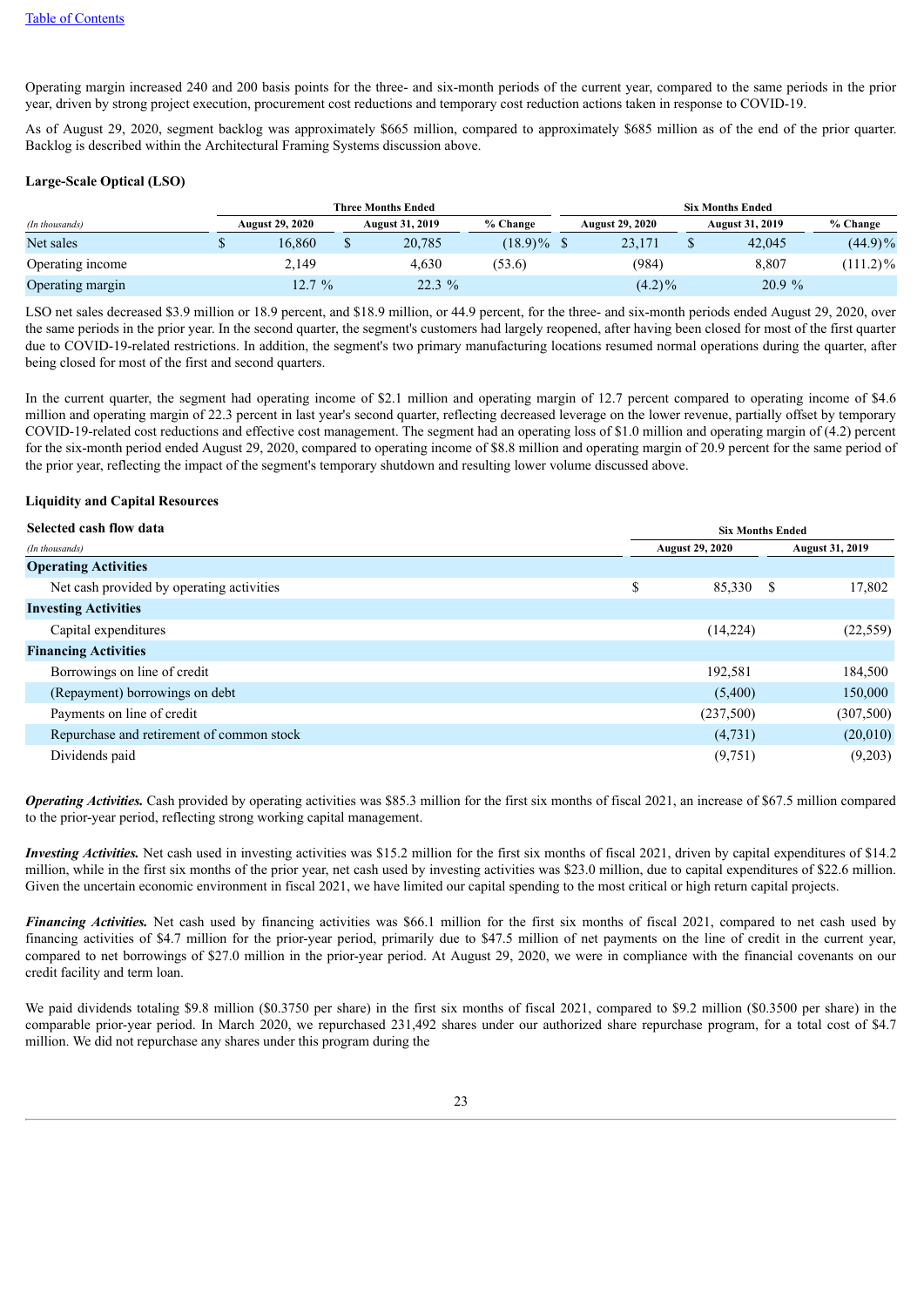Operating margin increased 240 and 200 basis points for the three- and six-month periods of the current year, compared to the same periods in the prior year, driven by strong project execution, procurement cost reductions and temporary cost reduction actions taken in response to COVID-19.

As of August 29, 2020, segment backlog was approximately \$665 million, compared to approximately \$685 million as of the end of the prior quarter. Backlog is described within the Architectural Framing Systems discussion above.

#### **Large-Scale Optical (LSO)**

|                  |                        | Three Months Ended     | <b>Six Months Ended</b> |                        |  |                        |             |  |
|------------------|------------------------|------------------------|-------------------------|------------------------|--|------------------------|-------------|--|
| (In thousands)   | <b>August 29, 2020</b> | <b>August 31, 2019</b> | % Change                | <b>August 29, 2020</b> |  | <b>August 31, 2019</b> | % Change    |  |
| Net sales        | 16.860                 | 20.785                 | $(18.9)\%$              | 23,171                 |  | 42.045                 | $(44.9)\%$  |  |
| Operating income | 2.149                  | 4.630                  | (53.6)                  | (984)                  |  | 8,807                  | $(111.2)\%$ |  |
| Operating margin | $12.7 \%$              | $22.3 \%$              |                         | $(4.2)\%$              |  | 20.9%                  |             |  |

LSO net sales decreased \$3.9 million or 18.9 percent, and \$18.9 million, or 44.9 percent, for the three- and six-month periods ended August 29, 2020, over the same periods in the prior year. In the second quarter, the segment's customers had largely reopened, after having been closed for most of the first quarter due to COVID-19-related restrictions. In addition, the segment's two primary manufacturing locations resumed normal operations during the quarter, after being closed for most of the first and second quarters.

In the current quarter, the segment had operating income of \$2.1 million and operating margin of 12.7 percent compared to operating income of \$4.6 million and operating margin of 22.3 percent in last year's second quarter, reflecting decreased leverage on the lower revenue, partially offset by temporary COVID-19-related cost reductions and effective cost management. The segment had an operating loss of \$1.0 million and operating margin of (4.2) percent for the six-month period ended August 29, 2020, compared to operating income of \$8.8 million and operating margin of 20.9 percent for the same period of the prior year, reflecting the impact of the segment's temporary shutdown and resulting lower volume discussed above.

### **Liquidity and Capital Resources**

| Selected cash flow data                   | <b>Six Months Ended</b> |                        |            |  |  |  |  |
|-------------------------------------------|-------------------------|------------------------|------------|--|--|--|--|
| (In thousands)                            | <b>August 29, 2020</b>  | <b>August 31, 2019</b> |            |  |  |  |  |
| <b>Operating Activities</b>               |                         |                        |            |  |  |  |  |
| Net cash provided by operating activities | \$<br>85,330 \$         |                        | 17,802     |  |  |  |  |
| <b>Investing Activities</b>               |                         |                        |            |  |  |  |  |
| Capital expenditures                      | (14,224)                |                        | (22, 559)  |  |  |  |  |
| <b>Financing Activities</b>               |                         |                        |            |  |  |  |  |
| Borrowings on line of credit              | 192,581                 |                        | 184,500    |  |  |  |  |
| (Repayment) borrowings on debt            | (5,400)                 |                        | 150,000    |  |  |  |  |
| Payments on line of credit                | (237,500)               |                        | (307, 500) |  |  |  |  |
| Repurchase and retirement of common stock | (4,731)                 |                        | (20,010)   |  |  |  |  |
| Dividends paid                            | (9,751)                 |                        | (9,203)    |  |  |  |  |

*Operating Activities.* Cash provided by operating activities was \$85.3 million for the first six months of fiscal 2021, an increase of \$67.5 million compared to the prior-year period, reflecting strong working capital management.

*Investing Activities.* Net cash used in investing activities was \$15.2 million for the first six months of fiscal 2021, driven by capital expenditures of \$14.2 million, while in the first six months of the prior year, net cash used by investing activities was \$23.0 million, due to capital expenditures of \$22.6 million. Given the uncertain economic environment in fiscal 2021, we have limited our capital spending to the most critical or high return capital projects.

*Financing Activities.* Net cash used by financing activities was \$66.1 million for the first six months of fiscal 2021, compared to net cash used by financing activities of \$4.7 million for the prior-year period, primarily due to \$47.5 million of net payments on the line of credit in the current year, compared to net borrowings of \$27.0 million in the prior-year period. At August 29, 2020, we were in compliance with the financial covenants on our credit facility and term loan.

We paid dividends totaling \$9.8 million (\$0.3750 per share) in the first six months of fiscal 2021, compared to \$9.2 million (\$0.3500 per share) in the comparable prior-year period. In March 2020, we repurchased 231,492 shares under our authorized share repurchase program, for a total cost of \$4.7 million. We did not repurchase any shares under this program during the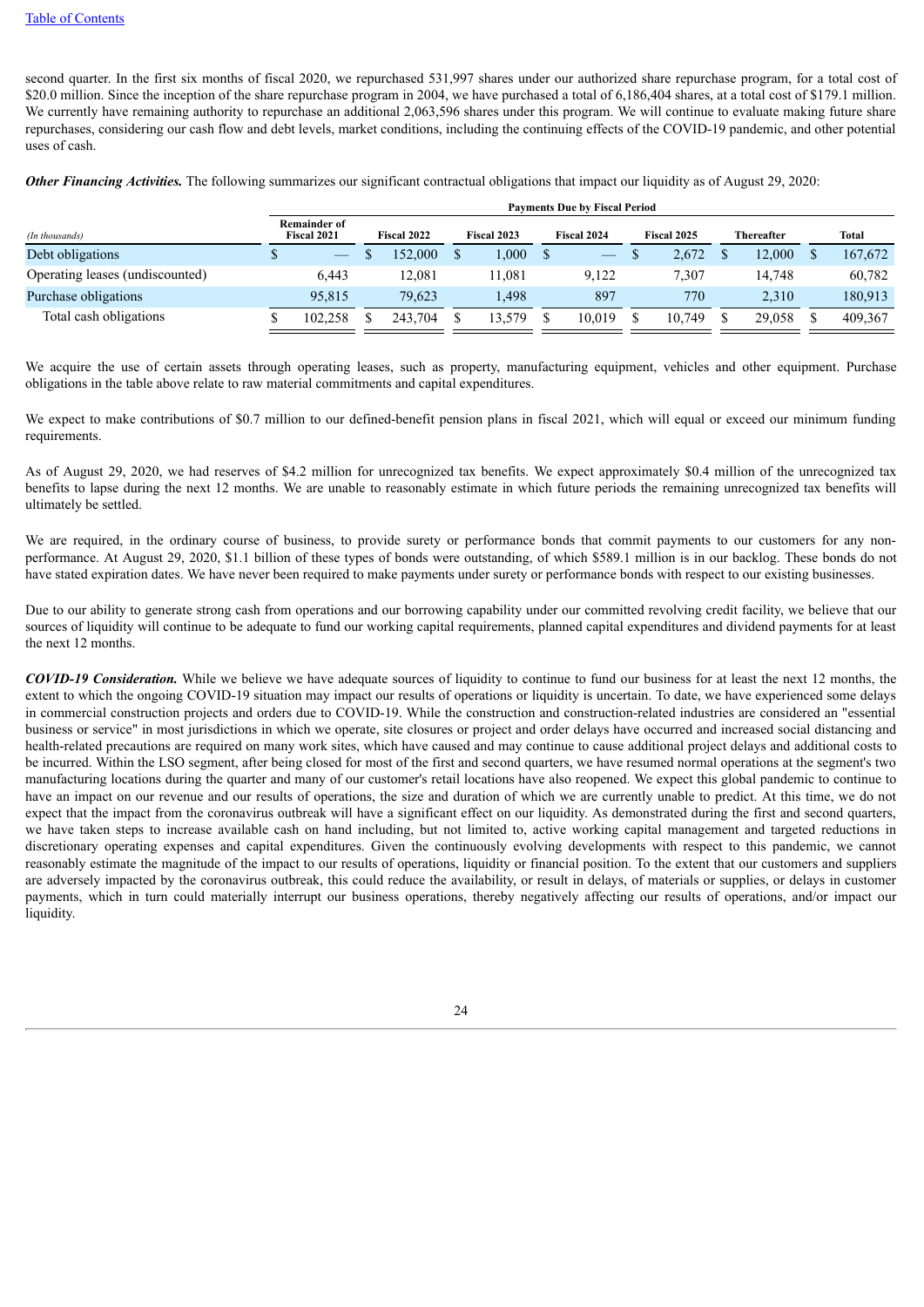second quarter. In the first six months of fiscal 2020, we repurchased 531,997 shares under our authorized share repurchase program, for a total cost of \$20.0 million. Since the inception of the share repurchase program in 2004, we have purchased a total of 6,186,404 shares, at a total cost of \$179.1 million. We currently have remaining authority to repurchase an additional 2,063,596 shares under this program. We will continue to evaluate making future share repurchases, considering our cash flow and debt levels, market conditions, including the continuing effects of the COVID-19 pandemic, and other potential uses of cash.

*Other Financing Activities.* The following summarizes our significant contractual obligations that impact our liquidity as of August 29, 2020:

|                                 | <b>Payments Due by Fiscal Period</b>      |  |                    |  |             |  |             |  |             |  |            |         |
|---------------------------------|-------------------------------------------|--|--------------------|--|-------------|--|-------------|--|-------------|--|------------|---------|
| (In thousands)                  | <b>Remainder of</b><br><b>Fiscal 2021</b> |  | <b>Fiscal 2022</b> |  | Fiscal 2023 |  | Fiscal 2024 |  | Fiscal 2025 |  | Thereafter | Total   |
| Debt obligations                | $\hspace{0.1mm}-\hspace{0.1mm}$           |  | 152.000            |  | .000        |  |             |  | 2.672       |  | 12,000     | 167,672 |
| Operating leases (undiscounted) | 6.443                                     |  | 12.081             |  | 11.081      |  | 9.122       |  | 7.307       |  | 14,748     | 60,782  |
| Purchase obligations            | 95.815                                    |  | 79.623             |  | .498        |  | 897         |  | 770         |  | 2.310      | 180,913 |
| Total cash obligations          | 102.258                                   |  | 243.704            |  | 13,579      |  | 10.019      |  | 10.749      |  | 29,058     | 409,367 |

We acquire the use of certain assets through operating leases, such as property, manufacturing equipment, vehicles and other equipment. Purchase obligations in the table above relate to raw material commitments and capital expenditures.

We expect to make contributions of \$0.7 million to our defined-benefit pension plans in fiscal 2021, which will equal or exceed our minimum funding requirements.

As of August 29, 2020, we had reserves of \$4.2 million for unrecognized tax benefits. We expect approximately \$0.4 million of the unrecognized tax benefits to lapse during the next 12 months. We are unable to reasonably estimate in which future periods the remaining unrecognized tax benefits will ultimately be settled.

We are required, in the ordinary course of business, to provide surety or performance bonds that commit payments to our customers for any nonperformance. At August 29, 2020, \$1.1 billion of these types of bonds were outstanding, of which \$589.1 million is in our backlog. These bonds do not have stated expiration dates. We have never been required to make payments under surety or performance bonds with respect to our existing businesses.

Due to our ability to generate strong cash from operations and our borrowing capability under our committed revolving credit facility, we believe that our sources of liquidity will continue to be adequate to fund our working capital requirements, planned capital expenditures and dividend payments for at least the next 12 months.

*COVID-19 Consideration.* While we believe we have adequate sources of liquidity to continue to fund our business for at least the next 12 months, the extent to which the ongoing COVID-19 situation may impact our results of operations or liquidity is uncertain. To date, we have experienced some delays in commercial construction projects and orders due to COVID-19. While the construction and construction-related industries are considered an "essential business or service" in most jurisdictions in which we operate, site closures or project and order delays have occurred and increased social distancing and health-related precautions are required on many work sites, which have caused and may continue to cause additional project delays and additional costs to be incurred. Within the LSO segment, after being closed for most of the first and second quarters, we have resumed normal operations at the segment's two manufacturing locations during the quarter and many of our customer's retail locations have also reopened. We expect this global pandemic to continue to have an impact on our revenue and our results of operations, the size and duration of which we are currently unable to predict. At this time, we do not expect that the impact from the coronavirus outbreak will have a significant effect on our liquidity. As demonstrated during the first and second quarters, we have taken steps to increase available cash on hand including, but not limited to, active working capital management and targeted reductions in discretionary operating expenses and capital expenditures. Given the continuously evolving developments with respect to this pandemic, we cannot reasonably estimate the magnitude of the impact to our results of operations, liquidity or financial position. To the extent that our customers and suppliers are adversely impacted by the coronavirus outbreak, this could reduce the availability, or result in delays, of materials or supplies, or delays in customer payments, which in turn could materially interrupt our business operations, thereby negatively affecting our results of operations, and/or impact our liquidity.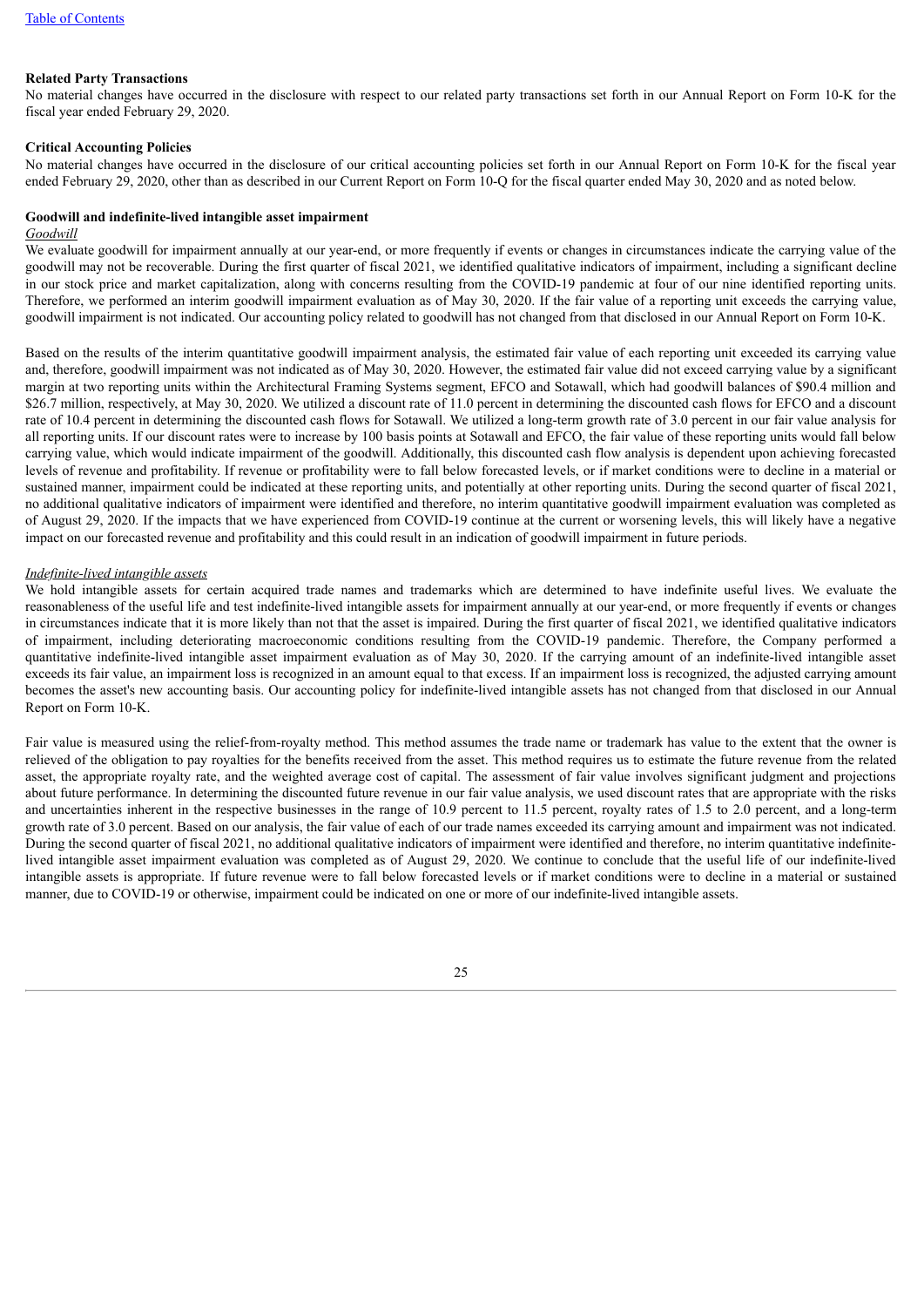### **Related Party Transactions**

No material changes have occurred in the disclosure with respect to our related party transactions set forth in our Annual Report on Form 10-K for the fiscal year ended February 29, 2020.

#### **Critical Accounting Policies**

No material changes have occurred in the disclosure of our critical accounting policies set forth in our Annual Report on Form 10-K for the fiscal year ended February 29, 2020, other than as described in our Current Report on Form 10-Q for the fiscal quarter ended May 30, 2020 and as noted below.

#### **Goodwill and indefinite-lived intangible asset impairment**

#### *Goodwill*

We evaluate goodwill for impairment annually at our year-end, or more frequently if events or changes in circumstances indicate the carrying value of the goodwill may not be recoverable. During the first quarter of fiscal 2021, we identified qualitative indicators of impairment, including a significant decline in our stock price and market capitalization, along with concerns resulting from the COVID-19 pandemic at four of our nine identified reporting units. Therefore, we performed an interim goodwill impairment evaluation as of May 30, 2020. If the fair value of a reporting unit exceeds the carrying value, goodwill impairment is not indicated. Our accounting policy related to goodwill has not changed from that disclosed in our Annual Report on Form 10-K.

Based on the results of the interim quantitative goodwill impairment analysis, the estimated fair value of each reporting unit exceeded its carrying value and, therefore, goodwill impairment was not indicated as of May 30, 2020. However, the estimated fair value did not exceed carrying value by a significant margin at two reporting units within the Architectural Framing Systems segment, EFCO and Sotawall, which had goodwill balances of \$90.4 million and \$26.7 million, respectively, at May 30, 2020. We utilized a discount rate of 11.0 percent in determining the discounted cash flows for EFCO and a discount rate of 10.4 percent in determining the discounted cash flows for Sotawall. We utilized a long-term growth rate of 3.0 percent in our fair value analysis for all reporting units. If our discount rates were to increase by 100 basis points at Sotawall and EFCO, the fair value of these reporting units would fall below carrying value, which would indicate impairment of the goodwill. Additionally, this discounted cash flow analysis is dependent upon achieving forecasted levels of revenue and profitability. If revenue or profitability were to fall below forecasted levels, or if market conditions were to decline in a material or sustained manner, impairment could be indicated at these reporting units, and potentially at other reporting units. During the second quarter of fiscal 2021, no additional qualitative indicators of impairment were identified and therefore, no interim quantitative goodwill impairment evaluation was completed as of August 29, 2020. If the impacts that we have experienced from COVID-19 continue at the current or worsening levels, this will likely have a negative impact on our forecasted revenue and profitability and this could result in an indication of goodwill impairment in future periods.

# *Indefinite-lived intangible assets*

We hold intangible assets for certain acquired trade names and trademarks which are determined to have indefinite useful lives. We evaluate the reasonableness of the useful life and test indefinite-lived intangible assets for impairment annually at our year-end, or more frequently if events or changes in circumstances indicate that it is more likely than not that the asset is impaired. During the first quarter of fiscal 2021, we identified qualitative indicators of impairment, including deteriorating macroeconomic conditions resulting from the COVID-19 pandemic. Therefore, the Company performed a quantitative indefinite-lived intangible asset impairment evaluation as of May 30, 2020. If the carrying amount of an indefinite-lived intangible asset exceeds its fair value, an impairment loss is recognized in an amount equal to that excess. If an impairment loss is recognized, the adjusted carrying amount becomes the asset's new accounting basis. Our accounting policy for indefinite-lived intangible assets has not changed from that disclosed in our Annual Report on Form 10-K.

<span id="page-24-0"></span>Fair value is measured using the relief-from-royalty method. This method assumes the trade name or trademark has value to the extent that the owner is relieved of the obligation to pay royalties for the benefits received from the asset. This method requires us to estimate the future revenue from the related asset, the appropriate royalty rate, and the weighted average cost of capital. The assessment of fair value involves significant judgment and projections about future performance. In determining the discounted future revenue in our fair value analysis, we used discount rates that are appropriate with the risks and uncertainties inherent in the respective businesses in the range of 10.9 percent to 11.5 percent, royalty rates of 1.5 to 2.0 percent, and a long-term growth rate of 3.0 percent. Based on our analysis, the fair value of each of our trade names exceeded its carrying amount and impairment was not indicated. During the second quarter of fiscal 2021, no additional qualitative indicators of impairment were identified and therefore, no interim quantitative indefinitelived intangible asset impairment evaluation was completed as of August 29, 2020. We continue to conclude that the useful life of our indefinite-lived intangible assets is appropriate. If future revenue were to fall below forecasted levels or if market conditions were to decline in a material or sustained manner, due to COVID-19 or otherwise, impairment could be indicated on one or more of our indefinite-lived intangible assets.

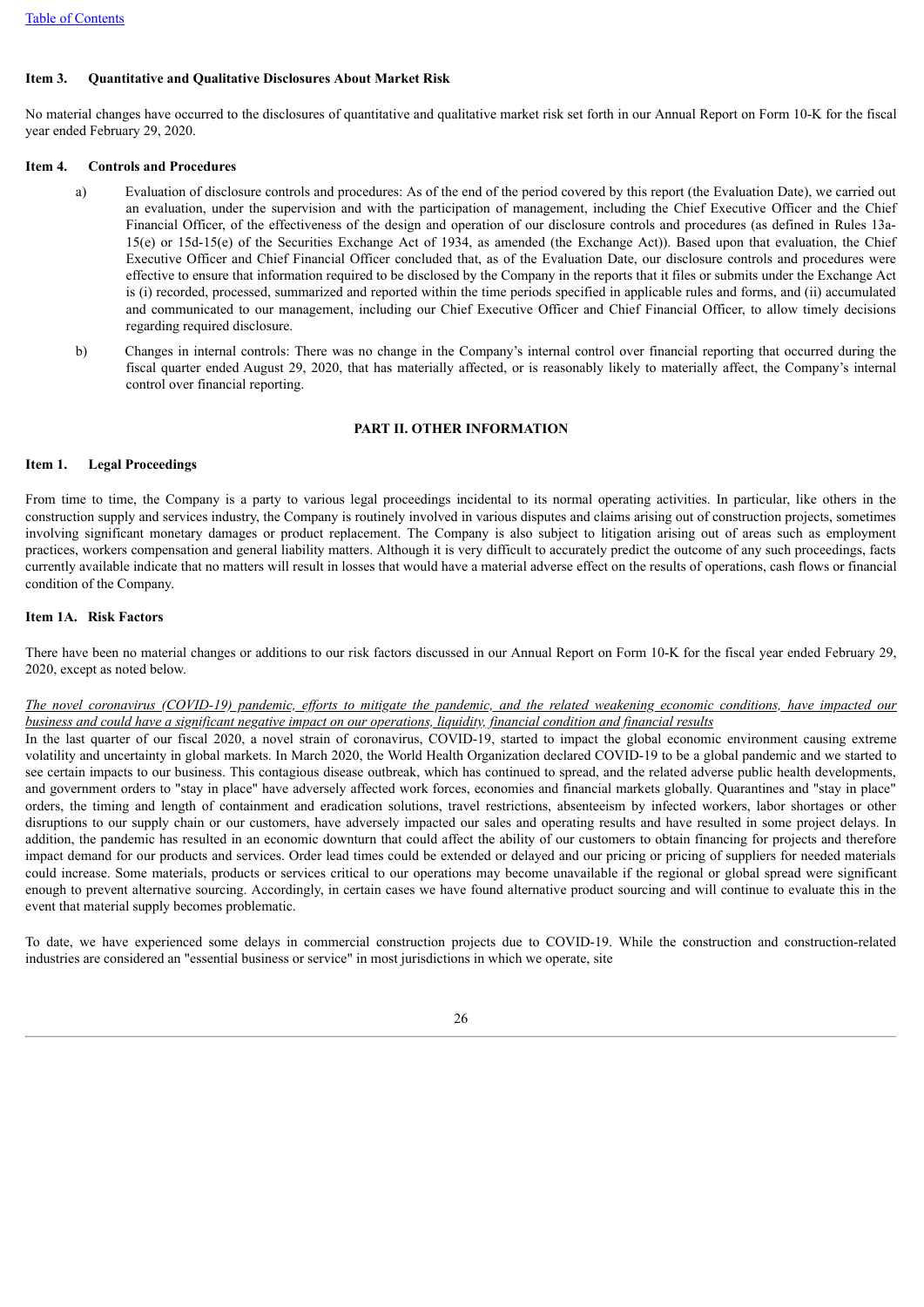### **Item 3. Quantitative and Qualitative Disclosures About Market Risk**

No material changes have occurred to the disclosures of quantitative and qualitative market risk set forth in our Annual Report on Form 10-K for the fiscal year ended February 29, 2020.

#### <span id="page-25-0"></span>**Item 4. Controls and Procedures**

- a) Evaluation of disclosure controls and procedures: As of the end of the period covered by this report (the Evaluation Date), we carried out an evaluation, under the supervision and with the participation of management, including the Chief Executive Officer and the Chief Financial Officer, of the effectiveness of the design and operation of our disclosure controls and procedures (as defined in Rules 13a-15(e) or 15d-15(e) of the Securities Exchange Act of 1934, as amended (the Exchange Act)). Based upon that evaluation, the Chief Executive Officer and Chief Financial Officer concluded that, as of the Evaluation Date, our disclosure controls and procedures were effective to ensure that information required to be disclosed by the Company in the reports that it files or submits under the Exchange Act is (i) recorded, processed, summarized and reported within the time periods specified in applicable rules and forms, and (ii) accumulated and communicated to our management, including our Chief Executive Officer and Chief Financial Officer, to allow timely decisions regarding required disclosure.
- b) Changes in internal controls: There was no change in the Company's internal control over financial reporting that occurred during the fiscal quarter ended August 29, 2020, that has materially affected, or is reasonably likely to materially affect, the Company's internal control over financial reporting.

#### **PART II. OTHER INFORMATION**

#### <span id="page-25-2"></span><span id="page-25-1"></span>**Item 1. Legal Proceedings**

From time to time, the Company is a party to various legal proceedings incidental to its normal operating activities. In particular, like others in the construction supply and services industry, the Company is routinely involved in various disputes and claims arising out of construction projects, sometimes involving significant monetary damages or product replacement. The Company is also subject to litigation arising out of areas such as employment practices, workers compensation and general liability matters. Although it is very difficult to accurately predict the outcome of any such proceedings, facts currently available indicate that no matters will result in losses that would have a material adverse effect on the results of operations, cash flows or financial condition of the Company.

#### <span id="page-25-3"></span>**Item 1A. Risk Factors**

There have been no material changes or additions to our risk factors discussed in our Annual Report on Form 10-K for the fiscal year ended February 29, 2020, except as noted below.

The novel coronavirus (COVID-19) pandemic, efforts to mitigate the pandemic, and the related weakening economic conditions, have impacted our business and could have a significant negative impact on our operations, liquidity, financial condition and financial results

In the last quarter of our fiscal 2020, a novel strain of coronavirus, COVID-19, started to impact the global economic environment causing extreme volatility and uncertainty in global markets. In March 2020, the World Health Organization declared COVID-19 to be a global pandemic and we started to see certain impacts to our business. This contagious disease outbreak, which has continued to spread, and the related adverse public health developments, and government orders to "stay in place" have adversely affected work forces, economies and financial markets globally. Quarantines and "stay in place" orders, the timing and length of containment and eradication solutions, travel restrictions, absenteeism by infected workers, labor shortages or other disruptions to our supply chain or our customers, have adversely impacted our sales and operating results and have resulted in some project delays. In addition, the pandemic has resulted in an economic downturn that could affect the ability of our customers to obtain financing for projects and therefore impact demand for our products and services. Order lead times could be extended or delayed and our pricing or pricing of suppliers for needed materials could increase. Some materials, products or services critical to our operations may become unavailable if the regional or global spread were significant enough to prevent alternative sourcing. Accordingly, in certain cases we have found alternative product sourcing and will continue to evaluate this in the event that material supply becomes problematic.

To date, we have experienced some delays in commercial construction projects due to COVID-19. While the construction and construction-related industries are considered an "essential business or service" in most jurisdictions in which we operate, site

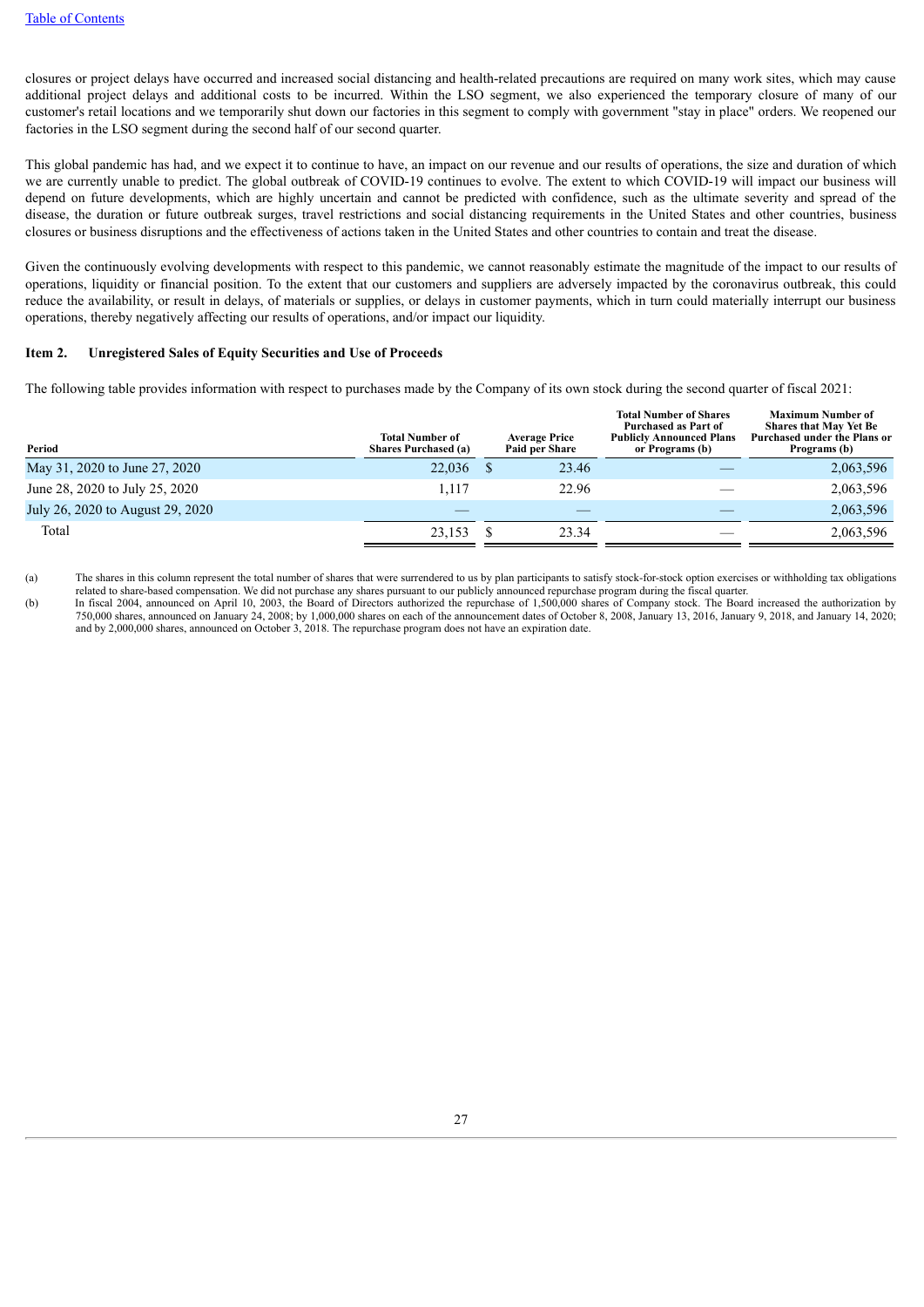closures or project delays have occurred and increased social distancing and health-related precautions are required on many work sites, which may cause additional project delays and additional costs to be incurred. Within the LSO segment, we also experienced the temporary closure of many of our customer's retail locations and we temporarily shut down our factories in this segment to comply with government "stay in place" orders. We reopened our factories in the LSO segment during the second half of our second quarter.

This global pandemic has had, and we expect it to continue to have, an impact on our revenue and our results of operations, the size and duration of which we are currently unable to predict. The global outbreak of COVID-19 continues to evolve. The extent to which COVID-19 will impact our business will depend on future developments, which are highly uncertain and cannot be predicted with confidence, such as the ultimate severity and spread of the disease, the duration or future outbreak surges, travel restrictions and social distancing requirements in the United States and other countries, business closures or business disruptions and the effectiveness of actions taken in the United States and other countries to contain and treat the disease.

Given the continuously evolving developments with respect to this pandemic, we cannot reasonably estimate the magnitude of the impact to our results of operations, liquidity or financial position. To the extent that our customers and suppliers are adversely impacted by the coronavirus outbreak, this could reduce the availability, or result in delays, of materials or supplies, or delays in customer payments, which in turn could materially interrupt our business operations, thereby negatively affecting our results of operations, and/or impact our liquidity.

### <span id="page-26-0"></span>**Item 2. Unregistered Sales of Equity Securities and Use of Proceeds**

The following table provides information with respect to purchases made by the Company of its own stock during the second quarter of fiscal 2021:

| Period                           | <b>Total Number of</b><br><b>Shares Purchased (a)</b> | <b>Average Price</b><br>Paid per Share | <b>Total Number of Shares</b><br>Purchased as Part of<br><b>Publicly Announced Plans</b><br>or Programs (b) | <b>Maximum Number of</b><br><b>Shares that May Yet Be</b><br>Purchased under the Plans or<br>Programs (b) |
|----------------------------------|-------------------------------------------------------|----------------------------------------|-------------------------------------------------------------------------------------------------------------|-----------------------------------------------------------------------------------------------------------|
| May 31, 2020 to June 27, 2020    | 22,036                                                | 23.46                                  |                                                                                                             | 2,063,596                                                                                                 |
| June 28, 2020 to July 25, 2020   | 1.117                                                 | 22.96                                  |                                                                                                             | 2,063,596                                                                                                 |
| July 26, 2020 to August 29, 2020 |                                                       |                                        |                                                                                                             | 2,063,596                                                                                                 |
| Total                            | 23.153                                                | 23.34                                  |                                                                                                             | 2,063,596                                                                                                 |

(a) The shares in this column represent the total number of shares that were surrendered to us by plan participants to satisfy stock-for-stock option exercises or withholding tax obligations related to share-based compensation. We did not purchase any shares pursuant to our publicly announced repurchase program during the fiscal quarter.

<span id="page-26-1"></span>(b) In fiscal 2004, announced on April 10, 2003, the Board of Directors authorized the repurchase of 1,500,000 shares of Company stock. The Board increased the authorization by 750,000 shares, announced on January 24, 2008; by 1,000,000 shares on each of the announcement dates of October 8, 2008, January 13, 2016, January 9, 2018, and January 14, 2020; and by 2,000,000 shares, announced on October 3, 2018. The repurchase program does not have an expiration date.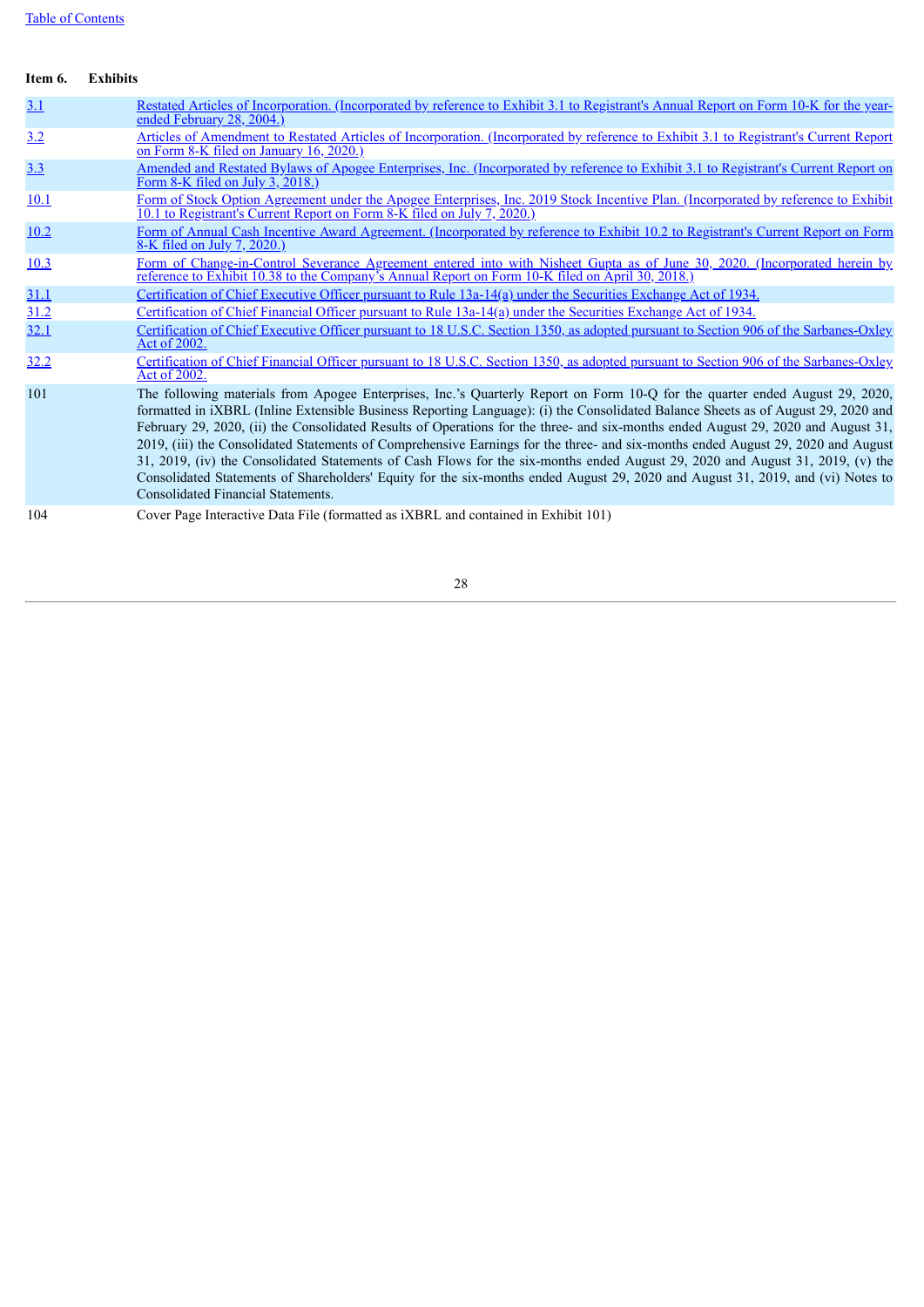<span id="page-27-0"></span>

| Item 6.     | <b>Exhibits</b>                                                                                                                                                                                                                                                                                                                                                                                                                                                                                                                                                                                                                                                                                                                                                                                                                                              |
|-------------|--------------------------------------------------------------------------------------------------------------------------------------------------------------------------------------------------------------------------------------------------------------------------------------------------------------------------------------------------------------------------------------------------------------------------------------------------------------------------------------------------------------------------------------------------------------------------------------------------------------------------------------------------------------------------------------------------------------------------------------------------------------------------------------------------------------------------------------------------------------|
| 3.1         | Restated Articles of Incorporation. (Incorporated by reference to Exhibit 3.1 to Registrant's Annual Report on Form 10-K for the year-<br>ended February 28, 2004.                                                                                                                                                                                                                                                                                                                                                                                                                                                                                                                                                                                                                                                                                           |
| 3.2         | Articles of Amendment to Restated Articles of Incorporation. (Incorporated by reference to Exhibit 3.1 to Registrant's Current Report<br>on Form 8-K filed on January 16, 2020.)                                                                                                                                                                                                                                                                                                                                                                                                                                                                                                                                                                                                                                                                             |
| 3.3         | Amended and Restated Bylaws of Apogee Enterprises, Inc. (Incorporated by reference to Exhibit 3.1 to Registrant's Current Report on<br>Form 8-K filed on July $3, 2018$ .                                                                                                                                                                                                                                                                                                                                                                                                                                                                                                                                                                                                                                                                                    |
| <u>10.1</u> | Form of Stock Option Agreement under the Apogee Enterprises, Inc. 2019 Stock Incentive Plan. (Incorporated by reference to Exhibit<br>10.1 to Registrant's Current Report on Form 8-K filed on July 7, 2020.)                                                                                                                                                                                                                                                                                                                                                                                                                                                                                                                                                                                                                                                |
| 10.2        | Form of Annual Cash Incentive Award Agreement. (Incorporated by reference to Exhibit 10.2 to Registrant's Current Report on Form<br>8-K filed on July 7, 2020.)                                                                                                                                                                                                                                                                                                                                                                                                                                                                                                                                                                                                                                                                                              |
| 10.3        | Form of Change-in-Control Severance Agreement entered into with Nisheet Gupta as of June 30, 2020. (Incorporated herein by<br>reference to Exhibit 10.38 to the Company's Annual Report on Form 10-K filed on April 30, 2018.)                                                                                                                                                                                                                                                                                                                                                                                                                                                                                                                                                                                                                               |
| 31.1        | Certification of Chief Executive Officer pursuant to Rule 13a-14(a) under the Securities Exchange Act of 1934.                                                                                                                                                                                                                                                                                                                                                                                                                                                                                                                                                                                                                                                                                                                                               |
| 31.2        | Certification of Chief Financial Officer pursuant to Rule 13a-14(a) under the Securities Exchange Act of 1934.                                                                                                                                                                                                                                                                                                                                                                                                                                                                                                                                                                                                                                                                                                                                               |
| 32.1        | Certification of Chief Executive Officer pursuant to 18 U.S.C. Section 1350, as adopted pursuant to Section 906 of the Sarbanes-Oxley<br>Act of 2002.                                                                                                                                                                                                                                                                                                                                                                                                                                                                                                                                                                                                                                                                                                        |
| 32.2        | Certification of Chief Financial Officer pursuant to 18 U.S.C. Section 1350, as adopted pursuant to Section 906 of the Sarbanes-Oxley<br>Act of 2002.                                                                                                                                                                                                                                                                                                                                                                                                                                                                                                                                                                                                                                                                                                        |
| 101         | The following materials from Apogee Enterprises, Inc.'s Quarterly Report on Form 10-Q for the quarter ended August 29, 2020,<br>formatted in iXBRL (Inline Extensible Business Reporting Language): (i) the Consolidated Balance Sheets as of August 29, 2020 and<br>February 29, 2020, (ii) the Consolidated Results of Operations for the three- and six-months ended August 29, 2020 and August 31,<br>2019, (iii) the Consolidated Statements of Comprehensive Earnings for the three- and six-months ended August 29, 2020 and August<br>31, 2019, (iv) the Consolidated Statements of Cash Flows for the six-months ended August 29, 2020 and August 31, 2019, (v) the<br>Consolidated Statements of Shareholders' Equity for the six-months ended August 29, 2020 and August 31, 2019, and (vi) Notes to<br><b>Consolidated Financial Statements.</b> |
| 104         | Cover Page Interactive Data File (formatted as iXBRL and contained in Exhibit 101)                                                                                                                                                                                                                                                                                                                                                                                                                                                                                                                                                                                                                                                                                                                                                                           |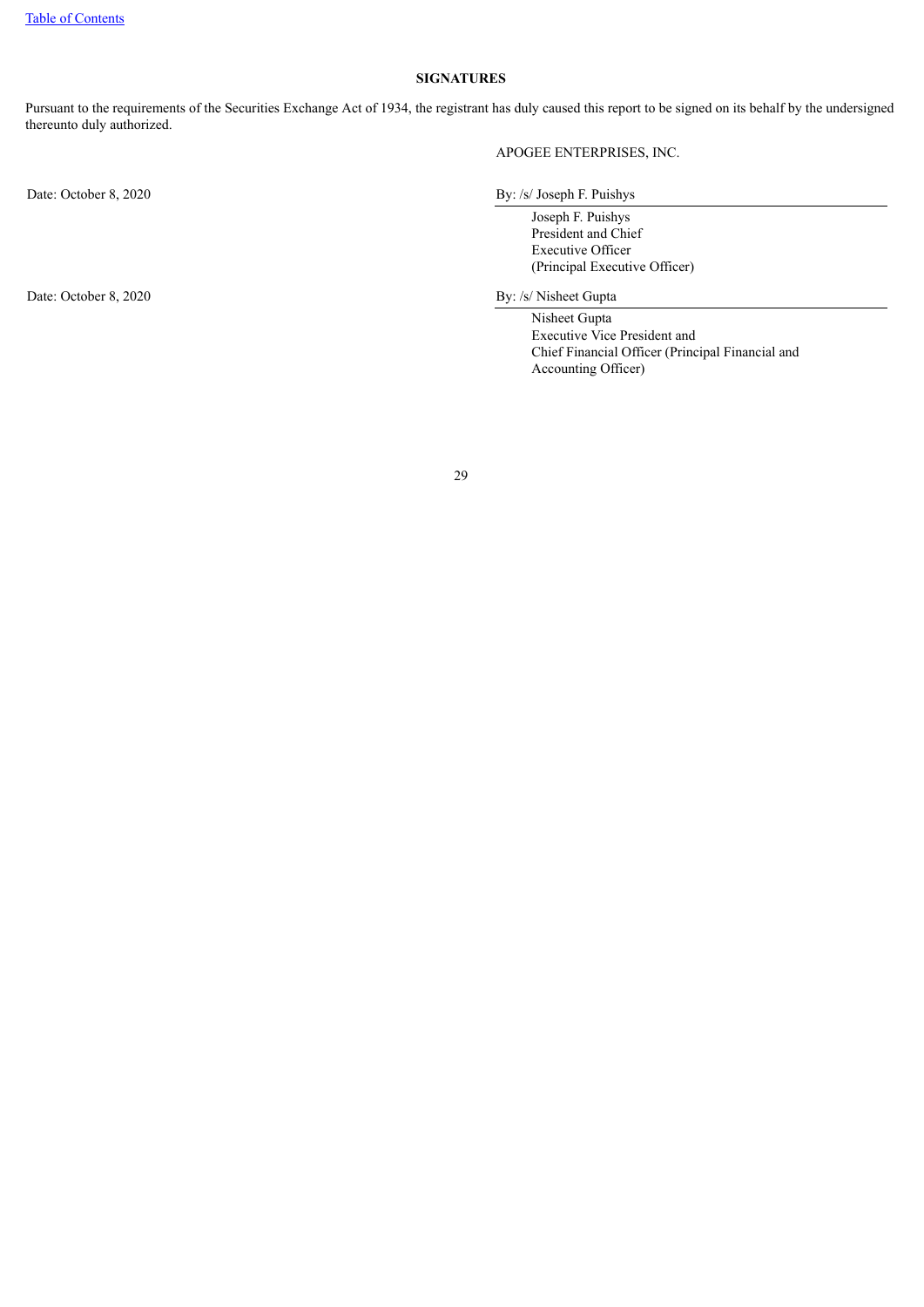# **SIGNATURES**

Pursuant to the requirements of the Securities Exchange Act of 1934, the registrant has duly caused this report to be signed on its behalf by the undersigned thereunto duly authorized.

Date: October 8, 2020 By: /s/ Nisheet Gupta

APOGEE ENTERPRISES, INC.

Date: October 8, 2020 By: /s/ Joseph F. Puishys

Joseph F. Puishys President and Chief Executive Officer (Principal Executive Officer)

Nisheet Gupta Executive Vice President and Chief Financial Officer (Principal Financial and Accounting Officer)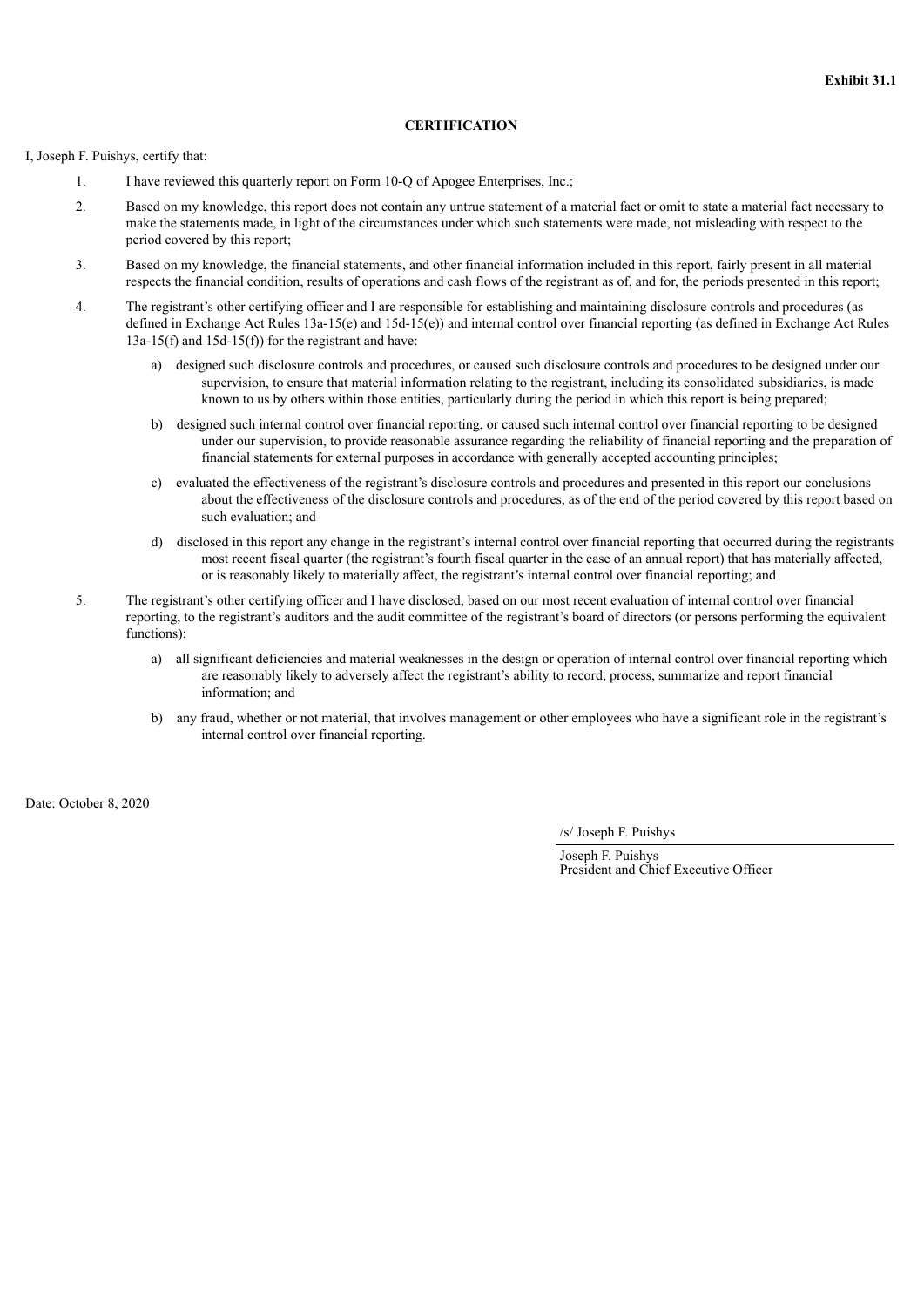### **CERTIFICATION**

<span id="page-29-0"></span>I, Joseph F. Puishys, certify that:

- 1. I have reviewed this quarterly report on Form 10-Q of Apogee Enterprises, Inc.;
- 2. Based on my knowledge, this report does not contain any untrue statement of a material fact or omit to state a material fact necessary to make the statements made, in light of the circumstances under which such statements were made, not misleading with respect to the period covered by this report;
- 3. Based on my knowledge, the financial statements, and other financial information included in this report, fairly present in all material respects the financial condition, results of operations and cash flows of the registrant as of, and for, the periods presented in this report;
- 4. The registrant's other certifying officer and I are responsible for establishing and maintaining disclosure controls and procedures (as defined in Exchange Act Rules 13a-15(e) and 15d-15(e)) and internal control over financial reporting (as defined in Exchange Act Rules  $13a-15(f)$  and  $15d-15(f)$  for the registrant and have:
	- a) designed such disclosure controls and procedures, or caused such disclosure controls and procedures to be designed under our supervision, to ensure that material information relating to the registrant, including its consolidated subsidiaries, is made known to us by others within those entities, particularly during the period in which this report is being prepared;
	- b) designed such internal control over financial reporting, or caused such internal control over financial reporting to be designed under our supervision, to provide reasonable assurance regarding the reliability of financial reporting and the preparation of financial statements for external purposes in accordance with generally accepted accounting principles;
	- c) evaluated the effectiveness of the registrant's disclosure controls and procedures and presented in this report our conclusions about the effectiveness of the disclosure controls and procedures, as of the end of the period covered by this report based on such evaluation; and
	- d) disclosed in this report any change in the registrant's internal control over financial reporting that occurred during the registrants most recent fiscal quarter (the registrant's fourth fiscal quarter in the case of an annual report) that has materially affected, or is reasonably likely to materially affect, the registrant's internal control over financial reporting; and
- 5. The registrant's other certifying officer and I have disclosed, based on our most recent evaluation of internal control over financial reporting, to the registrant's auditors and the audit committee of the registrant's board of directors (or persons performing the equivalent functions):
	- a) all significant deficiencies and material weaknesses in the design or operation of internal control over financial reporting which are reasonably likely to adversely affect the registrant's ability to record, process, summarize and report financial information; and
	- b) any fraud, whether or not material, that involves management or other employees who have a significant role in the registrant's internal control over financial reporting.

Date: October 8, 2020

/s/ Joseph F. Puishys

Joseph F. Puishys President and Chief Executive Officer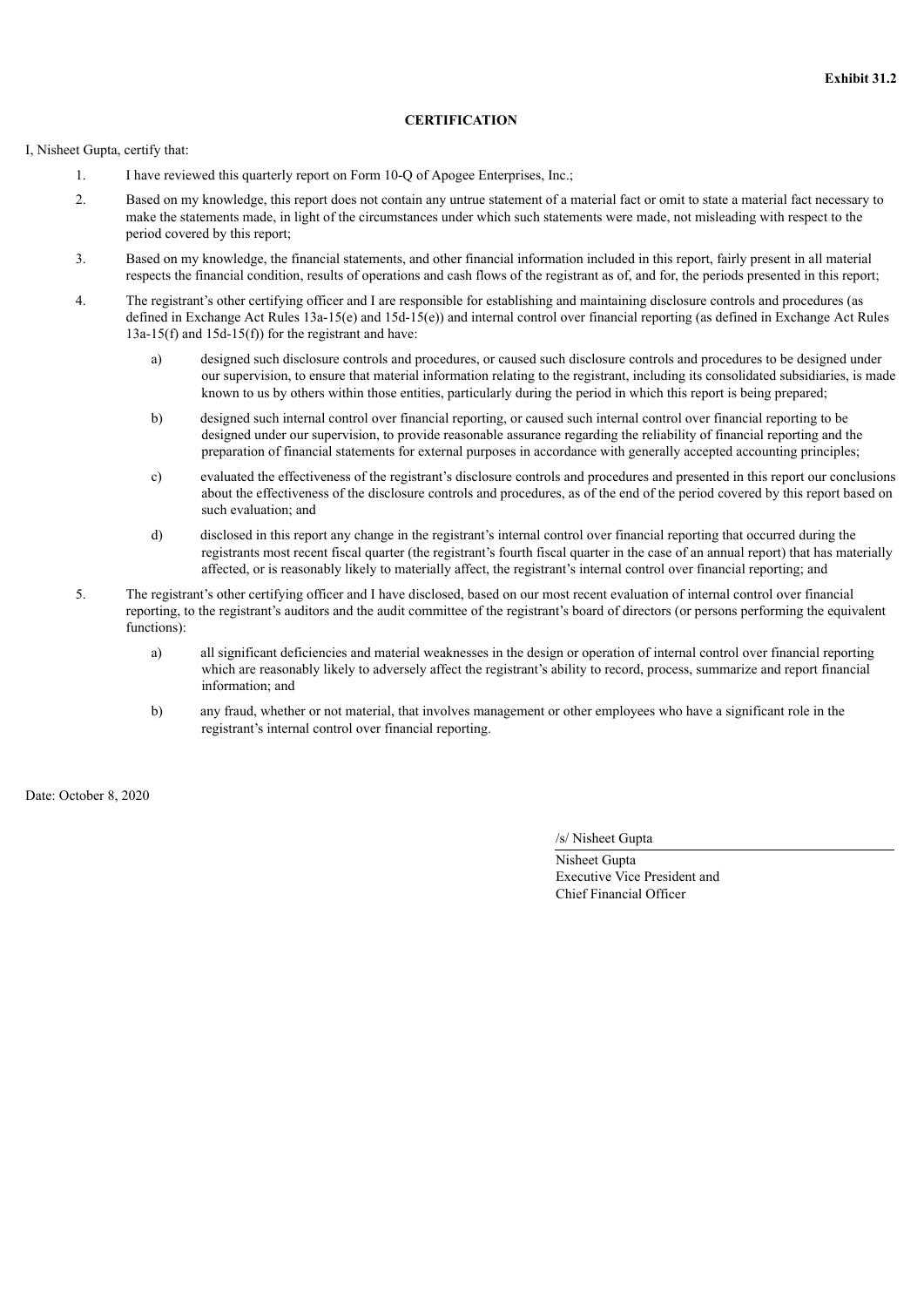# **CERTIFICATION**

<span id="page-30-0"></span>I, Nisheet Gupta, certify that:

- 1. I have reviewed this quarterly report on Form 10-Q of Apogee Enterprises, Inc.;
- 2. Based on my knowledge, this report does not contain any untrue statement of a material fact or omit to state a material fact necessary to make the statements made, in light of the circumstances under which such statements were made, not misleading with respect to the period covered by this report;
- 3. Based on my knowledge, the financial statements, and other financial information included in this report, fairly present in all material respects the financial condition, results of operations and cash flows of the registrant as of, and for, the periods presented in this report;
- 4. The registrant's other certifying officer and I are responsible for establishing and maintaining disclosure controls and procedures (as defined in Exchange Act Rules 13a-15(e) and 15d-15(e)) and internal control over financial reporting (as defined in Exchange Act Rules  $13a-15(f)$  and  $15d-15(f)$  for the registrant and have:
	- a) designed such disclosure controls and procedures, or caused such disclosure controls and procedures to be designed under our supervision, to ensure that material information relating to the registrant, including its consolidated subsidiaries, is made known to us by others within those entities, particularly during the period in which this report is being prepared;
	- b) designed such internal control over financial reporting, or caused such internal control over financial reporting to be designed under our supervision, to provide reasonable assurance regarding the reliability of financial reporting and the preparation of financial statements for external purposes in accordance with generally accepted accounting principles;
	- c) evaluated the effectiveness of the registrant's disclosure controls and procedures and presented in this report our conclusions about the effectiveness of the disclosure controls and procedures, as of the end of the period covered by this report based on such evaluation; and
	- d) disclosed in this report any change in the registrant's internal control over financial reporting that occurred during the registrants most recent fiscal quarter (the registrant's fourth fiscal quarter in the case of an annual report) that has materially affected, or is reasonably likely to materially affect, the registrant's internal control over financial reporting; and
- 5. The registrant's other certifying officer and I have disclosed, based on our most recent evaluation of internal control over financial reporting, to the registrant's auditors and the audit committee of the registrant's board of directors (or persons performing the equivalent functions):
	- a) all significant deficiencies and material weaknesses in the design or operation of internal control over financial reporting which are reasonably likely to adversely affect the registrant's ability to record, process, summarize and report financial information; and
	- b) any fraud, whether or not material, that involves management or other employees who have a significant role in the registrant's internal control over financial reporting.

Date: October 8, 2020

/s/ Nisheet Gupta

Nisheet Gupta Executive Vice President and Chief Financial Officer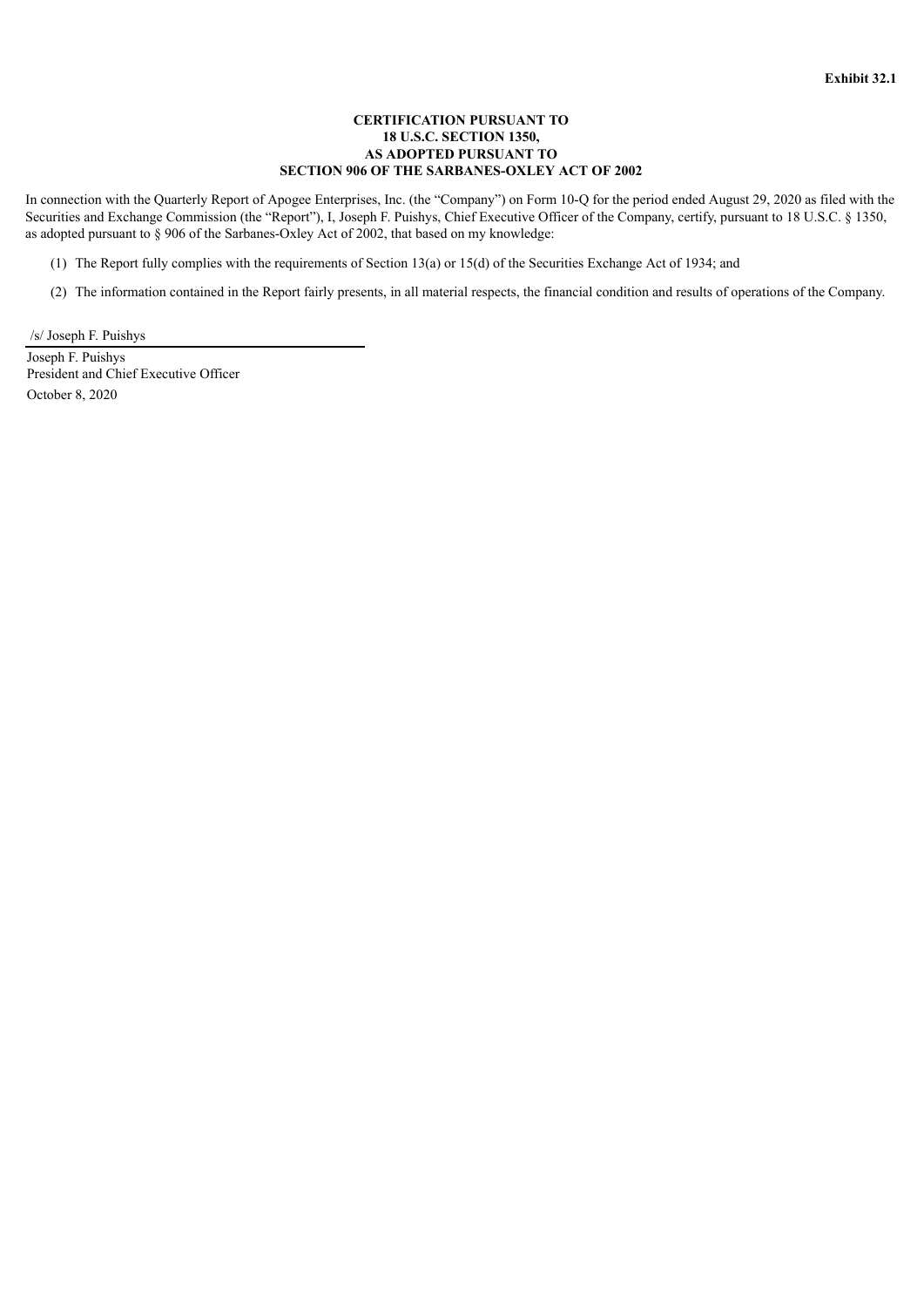# **CERTIFICATION PURSUANT TO 18 U.S.C. SECTION 1350, AS ADOPTED PURSUANT TO SECTION 906 OF THE SARBANES-OXLEY ACT OF 2002**

<span id="page-31-0"></span>In connection with the Quarterly Report of Apogee Enterprises, Inc. (the "Company") on Form 10-Q for the period ended August 29, 2020 as filed with the Securities and Exchange Commission (the "Report"), I, Joseph F. Puishys, Chief Executive Officer of the Company, certify, pursuant to 18 U.S.C. § 1350, as adopted pursuant to § 906 of the Sarbanes-Oxley Act of 2002, that based on my knowledge:

(1) The Report fully complies with the requirements of Section 13(a) or 15(d) of the Securities Exchange Act of 1934; and

(2) The information contained in the Report fairly presents, in all material respects, the financial condition and results of operations of the Company.

/s/ Joseph F. Puishys

Joseph F. Puishys President and Chief Executive Officer October 8, 2020